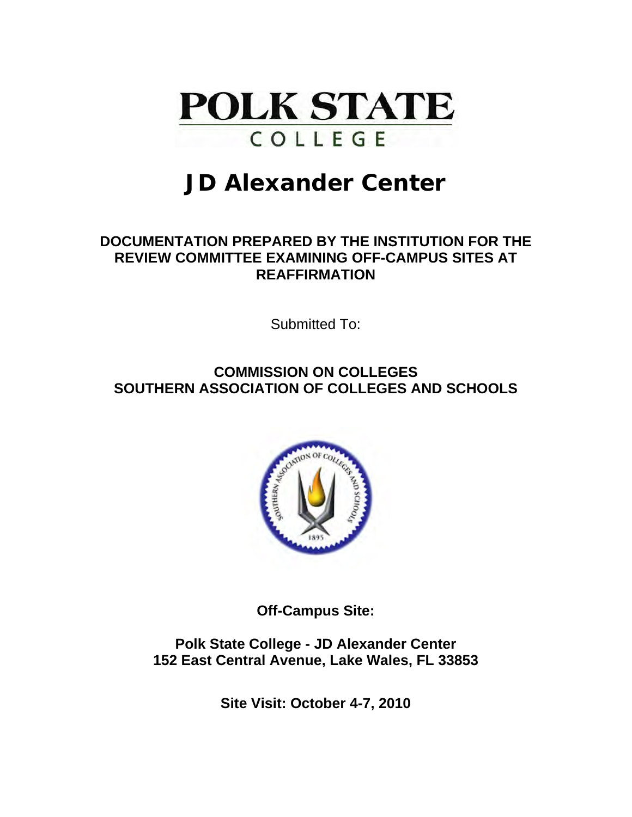

# **JD Alexander Center**

### **DOCUMENTATION PREPARED BY THE INSTITUTION FOR THE REVIEW COMMITTEE EXAMINING OFF-CAMPUS SITES AT REAFFIRMATION**

Submitted To:

**COMMISSION ON COLLEGES SOUTHERN ASSOCIATION OF COLLEGES AND SCHOOLS** 



**Off-Campus Site:** 

**Polk State College - JD Alexander Center 152 East Central Avenue, Lake Wales, FL 33853** 

**Site Visit: October 4-7, 2010**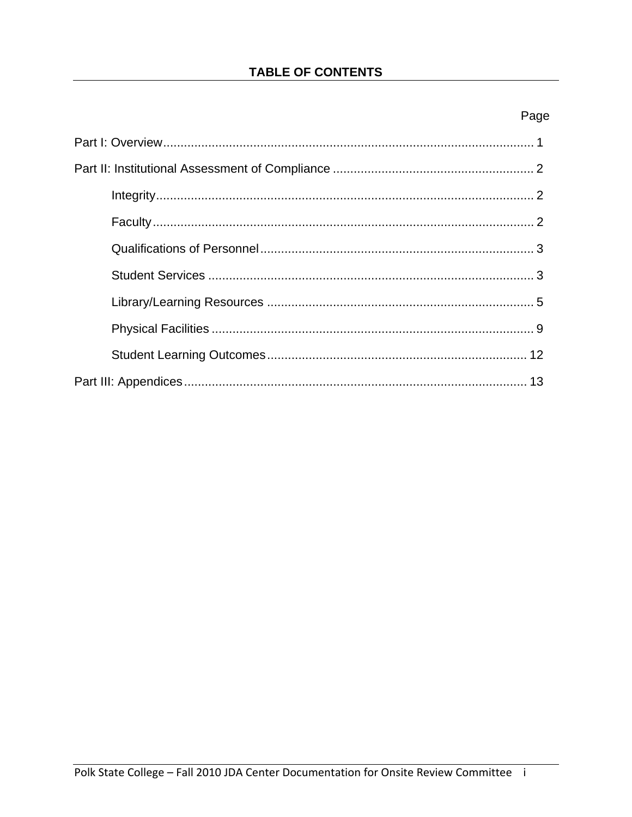### **TABLE OF CONTENTS**

### Page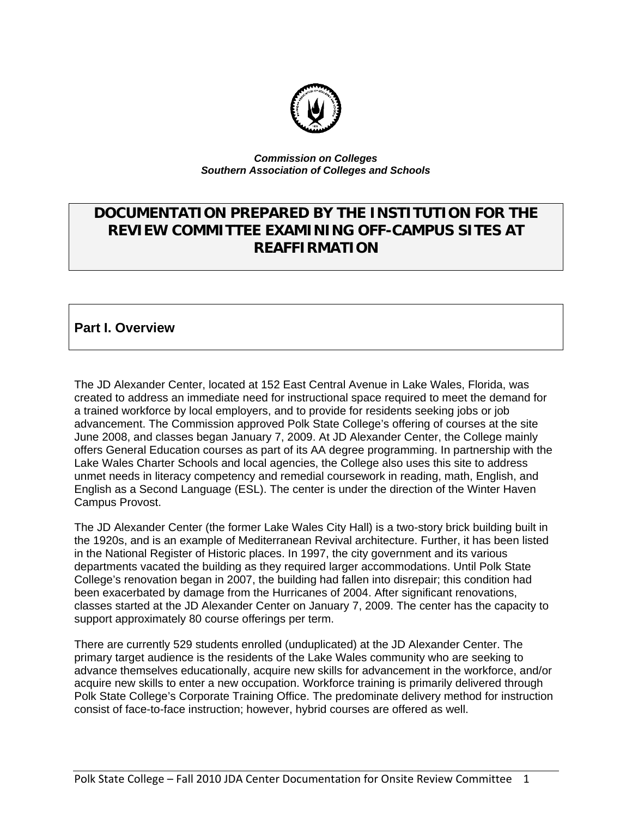

#### *Commission on Colleges Southern Association of Colleges and Schools*

### **DOCUMENTATION PREPARED BY THE INSTITUTION FOR THE REVIEW COMMITTEE EXAMINING OFF-CAMPUS SITES AT REAFFIRMATION**

### **Part I. Overview**

The JD Alexander Center, located at 152 East Central Avenue in Lake Wales, Florida, was created to address an immediate need for instructional space required to meet the demand for a trained workforce by local employers, and to provide for residents seeking jobs or job advancement. The Commission approved Polk State College's offering of courses at the site June 2008, and classes began January 7, 2009. At JD Alexander Center, the College mainly offers General Education courses as part of its AA degree programming. In partnership with the Lake Wales Charter Schools and local agencies, the College also uses this site to address unmet needs in literacy competency and remedial coursework in reading, math, English, and English as a Second Language (ESL). The center is under the direction of the Winter Haven Campus Provost.

The JD Alexander Center (the former Lake Wales City Hall) is a two-story brick building built in the 1920s, and is an example of Mediterranean Revival architecture. Further, it has been listed in the National Register of Historic places. In 1997, the city government and its various departments vacated the building as they required larger accommodations. Until Polk State College's renovation began in 2007, the building had fallen into disrepair; this condition had been exacerbated by damage from the Hurricanes of 2004. After significant renovations, classes started at the JD Alexander Center on January 7, 2009. The center has the capacity to support approximately 80 course offerings per term.

There are currently 529 students enrolled (unduplicated) at the JD Alexander Center. The primary target audience is the residents of the Lake Wales community who are seeking to advance themselves educationally, acquire new skills for advancement in the workforce, and/or acquire new skills to enter a new occupation. Workforce training is primarily delivered through Polk State College's Corporate Training Office. The predominate delivery method for instruction consist of face-to-face instruction; however, hybrid courses are offered as well.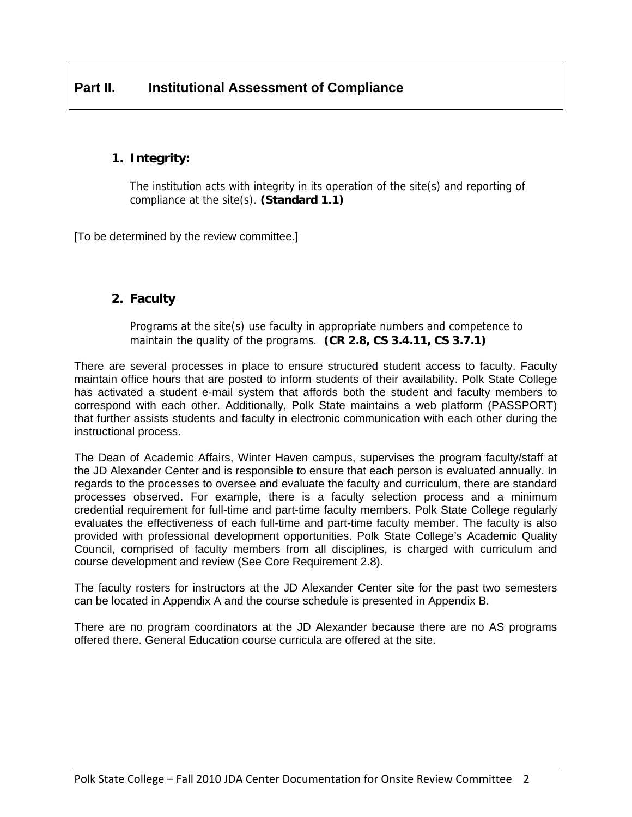### **1. Integrity:**

The institution acts with integrity in its operation of the site(s) and reporting of compliance at the site(s). **(Standard 1.1)** 

[To be determined by the review committee.]

### **2. Faculty**

Programs at the site(s) use faculty in appropriate numbers and competence to maintain the quality of the programs. **(CR 2.8, CS 3.4.11, CS 3.7.1)** 

There are several processes in place to ensure structured student access to faculty. Faculty maintain office hours that are posted to inform students of their availability. Polk State College has activated a student e-mail system that affords both the student and faculty members to correspond with each other. Additionally, Polk State maintains a web platform (PASSPORT) that further assists students and faculty in electronic communication with each other during the instructional process.

The Dean of Academic Affairs, Winter Haven campus, supervises the program faculty/staff at the JD Alexander Center and is responsible to ensure that each person is evaluated annually. In regards to the processes to oversee and evaluate the faculty and curriculum, there are standard processes observed. For example, there is a faculty selection process and a minimum credential requirement for full-time and part-time faculty members. Polk State College regularly evaluates the effectiveness of each full-time and part-time faculty member. The faculty is also provided with professional development opportunities. Polk State College's Academic Quality Council, comprised of faculty members from all disciplines, is charged with curriculum and course development and review (See Core Requirement 2.8).

The faculty rosters for instructors at the JD Alexander Center site for the past two semesters can be located in Appendix A and the course schedule is presented in Appendix B.

There are no program coordinators at the JD Alexander because there are no AS programs offered there. General Education course curricula are offered at the site.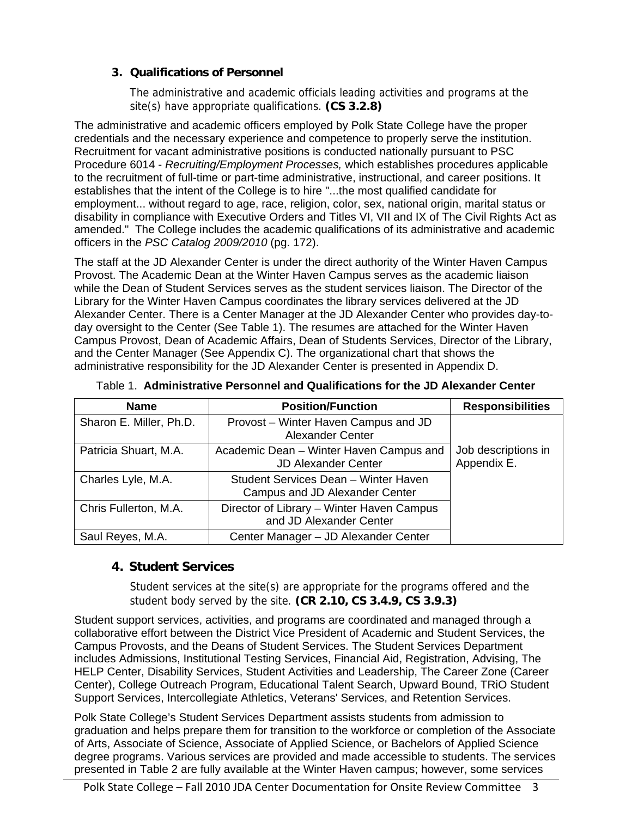### **3. Qualifications of Personnel**

The administrative and academic officials leading activities and programs at the site(s) have appropriate qualifications. **(CS 3.2.8)** 

The administrative and academic officers employed by Polk State College have the proper credentials and the necessary experience and competence to properly serve the institution. Recruitment for vacant administrative positions is conducted nationally pursuant to PSC Procedure 6014 - *Recruiting/Employment Processes,* which establishes procedures applicable to the recruitment of full-time or part-time administrative, instructional, and career positions. It establishes that the intent of the College is to hire "...the most qualified candidate for employment... without regard to age, race, religion, color, sex, national origin, marital status or disability in compliance with Executive Orders and Titles VI, VII and IX of The Civil Rights Act as amended." The College includes the academic qualifications of its administrative and academic officers in the *PSC Catalog 2009/2010* (pg. 172).

The staff at the JD Alexander Center is under the direct authority of the Winter Haven Campus Provost. The Academic Dean at the Winter Haven Campus serves as the academic liaison while the Dean of Student Services serves as the student services liaison. The Director of the Library for the Winter Haven Campus coordinates the library services delivered at the JD Alexander Center. There is a Center Manager at the JD Alexander Center who provides day-today oversight to the Center (See Table 1). The resumes are attached for the Winter Haven Campus Provost, Dean of Academic Affairs, Dean of Students Services, Director of the Library, and the Center Manager (See Appendix C). The organizational chart that shows the administrative responsibility for the JD Alexander Center is presented in Appendix D.

| <b>Name</b>             | <b>Position/Function</b>                                               | <b>Responsibilities</b>            |
|-------------------------|------------------------------------------------------------------------|------------------------------------|
| Sharon E. Miller, Ph.D. | Provost – Winter Haven Campus and JD<br><b>Alexander Center</b>        |                                    |
| Patricia Shuart, M.A.   | Academic Dean - Winter Haven Campus and<br><b>JD Alexander Center</b>  | Job descriptions in<br>Appendix E. |
| Charles Lyle, M.A.      | Student Services Dean - Winter Haven<br>Campus and JD Alexander Center |                                    |
| Chris Fullerton, M.A.   | Director of Library - Winter Haven Campus<br>and JD Alexander Center   |                                    |
| Saul Reyes, M.A.        | Center Manager - JD Alexander Center                                   |                                    |

Table 1. **Administrative Personnel and Qualifications for the JD Alexander Center** 

### **4. Student Services**

Student services at the site(s) are appropriate for the programs offered and the student body served by the site. **(CR 2.10, CS 3.4.9, CS 3.9.3)** 

Student support services, activities, and programs are coordinated and managed through a collaborative effort between the District Vice President of Academic and Student Services, the Campus Provosts, and the Deans of Student Services. The Student Services Department includes Admissions, Institutional Testing Services, Financial Aid, Registration, Advising, The HELP Center, Disability Services, Student Activities and Leadership, The Career Zone (Career Center), College Outreach Program, Educational Talent Search, Upward Bound, TRiO Student Support Services, Intercollegiate Athletics, Veterans' Services, and Retention Services.

Polk State College's Student Services Department assists students from admission to graduation and helps prepare them for transition to the workforce or completion of the Associate of Arts, Associate of Science, Associate of Applied Science, or Bachelors of Applied Science degree programs. Various services are provided and made accessible to students. The services presented in Table 2 are fully available at the Winter Haven campus; however, some services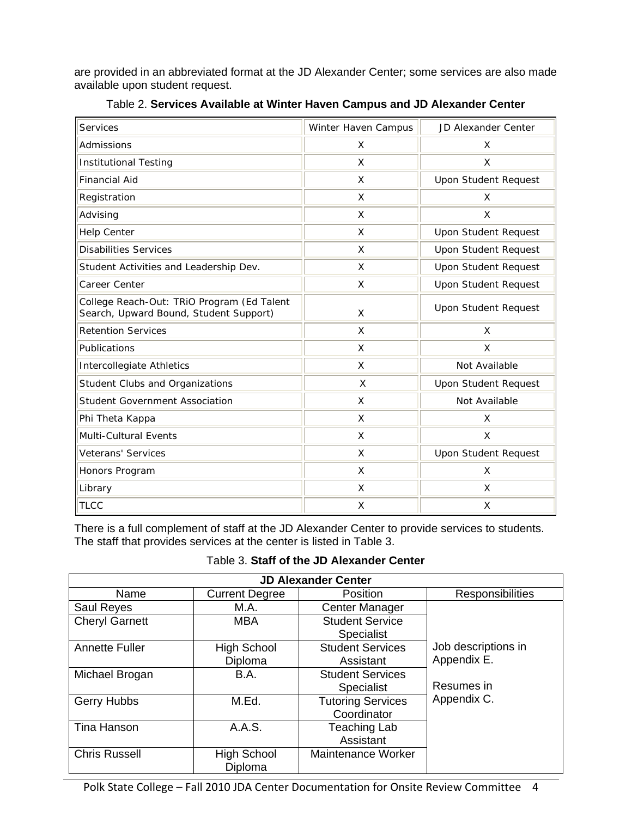are provided in an abbreviated format at the JD Alexander Center; some services are also made available upon student request.

| <b>Services</b>                                                                      | Winter Haven Campus | <b>JD Alexander Center</b>  |
|--------------------------------------------------------------------------------------|---------------------|-----------------------------|
| Admissions                                                                           | X                   | Χ                           |
| <b>Institutional Testing</b>                                                         | X                   | X                           |
| <b>Financial Aid</b>                                                                 | X                   | <b>Upon Student Request</b> |
| Registration                                                                         | X                   | X                           |
| Advising                                                                             | $\mathsf{x}$        | X                           |
| <b>Help Center</b>                                                                   | X                   | <b>Upon Student Request</b> |
| <b>Disabilities Services</b>                                                         | X                   | <b>Upon Student Request</b> |
| Student Activities and Leadership Dev.                                               | X                   | <b>Upon Student Request</b> |
| Career Center                                                                        | X                   | <b>Upon Student Request</b> |
| College Reach-Out: TRIO Program (Ed Talent<br>Search, Upward Bound, Student Support) | X                   | <b>Upon Student Request</b> |
| <b>Retention Services</b>                                                            | X                   | X                           |
| Publications                                                                         | X                   | X                           |
| Intercollegiate Athletics                                                            | X                   | Not Available               |
| Student Clubs and Organizations                                                      | X                   | Upon Student Request        |
| <b>Student Government Association</b>                                                | X                   | Not Available               |
| Phi Theta Kappa                                                                      | X                   | X                           |
| Multi-Cultural Events                                                                | X                   | X                           |
| <b>Veterans' Services</b>                                                            | X                   | <b>Upon Student Request</b> |
| Honors Program                                                                       | X                   | X                           |
| Library                                                                              | X                   | X                           |
| <b>TLCC</b>                                                                          | X                   | X                           |

Table 2. **Services Available at Winter Haven Campus and JD Alexander Center**

There is a full complement of staff at the JD Alexander Center to provide services to students. The staff that provides services at the center is listed in Table 3.

|  |  |  | Table 3. Staff of the JD Alexander Center |  |
|--|--|--|-------------------------------------------|--|
|--|--|--|-------------------------------------------|--|

| <b>JD Alexander Center</b> |                       |                          |                         |  |
|----------------------------|-----------------------|--------------------------|-------------------------|--|
| Name                       | <b>Current Degree</b> | <b>Position</b>          | <b>Responsibilities</b> |  |
| <b>Saul Reyes</b>          | M.A.                  | <b>Center Manager</b>    |                         |  |
| <b>Cheryl Garnett</b>      | <b>MBA</b>            | <b>Student Service</b>   |                         |  |
|                            |                       | <b>Specialist</b>        |                         |  |
| Annette Fuller             | <b>High School</b>    | <b>Student Services</b>  | Job descriptions in     |  |
|                            | Diploma               | Assistant                | Appendix E.             |  |
| Michael Brogan             | B.A.                  | <b>Student Services</b>  |                         |  |
|                            |                       | <b>Specialist</b>        | Resumes in              |  |
| Gerry Hubbs                | M.Ed.                 | <b>Tutoring Services</b> | Appendix C.             |  |
|                            |                       | Coordinator              |                         |  |
| <b>Tina Hanson</b>         | A.A.S.                | Teaching Lab             |                         |  |
|                            |                       | Assistant                |                         |  |
| <b>Chris Russell</b>       | <b>High School</b>    | Maintenance Worker       |                         |  |
|                            | Diploma               |                          |                         |  |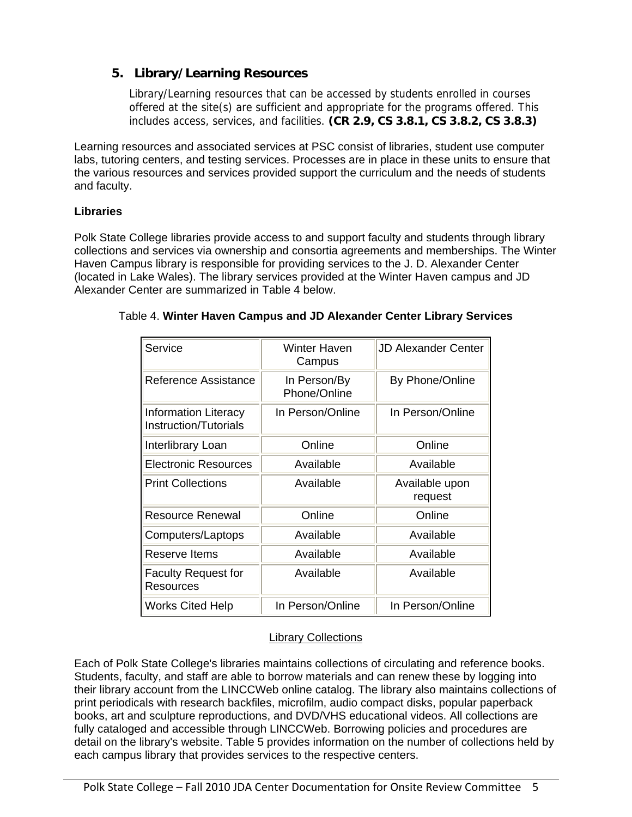### **5. Library/Learning Resources**

Library/Learning resources that can be accessed by students enrolled in courses offered at the site(s) are sufficient and appropriate for the programs offered. This includes access, services, and facilities. **(CR 2.9, CS 3.8.1, CS 3.8.2, CS 3.8.3)** 

Learning resources and associated services at PSC consist of libraries, student use computer labs, tutoring centers, and testing services. Processes are in place in these units to ensure that the various resources and services provided support the curriculum and the needs of students and faculty.

### **Libraries**

Polk State College libraries provide access to and support faculty and students through library collections and services via ownership and consortia agreements and memberships. The Winter Haven Campus library is responsible for providing services to the J. D. Alexander Center (located in Lake Wales). The library services provided at the Winter Haven campus and JD Alexander Center are summarized in Table 4 below.

| Service                                              | <b>Winter Haven</b><br>Campus | <b>JD Alexander Center</b> |
|------------------------------------------------------|-------------------------------|----------------------------|
| Reference Assistance                                 | In Person/By<br>Phone/Online  | By Phone/Online            |
| <b>Information Literacy</b><br>Instruction/Tutorials | In Person/Online              | In Person/Online           |
| Interlibrary Loan                                    | Online                        | Online                     |
| <b>Electronic Resources</b>                          | Available                     | Available                  |
| <b>Print Collections</b>                             | Available                     | Available upon<br>request  |
| Resource Renewal                                     | Online                        | Online                     |
| Computers/Laptops                                    | Available                     | Available                  |
| Reserve Items                                        | Available                     | Available                  |
| <b>Faculty Request for</b><br>Resources              | Available                     | Available                  |
| <b>Works Cited Help</b>                              | In Person/Online              | In Person/Online           |

### Table 4. **Winter Haven Campus and JD Alexander Center Library Services**

### Library Collections

Each of Polk State College's libraries maintains collections of circulating and reference books. Students, faculty, and staff are able to borrow materials and can renew these by logging into their library account from the LINCCWeb online catalog. The library also maintains collections of print periodicals with research backfiles, microfilm, audio compact disks, popular paperback books, art and sculpture reproductions, and DVD/VHS educational videos. All collections are fully cataloged and accessible through LINCCWeb. Borrowing policies and procedures are detail on the library's website. Table 5 provides information on the number of collections held by each campus library that provides services to the respective centers.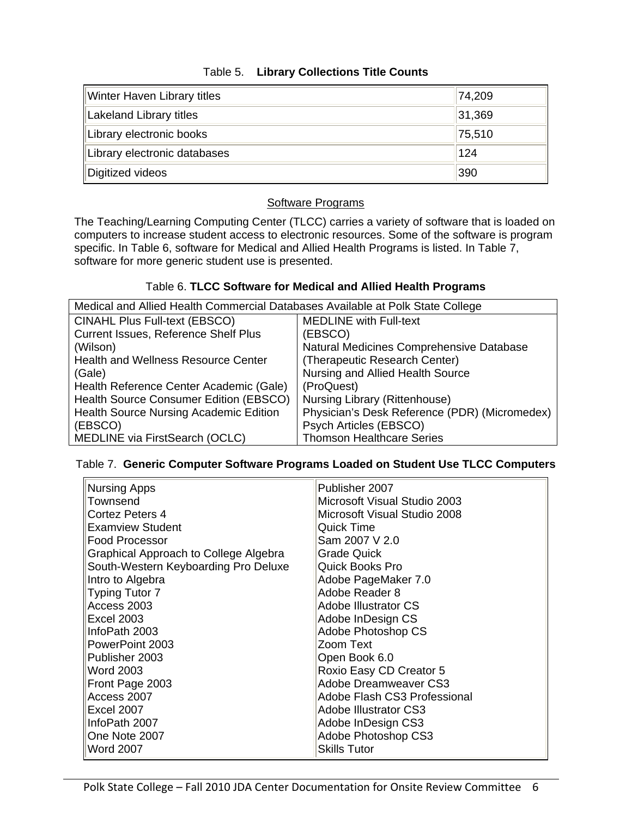| Winter Haven Library titles  | 74,209 |
|------------------------------|--------|
| Lakeland Library titles      | 31,369 |
| Library electronic books     | 75,510 |
| Library electronic databases | 124    |
| Digitized videos             | 390    |

### Table 5. **Library Collections Title Counts**

### Software Programs

The Teaching/Learning Computing Center (TLCC) carries a variety of software that is loaded on computers to increase student access to electronic resources. Some of the software is program specific. In Table 6, software for Medical and Allied Health Programs is listed. In Table 7, software for more generic student use is presented.

### Table 6. **TLCC Software for Medical and Allied Health Programs**

| Medical and Allied Health Commercial Databases Available at Polk State College |                                               |  |  |
|--------------------------------------------------------------------------------|-----------------------------------------------|--|--|
| <b>CINAHL Plus Full-text (EBSCO)</b>                                           | <b>MEDLINE with Full-text</b>                 |  |  |
| Current Issues, Reference Shelf Plus                                           | (EBSCO)                                       |  |  |
| (Wilson)                                                                       | Natural Medicines Comprehensive Database      |  |  |
| <b>Health and Wellness Resource Center</b>                                     | (Therapeutic Research Center)                 |  |  |
| (Gale)                                                                         | Nursing and Allied Health Source              |  |  |
| Health Reference Center Academic (Gale)                                        | (ProQuest)                                    |  |  |
| Health Source Consumer Edition (EBSCO)                                         | Nursing Library (Rittenhouse)                 |  |  |
| Health Source Nursing Academic Edition                                         | Physician's Desk Reference (PDR) (Micromedex) |  |  |
| (EBSCO)                                                                        | Psych Articles (EBSCO)                        |  |  |
| MEDLINE via FirstSearch (OCLC)                                                 | <b>Thomson Healthcare Series</b>              |  |  |

### Table 7. **Generic Computer Software Programs Loaded on Student Use TLCC Computers**

| <b>Nursing Apps</b>                   | Publisher 2007               |
|---------------------------------------|------------------------------|
| Townsend                              | Microsoft Visual Studio 2003 |
| Cortez Peters 4                       | Microsoft Visual Studio 2008 |
| <b>Examview Student</b>               | Quick Time                   |
| Food Processor                        | Sam 2007 V 2.0               |
| Graphical Approach to College Algebra | <b>Grade Quick</b>           |
| South-Western Keyboarding Pro Deluxe  | <b>Quick Books Pro</b>       |
| Intro to Algebra                      | Adobe PageMaker 7.0          |
| <b>Typing Tutor 7</b>                 | Adobe Reader 8               |
| Access 2003                           | Adobe Illustrator CS         |
| <b>Excel 2003</b>                     | Adobe InDesign CS            |
| InfoPath 2003                         | Adobe Photoshop CS           |
| PowerPoint 2003                       | Zoom Text                    |
| Publisher 2003                        | Open Book 6.0                |
| Word 2003                             | Roxio Easy CD Creator 5      |
| Front Page 2003                       | Adobe Dreamweaver CS3        |
| Access 2007                           | Adobe Flash CS3 Professional |
| <b>Excel 2007</b>                     | <b>Adobe Illustrator CS3</b> |
| InfoPath 2007                         | Adobe InDesign CS3           |
| One Note 2007                         | Adobe Photoshop CS3          |
| <b>Word 2007</b>                      | <b>Skills Tutor</b>          |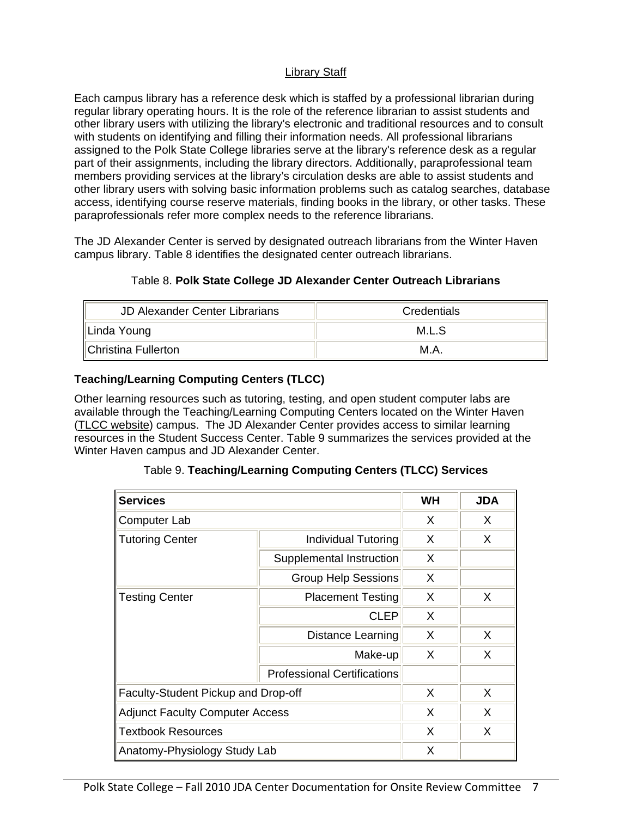### Library Staff

Each campus library has a reference desk which is staffed by a professional librarian during regular library operating hours. It is the role of the reference librarian to assist students and other library users with utilizing the library's electronic and traditional resources and to consult with students on identifying and filling their information needs. All professional librarians assigned to the Polk State College libraries serve at the library's reference desk as a regular part of their assignments, including the library directors. Additionally, paraprofessional team members providing services at the library's circulation desks are able to assist students and other library users with solving basic information problems such as catalog searches, database access, identifying course reserve materials, finding books in the library, or other tasks. These paraprofessionals refer more complex needs to the reference librarians.

The JD Alexander Center is served by designated outreach librarians from the Winter Haven campus library. Table 8 identifies the designated center outreach librarians.

| <b>JD Alexander Center Librarians</b> | Credentials |
|---------------------------------------|-------------|
| Linda Young                           | M.L.S       |
|                                       |             |

### Table 8. **Polk State College JD Alexander Center Outreach Librarians**

### **Teaching/Learning Computing Centers (TLCC)**

Other learning resources such as tutoring, testing, and open student computer labs are available through the Teaching/Learning Computing Centers located on the Winter Haven (TLCC website) campus. The JD Alexander Center provides access to similar learning resources in the Student Success Center. Table 9 summarizes the services provided at the Winter Haven campus and JD Alexander Center.

Christina Fullerton M.A.

| <b>Services</b>                        |                                    | <b>WH</b> | <b>JDA</b> |
|----------------------------------------|------------------------------------|-----------|------------|
| <b>Computer Lab</b>                    |                                    | X         | X.         |
| <b>Tutoring Center</b>                 | <b>Individual Tutoring</b>         | X         | X          |
|                                        | Supplemental Instruction           | X         |            |
|                                        | <b>Group Help Sessions</b>         | X         |            |
| <b>Testing Center</b>                  | <b>Placement Testing</b>           | X         | X          |
|                                        | <b>CLEP</b>                        | X         |            |
|                                        | Distance Learning                  | X         | X          |
|                                        | Make-up                            | X         | X          |
|                                        | <b>Professional Certifications</b> |           |            |
| Faculty-Student Pickup and Drop-off    |                                    | X         | X          |
| <b>Adjunct Faculty Computer Access</b> |                                    | X         | X          |
| <b>Textbook Resources</b>              |                                    | X         | X          |
| Anatomy-Physiology Study Lab           |                                    | X         |            |

### Table 9. **Teaching/Learning Computing Centers (TLCC) Services**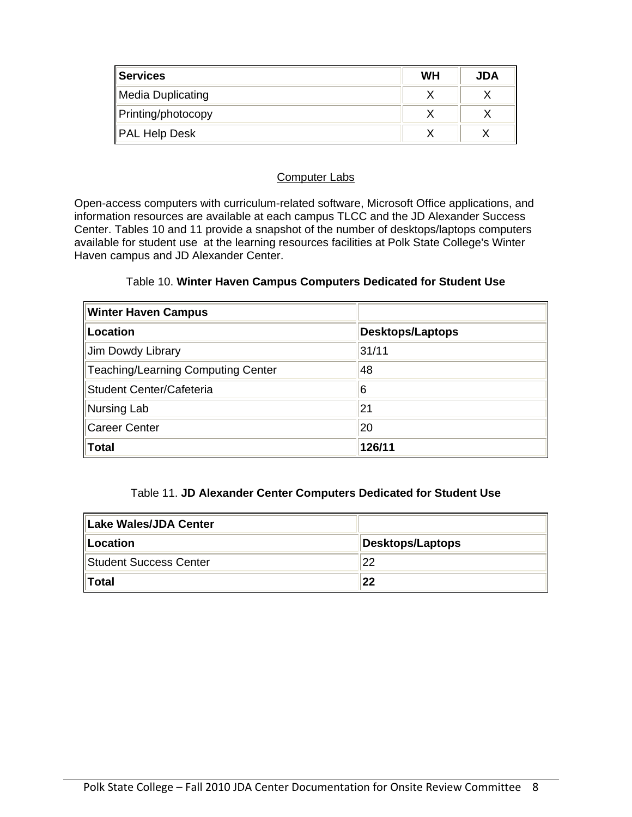| <b>Services</b>    | <b>WH</b> | JDA |
|--------------------|-----------|-----|
| Media Duplicating  |           |     |
| Printing/photocopy |           |     |
| PAL Help Desk      |           |     |

#### Computer Labs

Open-access computers with curriculum-related software, Microsoft Office applications, and information resources are available at each campus TLCC and the JD Alexander Success Center. Tables 10 and 11 provide a snapshot of the number of desktops/laptops computers available for student use at the learning resources facilities at Polk State College's Winter Haven campus and JD Alexander Center.

### Table 10. **Winter Haven Campus Computers Dedicated for Student Use**

| <b>Winter Haven Campus</b>         |                         |
|------------------------------------|-------------------------|
| Location                           | <b>Desktops/Laptops</b> |
| Jim Dowdy Library                  | 31/11                   |
| Teaching/Learning Computing Center | 48                      |
| Student Center/Cafeteria           | 6                       |
| Nursing Lab                        | 21                      |
| Career Center                      | 20                      |
| Total                              | 126/11                  |

### Table 11. **JD Alexander Center Computers Dedicated for Student Use**

| Lake Wales/JDA Center   |                         |
|-------------------------|-------------------------|
| Location                | <b>Desktops/Laptops</b> |
| ∥Student Success Center | 22                      |
| llTotal                 | 22                      |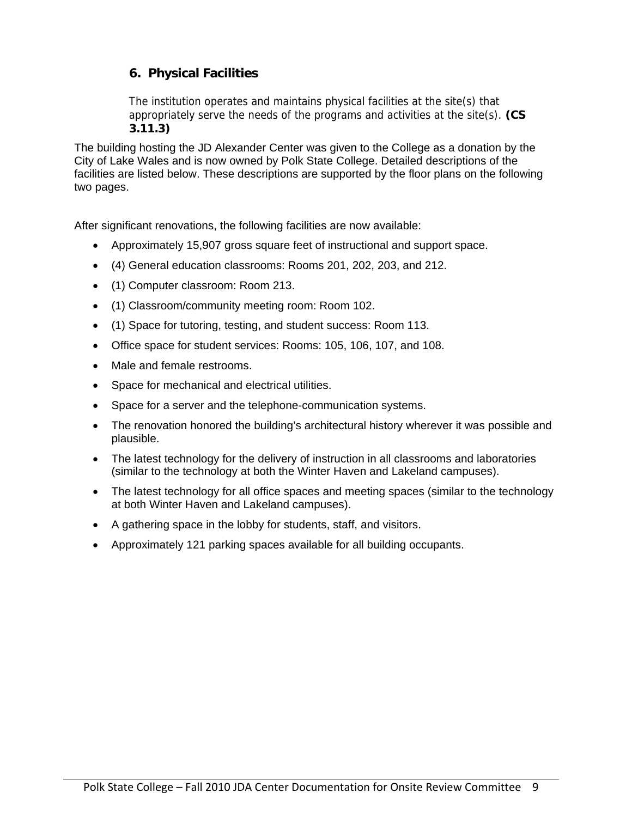### **6. Physical Facilities**

The institution operates and maintains physical facilities at the site(s) that appropriately serve the needs of the programs and activities at the site(s). **(CS 3.11.3)** 

The building hosting the JD Alexander Center was given to the College as a donation by the City of Lake Wales and is now owned by Polk State College. Detailed descriptions of the facilities are listed below. These descriptions are supported by the floor plans on the following two pages.

After significant renovations, the following facilities are now available:

- Approximately 15,907 gross square feet of instructional and support space.
- (4) General education classrooms: Rooms 201, 202, 203, and 212.
- (1) Computer classroom: Room 213.
- (1) Classroom/community meeting room: Room 102.
- (1) Space for tutoring, testing, and student success: Room 113.
- Office space for student services: Rooms: 105, 106, 107, and 108.
- Male and female restrooms.
- Space for mechanical and electrical utilities.
- Space for a server and the telephone-communication systems.
- The renovation honored the building's architectural history wherever it was possible and plausible.
- The latest technology for the delivery of instruction in all classrooms and laboratories (similar to the technology at both the Winter Haven and Lakeland campuses).
- The latest technology for all office spaces and meeting spaces (similar to the technology at both Winter Haven and Lakeland campuses).
- A gathering space in the lobby for students, staff, and visitors.
- Approximately 121 parking spaces available for all building occupants.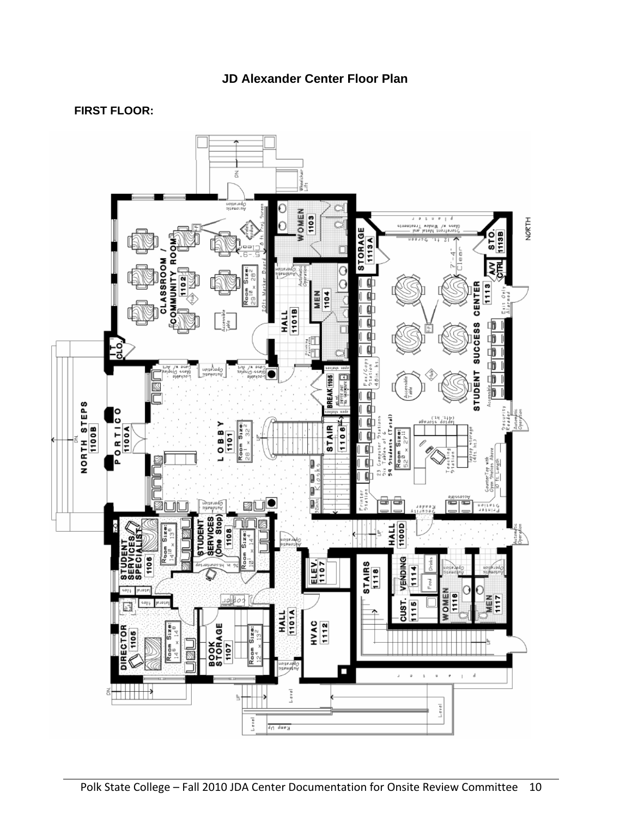### **JD Alexander Center Floor Plan**

### **FIRST FLOOR:**

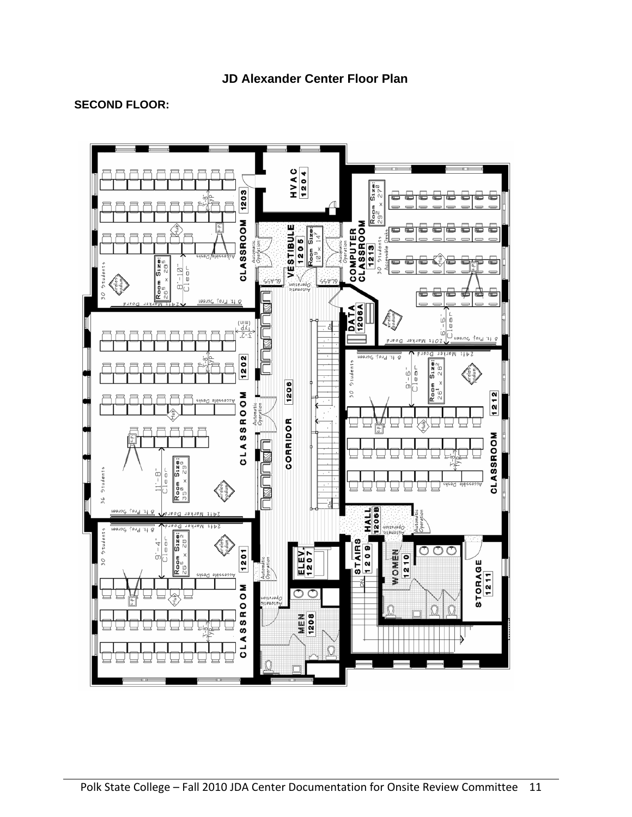### **SECOND FLOOR:**

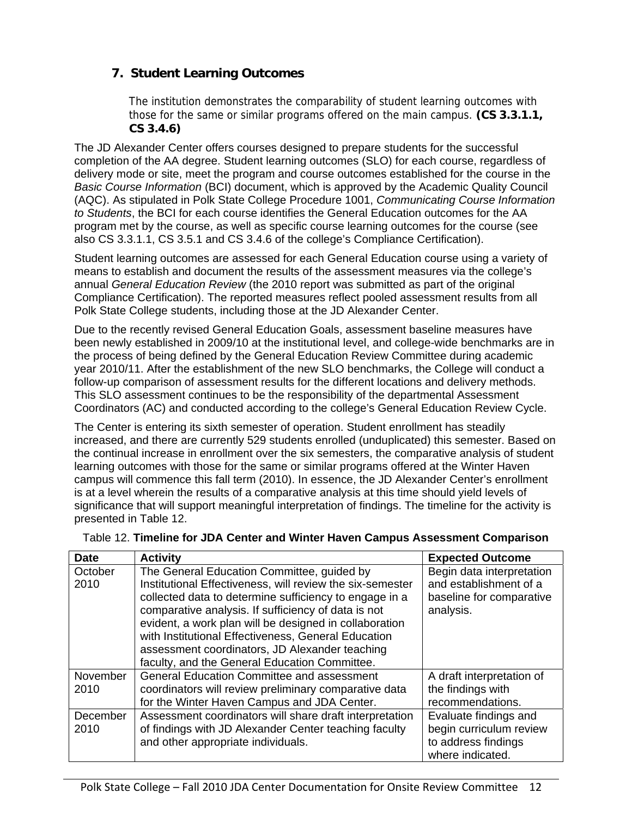### **7. Student Learning Outcomes**

The institution demonstrates the comparability of student learning outcomes with those for the same or similar programs offered on the main campus. **(CS 3.3.1.1, CS 3.4.6)** 

The JD Alexander Center offers courses designed to prepare students for the successful completion of the AA degree. Student learning outcomes (SLO) for each course, regardless of delivery mode or site, meet the program and course outcomes established for the course in the *Basic Course Information* (BCI) document, which is approved by the Academic Quality Council (AQC). As stipulated in Polk State College Procedure 1001, *Communicating Course Information to Students*, the BCI for each course identifies the General Education outcomes for the AA program met by the course, as well as specific course learning outcomes for the course (see also CS 3.3.1.1, CS 3.5.1 and CS 3.4.6 of the college's Compliance Certification).

Student learning outcomes are assessed for each General Education course using a variety of means to establish and document the results of the assessment measures via the college's annual *General Education Review* (the 2010 report was submitted as part of the original Compliance Certification). The reported measures reflect pooled assessment results from all Polk State College students, including those at the JD Alexander Center.

Due to the recently revised General Education Goals, assessment baseline measures have been newly established in 2009/10 at the institutional level, and college-wide benchmarks are in the process of being defined by the General Education Review Committee during academic year 2010/11. After the establishment of the new SLO benchmarks, the College will conduct a follow-up comparison of assessment results for the different locations and delivery methods. This SLO assessment continues to be the responsibility of the departmental Assessment Coordinators (AC) and conducted according to the college's General Education Review Cycle.

The Center is entering its sixth semester of operation. Student enrollment has steadily increased, and there are currently 529 students enrolled (unduplicated) this semester. Based on the continual increase in enrollment over the six semesters, the comparative analysis of student learning outcomes with those for the same or similar programs offered at the Winter Haven campus will commence this fall term (2010). In essence, the JD Alexander Center's enrollment is at a level wherein the results of a comparative analysis at this time should yield levels of significance that will support meaningful interpretation of findings. The timeline for the activity is presented in Table 12.

| <b>Date</b>      | <b>Activity</b>                                                                                                                                                                                                                                                                                                                                                                                                                              | <b>Expected Outcome</b>                                                                      |
|------------------|----------------------------------------------------------------------------------------------------------------------------------------------------------------------------------------------------------------------------------------------------------------------------------------------------------------------------------------------------------------------------------------------------------------------------------------------|----------------------------------------------------------------------------------------------|
| October<br>2010  | The General Education Committee, guided by<br>Institutional Effectiveness, will review the six-semester<br>collected data to determine sufficiency to engage in a<br>comparative analysis. If sufficiency of data is not<br>evident, a work plan will be designed in collaboration<br>with Institutional Effectiveness, General Education<br>assessment coordinators, JD Alexander teaching<br>faculty, and the General Education Committee. | Begin data interpretation<br>and establishment of a<br>baseline for comparative<br>analysis. |
| November<br>2010 | <b>General Education Committee and assessment</b><br>coordinators will review preliminary comparative data<br>for the Winter Haven Campus and JDA Center.                                                                                                                                                                                                                                                                                    | A draft interpretation of<br>the findings with<br>recommendations.                           |
| December<br>2010 | Assessment coordinators will share draft interpretation<br>of findings with JD Alexander Center teaching faculty<br>and other appropriate individuals.                                                                                                                                                                                                                                                                                       | Evaluate findings and<br>begin curriculum review<br>to address findings<br>where indicated.  |

Table 12. **Timeline for JDA Center and Winter Haven Campus Assessment Comparison**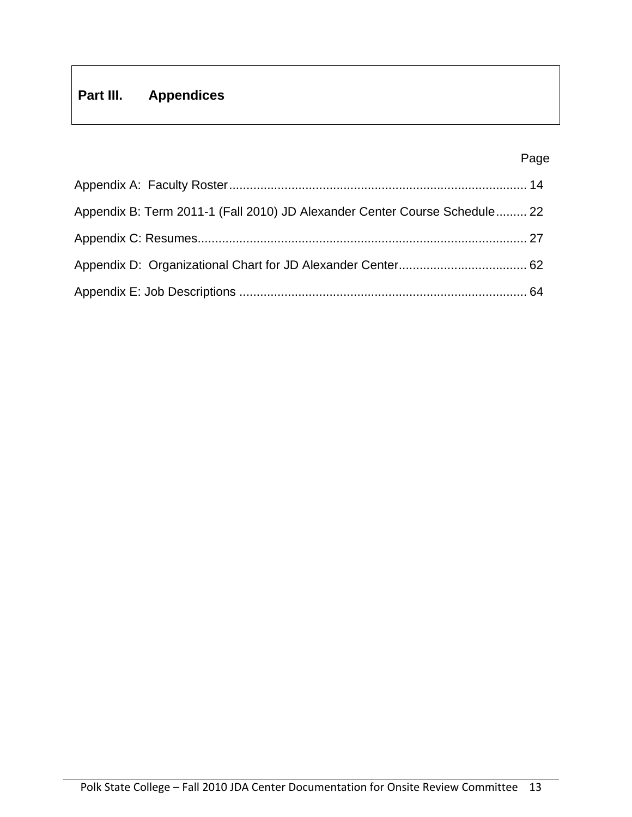## **Part III. Appendices**

### Page in the contract of the contract of the contract of the contract of the contract of the contract of the contract of the contract of the contract of the contract of the contract of the contract of the contract of the co

| Appendix B: Term 2011-1 (Fall 2010) JD Alexander Center Course Schedule 22 |  |
|----------------------------------------------------------------------------|--|
|                                                                            |  |
|                                                                            |  |
|                                                                            |  |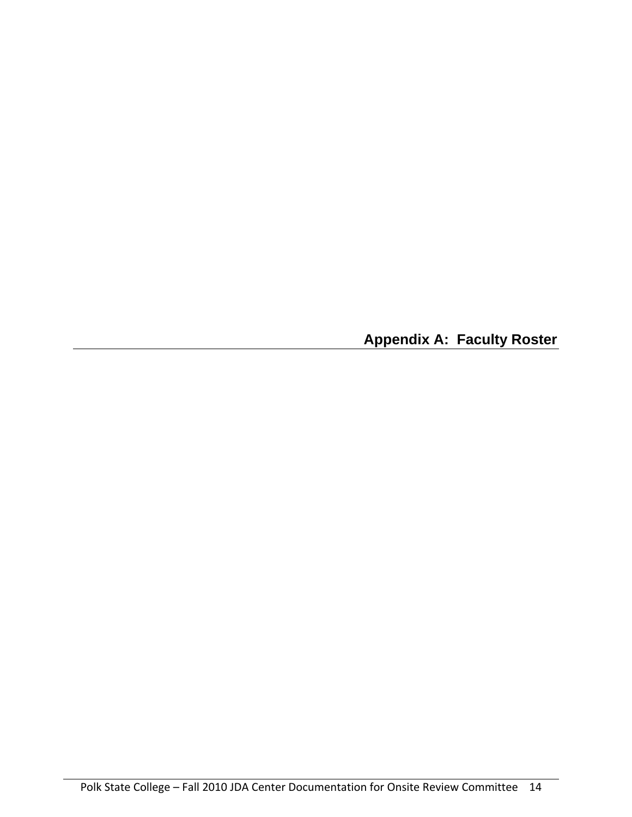**Appendix A: Faculty Roster**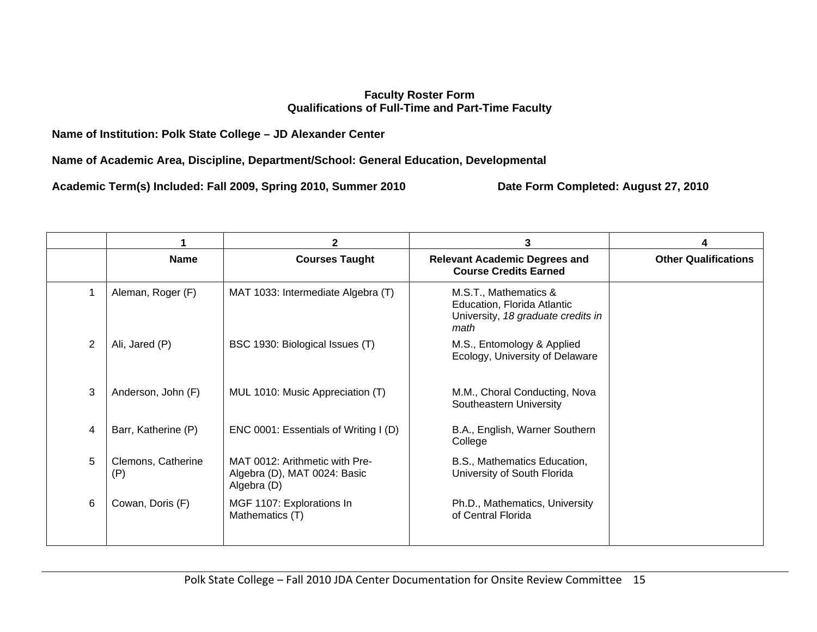### **Faculty Roster Form Qualifications of Full-Time and Part-Time Faculty**

### **Name of Institution: Polk State College – JD Alexander Center**

**Name of Academic Area, Discipline, Department/School: General Education, Developmental** 

**Academic Term(s) Included: Fall 2009, Spring 2010, Summer 2010 Date Form Completed: August 27, 2010** 

|   |                           | $\mathbf{2}$                                                                  | 3                                                                                                  | 4                           |
|---|---------------------------|-------------------------------------------------------------------------------|----------------------------------------------------------------------------------------------------|-----------------------------|
|   | <b>Name</b>               | <b>Courses Taught</b>                                                         | <b>Relevant Academic Degrees and</b><br><b>Course Credits Earned</b>                               | <b>Other Qualifications</b> |
|   | Aleman, Roger (F)         | MAT 1033: Intermediate Algebra (T)                                            | M.S.T., Mathematics &<br>Education, Florida Atlantic<br>University, 18 graduate credits in<br>math |                             |
| 2 | Ali, Jared (P)            | BSC 1930: Biological Issues (T)                                               | M.S., Entomology & Applied<br>Ecology, University of Delaware                                      |                             |
| 3 | Anderson, John (F)        | MUL 1010: Music Appreciation (T)                                              | M.M., Choral Conducting, Nova<br>Southeastern University                                           |                             |
| 4 | Barr, Katherine (P)       | ENC 0001: Essentials of Writing I (D)                                         | B.A., English, Warner Southern<br>College                                                          |                             |
| 5 | Clemons, Catherine<br>(P) | MAT 0012: Arithmetic with Pre-<br>Algebra (D), MAT 0024: Basic<br>Algebra (D) | B.S., Mathematics Education,<br>University of South Florida                                        |                             |
| 6 | Cowan, Doris (F)          | MGF 1107: Explorations In<br>Mathematics (T)                                  | Ph.D., Mathematics, University<br>of Central Florida                                               |                             |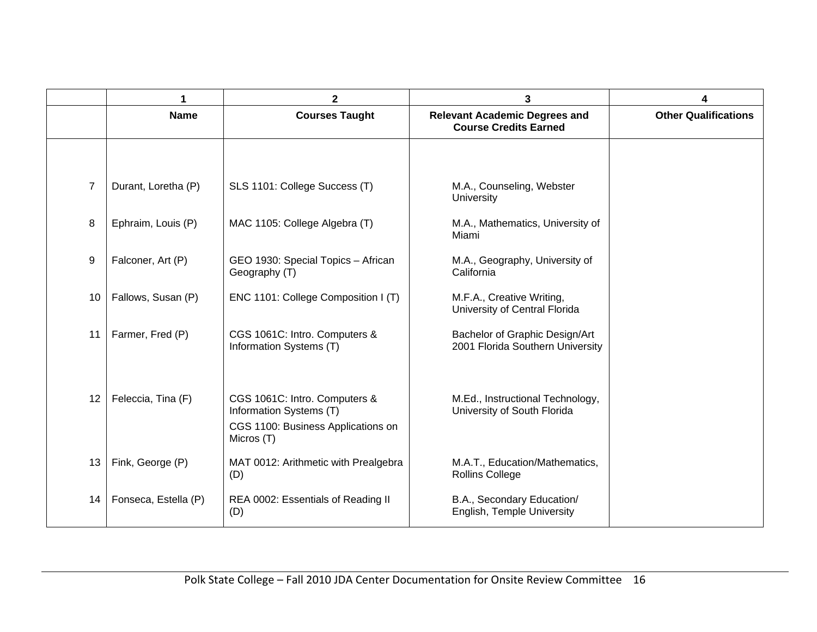|                |                      | $\mathbf{2}$                                                                                                 | 3                                                                    | 4                           |
|----------------|----------------------|--------------------------------------------------------------------------------------------------------------|----------------------------------------------------------------------|-----------------------------|
|                | <b>Name</b>          | <b>Courses Taught</b>                                                                                        | <b>Relevant Academic Degrees and</b><br><b>Course Credits Earned</b> | <b>Other Qualifications</b> |
|                |                      |                                                                                                              |                                                                      |                             |
| $\overline{7}$ | Durant, Loretha (P)  | SLS 1101: College Success (T)                                                                                | M.A., Counseling, Webster<br>University                              |                             |
| 8              | Ephraim, Louis (P)   | MAC 1105: College Algebra (T)                                                                                | M.A., Mathematics, University of<br>Miami                            |                             |
| 9              | Falconer, Art (P)    | GEO 1930: Special Topics - African<br>Geography (T)                                                          | M.A., Geography, University of<br>California                         |                             |
| 10             | Fallows, Susan (P)   | ENC 1101: College Composition I (T)                                                                          | M.F.A., Creative Writing,<br>University of Central Florida           |                             |
| 11             | Farmer, Fred (P)     | CGS 1061C: Intro. Computers &<br>Information Systems (T)                                                     | Bachelor of Graphic Design/Art<br>2001 Florida Southern University   |                             |
| 12             | Feleccia, Tina (F)   | CGS 1061C: Intro. Computers &<br>Information Systems (T)<br>CGS 1100: Business Applications on<br>Micros (T) | M.Ed., Instructional Technology,<br>University of South Florida      |                             |
| 13             | Fink, George (P)     | MAT 0012: Arithmetic with Prealgebra<br>(D)                                                                  | M.A.T., Education/Mathematics,<br><b>Rollins College</b>             |                             |
| 14             | Fonseca, Estella (P) | REA 0002: Essentials of Reading II<br>(D)                                                                    | B.A., Secondary Education/<br>English, Temple University             |                             |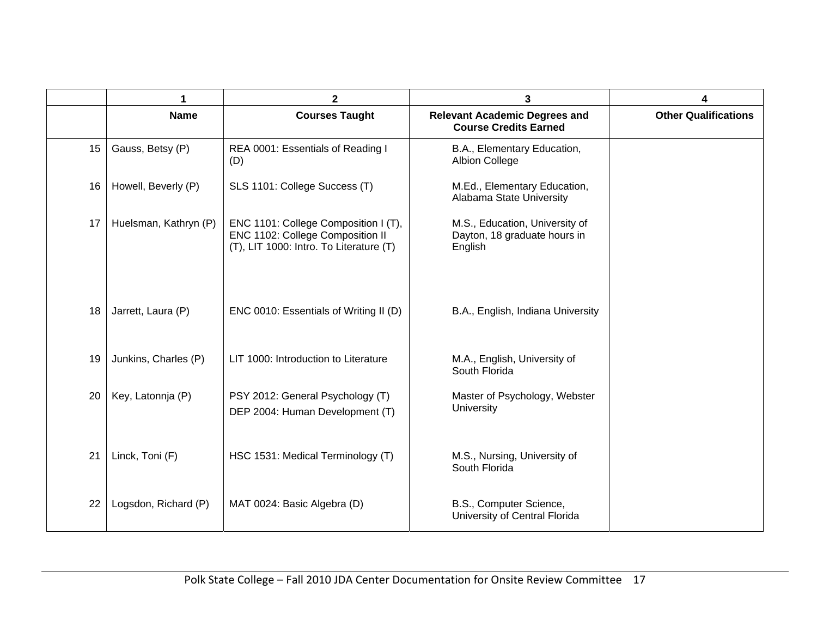|    | 1                     | $\mathbf{2}$                                                                                                        | 3                                                                         |                             |  |  |
|----|-----------------------|---------------------------------------------------------------------------------------------------------------------|---------------------------------------------------------------------------|-----------------------------|--|--|
|    | <b>Name</b>           | <b>Courses Taught</b>                                                                                               | <b>Relevant Academic Degrees and</b><br><b>Course Credits Earned</b>      | <b>Other Qualifications</b> |  |  |
| 15 | Gauss, Betsy (P)      | REA 0001: Essentials of Reading I<br>(D)                                                                            | B.A., Elementary Education,<br><b>Albion College</b>                      |                             |  |  |
| 16 | Howell, Beverly (P)   | SLS 1101: College Success (T)                                                                                       | M.Ed., Elementary Education,<br>Alabama State University                  |                             |  |  |
| 17 | Huelsman, Kathryn (P) | ENC 1101: College Composition I (T),<br>ENC 1102: College Composition II<br>(T), LIT 1000: Intro. To Literature (T) | M.S., Education, University of<br>Dayton, 18 graduate hours in<br>English |                             |  |  |
| 18 | Jarrett, Laura (P)    | ENC 0010: Essentials of Writing II (D)                                                                              | B.A., English, Indiana University                                         |                             |  |  |
| 19 | Junkins, Charles (P)  | LIT 1000: Introduction to Literature                                                                                | M.A., English, University of<br>South Florida                             |                             |  |  |
| 20 | Key, Latonnja (P)     | PSY 2012: General Psychology (T)<br>DEP 2004: Human Development (T)                                                 | Master of Psychology, Webster<br>University                               |                             |  |  |
| 21 | Linck, Toni (F)       | HSC 1531: Medical Terminology (T)                                                                                   | M.S., Nursing, University of<br>South Florida                             |                             |  |  |
| 22 | Logsdon, Richard (P)  | MAT 0024: Basic Algebra (D)                                                                                         | B.S., Computer Science,<br>University of Central Florida                  |                             |  |  |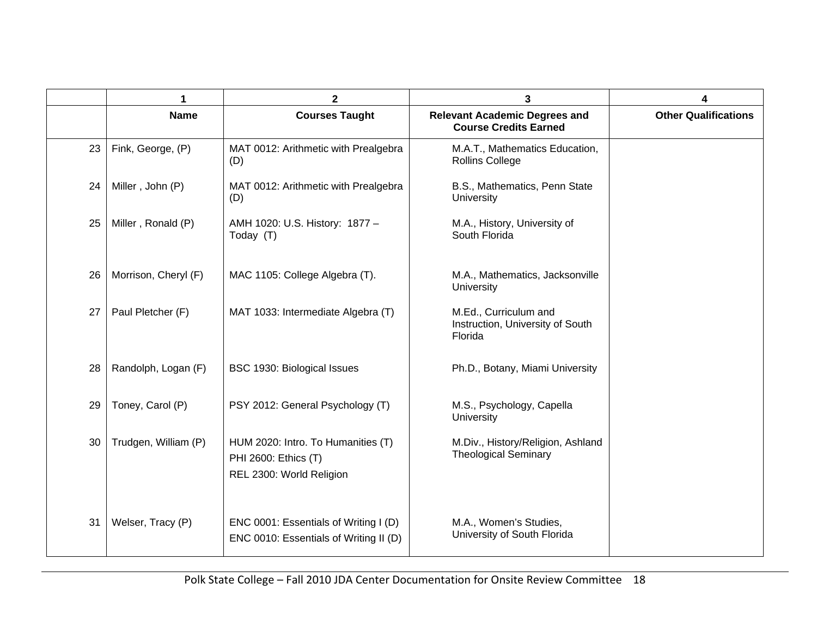|    | 1                    | 2                                                                                      | 3                                                                    | 4                           |
|----|----------------------|----------------------------------------------------------------------------------------|----------------------------------------------------------------------|-----------------------------|
|    | <b>Name</b>          | <b>Courses Taught</b>                                                                  | <b>Relevant Academic Degrees and</b><br><b>Course Credits Earned</b> | <b>Other Qualifications</b> |
| 23 | Fink, George, (P)    | MAT 0012: Arithmetic with Prealgebra<br>(D)                                            | M.A.T., Mathematics Education,<br>Rollins College                    |                             |
| 24 | Miller, John (P)     | MAT 0012: Arithmetic with Prealgebra<br>(D)                                            | B.S., Mathematics, Penn State<br>University                          |                             |
| 25 | Miller, Ronald (P)   | AMH 1020: U.S. History: 1877 -<br>Today (T)                                            | M.A., History, University of<br>South Florida                        |                             |
| 26 | Morrison, Cheryl (F) | MAC 1105: College Algebra (T).                                                         | M.A., Mathematics, Jacksonville<br><b>University</b>                 |                             |
| 27 | Paul Pletcher (F)    | MAT 1033: Intermediate Algebra (T)                                                     | M.Ed., Curriculum and<br>Instruction, University of South<br>Florida |                             |
| 28 | Randolph, Logan (F)  | BSC 1930: Biological Issues                                                            | Ph.D., Botany, Miami University                                      |                             |
| 29 | Toney, Carol (P)     | PSY 2012: General Psychology (T)                                                       | M.S., Psychology, Capella<br>University                              |                             |
| 30 | Trudgen, William (P) | HUM 2020: Intro. To Humanities (T)<br>PHI 2600: Ethics (T)<br>REL 2300: World Religion | M.Div., History/Religion, Ashland<br><b>Theological Seminary</b>     |                             |
| 31 | Welser, Tracy (P)    | ENC 0001: Essentials of Writing I (D)<br>ENC 0010: Essentials of Writing II (D)        | M.A., Women's Studies,<br>University of South Florida                |                             |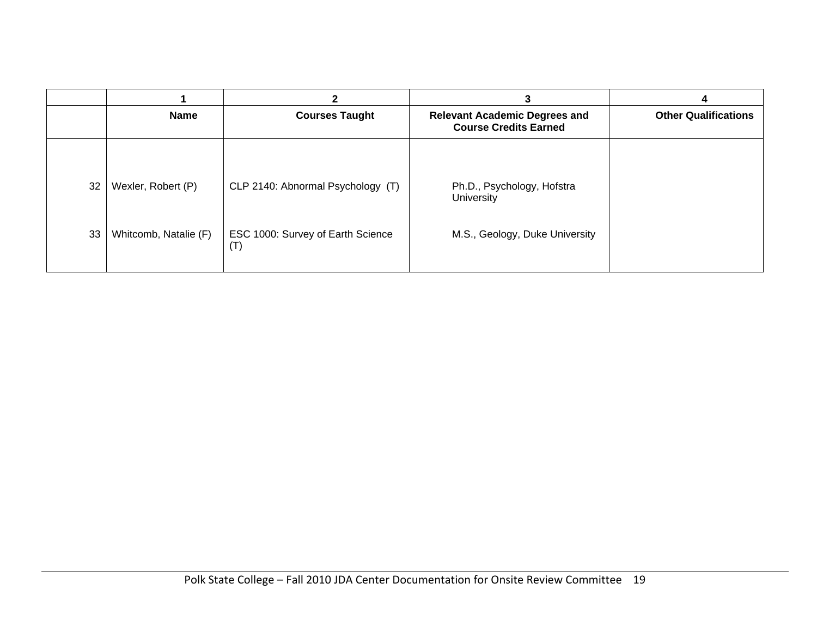|    |                       |                                          |                                                                      | 4                           |
|----|-----------------------|------------------------------------------|----------------------------------------------------------------------|-----------------------------|
|    | <b>Name</b>           | <b>Courses Taught</b>                    | <b>Relevant Academic Degrees and</b><br><b>Course Credits Earned</b> | <b>Other Qualifications</b> |
| 32 | Wexler, Robert (P)    | CLP 2140: Abnormal Psychology (T)        | Ph.D., Psychology, Hofstra<br><b>University</b>                      |                             |
| 33 | Whitcomb, Natalie (F) | ESC 1000: Survey of Earth Science<br>(T) | M.S., Geology, Duke University                                       |                             |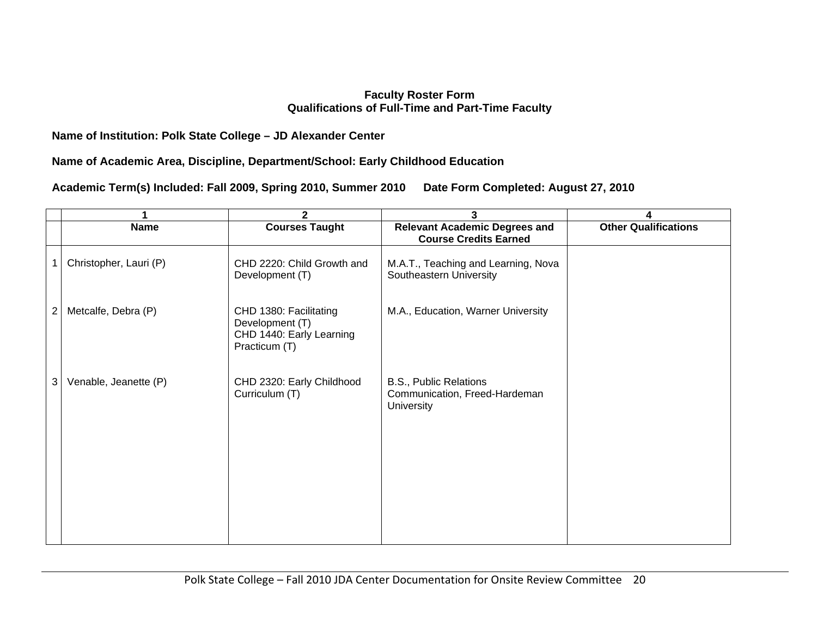### **Faculty Roster Form Qualifications of Full-Time and Part-Time Faculty**

### **Name of Institution: Polk State College – JD Alexander Center**

### **Name of Academic Area, Discipline, Department/School: Early Childhood Education**

**Academic Term(s) Included: Fall 2009, Spring 2010, Summer 2010 Date Form Completed: August 27, 2010** 

|                |                        | $\mathbf{2}$                                                                           | 3                                                                     | 4                           |
|----------------|------------------------|----------------------------------------------------------------------------------------|-----------------------------------------------------------------------|-----------------------------|
|                | <b>Name</b>            | <b>Courses Taught</b>                                                                  | <b>Relevant Academic Degrees and</b><br><b>Course Credits Earned</b>  | <b>Other Qualifications</b> |
|                | Christopher, Lauri (P) | CHD 2220: Child Growth and<br>Development (T)                                          | M.A.T., Teaching and Learning, Nova<br>Southeastern University        |                             |
| $\overline{2}$ | Metcalfe, Debra (P)    | CHD 1380: Facilitating<br>Development (T)<br>CHD 1440: Early Learning<br>Practicum (T) | M.A., Education, Warner University                                    |                             |
| 3              | Venable, Jeanette (P)  | CHD 2320: Early Childhood<br>Curriculum (T)                                            | B.S., Public Relations<br>Communication, Freed-Hardeman<br>University |                             |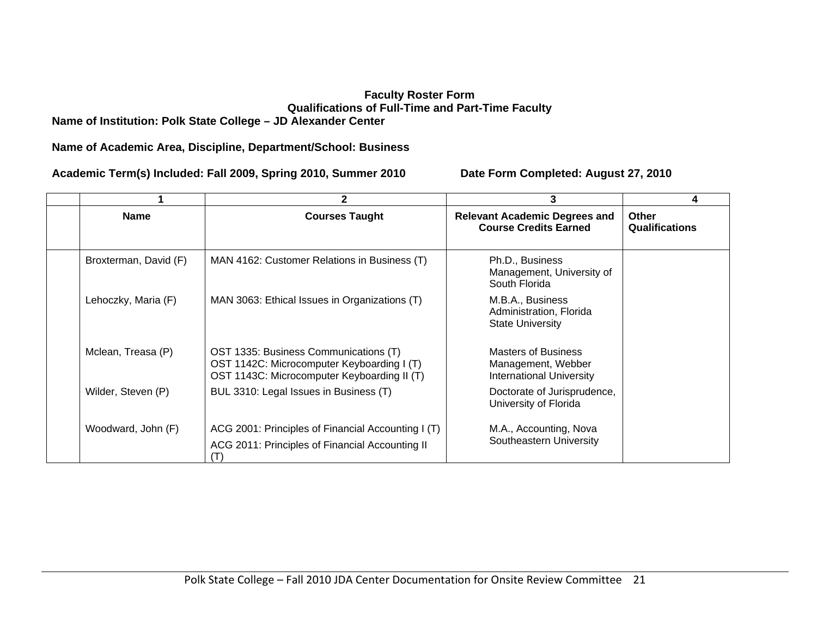### **Faculty Roster Form Qualifications of Full-Time and Part-Time Faculty Name of Institution: Polk State College – JD Alexander Center**

**Name of Academic Area, Discipline, Department/School: Business** 

**Academic Term(s) Included: Fall 2009, Spring 2010, Summer 2010 Date Form Completed: August 27, 2010** 

|                       | 2                                                                                                                                  |                                                                                     |                                |
|-----------------------|------------------------------------------------------------------------------------------------------------------------------------|-------------------------------------------------------------------------------------|--------------------------------|
| <b>Name</b>           | <b>Courses Taught</b>                                                                                                              | <b>Relevant Academic Degrees and</b><br><b>Course Credits Earned</b>                | Other<br><b>Qualifications</b> |
| Broxterman, David (F) | MAN 4162: Customer Relations in Business (T)                                                                                       | Ph.D., Business<br>Management, University of<br>South Florida                       |                                |
| Lehoczky, Maria (F)   | MAN 3063: Ethical Issues in Organizations (T)                                                                                      | M.B.A., Business<br>Administration, Florida<br><b>State University</b>              |                                |
| Mclean, Treasa (P)    | OST 1335: Business Communications (T)<br>OST 1142C: Microcomputer Keyboarding I (T)<br>OST 1143C: Microcomputer Keyboarding II (T) | <b>Masters of Business</b><br>Management, Webber<br><b>International University</b> |                                |
| Wilder, Steven (P)    | BUL 3310: Legal Issues in Business (T)                                                                                             | Doctorate of Jurisprudence,<br>University of Florida                                |                                |
| Woodward, John (F)    | ACG 2001: Principles of Financial Accounting I (T)<br>ACG 2011: Principles of Financial Accounting II                              | M.A., Accounting, Nova<br>Southeastern University                                   |                                |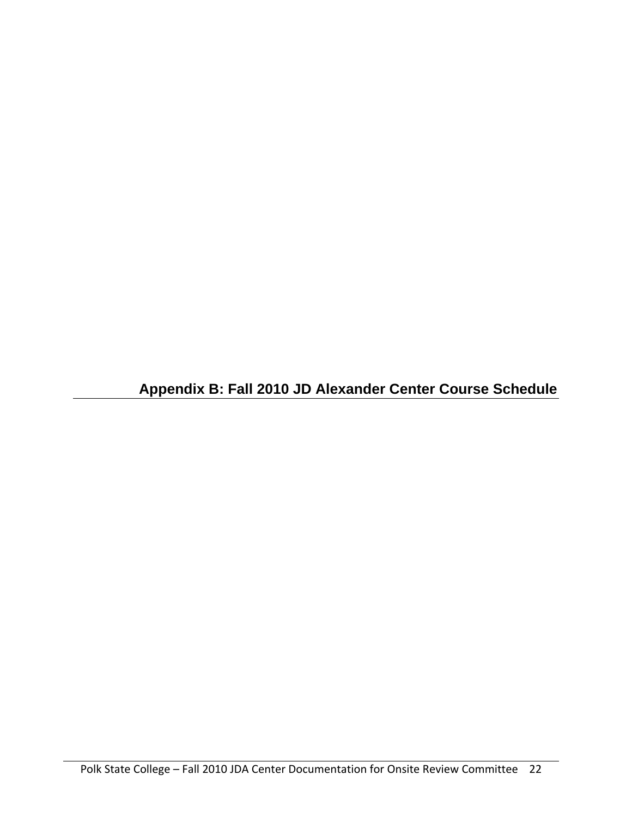**Appendix B: Fall 2010 JD Alexander Center Course Schedule**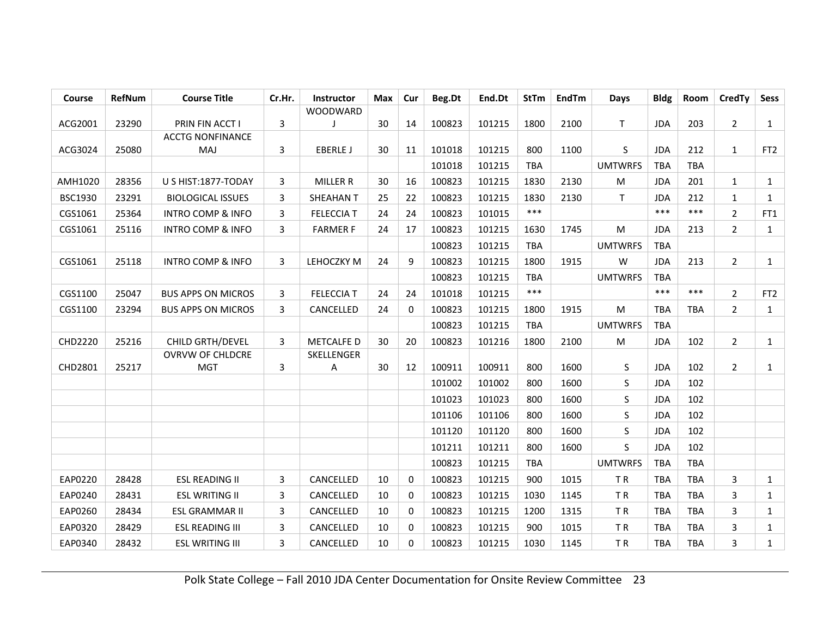| Course         | RefNum | <b>Course Title</b>          | Cr.Hr. | <b>Instructor</b> | Max | Cur         | Beg.Dt | End.Dt | <b>StTm</b> | <b>EndTm</b> | <b>Days</b>    | <b>Bldg</b> | Room       | <b>CredTy</b>  | Sess            |
|----------------|--------|------------------------------|--------|-------------------|-----|-------------|--------|--------|-------------|--------------|----------------|-------------|------------|----------------|-----------------|
|                |        |                              |        | WOODWARD          |     |             |        |        |             |              |                |             |            |                |                 |
| ACG2001        | 23290  | PRIN FIN ACCT I              | 3      |                   | 30  | 14          | 100823 | 101215 | 1800        | 2100         | T.             | <b>JDA</b>  | 203        | 2              | $\mathbf{1}$    |
|                |        | <b>ACCTG NONFINANCE</b>      |        |                   |     |             |        |        |             |              |                |             |            |                |                 |
| ACG3024        | 25080  | MAJ                          | 3      | <b>EBERLE J</b>   | 30  | 11          | 101018 | 101215 | 800         | 1100         | S              | <b>JDA</b>  | 212        | $\mathbf{1}$   | FT <sub>2</sub> |
|                |        |                              |        |                   |     |             | 101018 | 101215 | <b>TBA</b>  |              | <b>UMTWRFS</b> | TBA         | <b>TBA</b> |                |                 |
| AMH1020        | 28356  | U S HIST:1877-TODAY          | 3      | <b>MILLER R</b>   | 30  | 16          | 100823 | 101215 | 1830        | 2130         | M              | <b>JDA</b>  | 201        | $\mathbf{1}$   | $\mathbf{1}$    |
| <b>BSC1930</b> | 23291  | <b>BIOLOGICAL ISSUES</b>     | 3      | <b>SHEAHAN T</b>  | 25  | 22          | 100823 | 101215 | 1830        | 2130         | T.             | <b>JDA</b>  | 212        | 1              | $\mathbf{1}$    |
| CGS1061        | 25364  | <b>INTRO COMP &amp; INFO</b> | 3      | <b>FELECCIA T</b> | 24  | 24          | 100823 | 101015 | $***$       |              |                | $***$       | $***$      | $\overline{2}$ | FT1             |
| CGS1061        | 25116  | <b>INTRO COMP &amp; INFO</b> | 3      | <b>FARMER F</b>   | 24  | 17          | 100823 | 101215 | 1630        | 1745         | M              | <b>JDA</b>  | 213        | $\overline{2}$ | $\mathbf{1}$    |
|                |        |                              |        |                   |     |             | 100823 | 101215 | TBA         |              | <b>UMTWRFS</b> | <b>TBA</b>  |            |                |                 |
| CGS1061        | 25118  | <b>INTRO COMP &amp; INFO</b> | 3      | LEHOCZKY M        | 24  | 9           | 100823 | 101215 | 1800        | 1915         | W              | <b>JDA</b>  | 213        | $\overline{2}$ | $\mathbf{1}$    |
|                |        |                              |        |                   |     |             | 100823 | 101215 | <b>TBA</b>  |              | <b>UMTWRFS</b> | TBA         |            |                |                 |
| CGS1100        | 25047  | <b>BUS APPS ON MICROS</b>    | 3      | <b>FELECCIA T</b> | 24  | 24          | 101018 | 101215 | $***$       |              |                | $***$       | $***$      | $\overline{2}$ | FT <sub>2</sub> |
| CGS1100        | 23294  | <b>BUS APPS ON MICROS</b>    | 3      | CANCELLED         | 24  | 0           | 100823 | 101215 | 1800        | 1915         | M              | <b>TBA</b>  | <b>TBA</b> | $\overline{2}$ | $\mathbf{1}$    |
|                |        |                              |        |                   |     |             | 100823 | 101215 | TBA         |              | <b>UMTWRFS</b> | <b>TBA</b>  |            |                |                 |
| CHD2220        | 25216  | CHILD GRTH/DEVEL             | 3      | <b>METCALFE D</b> | 30  | 20          | 100823 | 101216 | 1800        | 2100         | ${\sf M}$      | <b>JDA</b>  | 102        | $\overline{2}$ | $\mathbf{1}$    |
|                |        | OVRVW OF CHLDCRE             |        | SKELLENGER        |     |             |        |        |             |              |                |             |            |                |                 |
| CHD2801        | 25217  | <b>MGT</b>                   | 3      | Α                 | 30  | 12          | 100911 | 100911 | 800         | 1600         | S              | <b>JDA</b>  | 102        | $\overline{2}$ | $\mathbf{1}$    |
|                |        |                              |        |                   |     |             | 101002 | 101002 | 800         | 1600         | S              | <b>JDA</b>  | 102        |                |                 |
|                |        |                              |        |                   |     |             | 101023 | 101023 | 800         | 1600         | S              | <b>JDA</b>  | 102        |                |                 |
|                |        |                              |        |                   |     |             | 101106 | 101106 | 800         | 1600         | S              | <b>JDA</b>  | 102        |                |                 |
|                |        |                              |        |                   |     |             | 101120 | 101120 | 800         | 1600         | S              | <b>JDA</b>  | 102        |                |                 |
|                |        |                              |        |                   |     |             | 101211 | 101211 | 800         | 1600         | S              | <b>JDA</b>  | 102        |                |                 |
|                |        |                              |        |                   |     |             | 100823 | 101215 | <b>TBA</b>  |              | <b>UMTWRFS</b> | <b>TBA</b>  | <b>TBA</b> |                |                 |
| EAP0220        | 28428  | <b>ESL READING II</b>        | 3      | CANCELLED         | 10  | $\mathbf 0$ | 100823 | 101215 | 900         | 1015         | TR             | <b>TBA</b>  | <b>TBA</b> | 3              | $\mathbf{1}$    |
| EAP0240        | 28431  | <b>ESL WRITING II</b>        | 3      | CANCELLED         | 10  | 0           | 100823 | 101215 | 1030        | 1145         | TR             | <b>TBA</b>  | <b>TBA</b> | 3              | $\mathbf{1}$    |
| EAP0260        | 28434  | ESL GRAMMAR II               | 3      | CANCELLED         | 10  | 0           | 100823 | 101215 | 1200        | 1315         | TR             | <b>TBA</b>  | <b>TBA</b> | 3              | $\mathbf{1}$    |
| EAP0320        | 28429  | <b>ESL READING III</b>       | 3      | CANCELLED         | 10  | 0           | 100823 | 101215 | 900         | 1015         | TR             | <b>TBA</b>  | <b>TBA</b> | 3              | $\mathbf{1}$    |
| EAP0340        | 28432  | <b>ESL WRITING III</b>       | 3      | CANCELLED         | 10  | $\Omega$    | 100823 | 101215 | 1030        | 1145         | TR             | <b>TBA</b>  | <b>TBA</b> | 3              | $\mathbf{1}$    |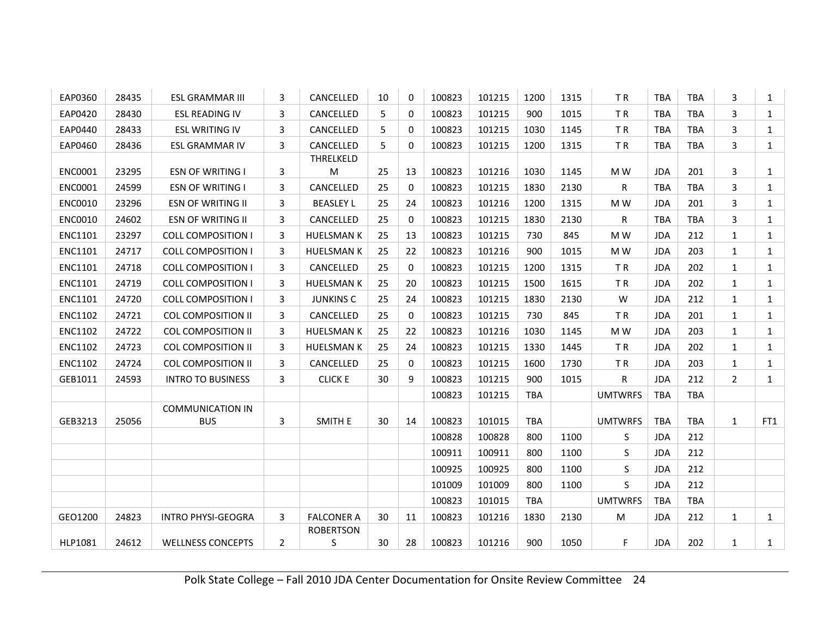| EAP0360        | 28435 | <b>ESL GRAMMAR III</b>    | 3              | CANCELLED         | 10 | $\Omega$     | 100823 | 101215 | 1200       | 1315 | TR             | <b>TBA</b> | <b>TBA</b> | 3              | $\mathbf{1}$ |
|----------------|-------|---------------------------|----------------|-------------------|----|--------------|--------|--------|------------|------|----------------|------------|------------|----------------|--------------|
| EAP0420        | 28430 | <b>ESL READING IV</b>     | 3              | CANCELLED         | 5  | $\Omega$     | 100823 | 101215 | 900        | 1015 | TR             | <b>TBA</b> | <b>TBA</b> | 3              | $\mathbf{1}$ |
| EAP0440        | 28433 | <b>ESL WRITING IV</b>     | 3              | CANCELLED         | 5  | $\Omega$     | 100823 | 101215 | 1030       | 1145 | <b>TR</b>      | <b>TBA</b> | <b>TBA</b> | 3              | $\mathbf{1}$ |
| EAP0460        | 28436 | <b>ESL GRAMMAR IV</b>     | 3              | CANCELLED         | 5  | $\Omega$     | 100823 | 101215 | 1200       | 1315 | TR             | <b>TBA</b> | <b>TBA</b> | 3              | $\mathbf{1}$ |
|                |       |                           |                | THRELKELD         |    |              |        |        |            |      |                |            |            |                |              |
| <b>ENC0001</b> | 23295 | <b>ESN OF WRITING I</b>   | 3              | M                 | 25 | 13           | 100823 | 101216 | 1030       | 1145 | M W            | <b>JDA</b> | 201        | 3              | $\mathbf{1}$ |
| ENC0001        | 24599 | <b>ESN OF WRITING I</b>   | 3              | CANCELLED         | 25 | $\Omega$     | 100823 | 101215 | 1830       | 2130 | R              | <b>TBA</b> | <b>TBA</b> | 3              | $\mathbf{1}$ |
| ENC0010        | 23296 | <b>ESN OF WRITING II</b>  | 3              | <b>BEASLEY L</b>  | 25 | 24           | 100823 | 101216 | 1200       | 1315 | M W            | <b>JDA</b> | 201        | 3              | $\mathbf{1}$ |
| <b>ENC0010</b> | 24602 | <b>ESN OF WRITING II</b>  | 3              | CANCELLED         | 25 | $\Omega$     | 100823 | 101215 | 1830       | 2130 | R              | <b>TBA</b> | <b>TBA</b> | 3              | $\mathbf{1}$ |
| ENC1101        | 23297 | <b>COLL COMPOSITION I</b> | 3              | <b>HUELSMAN K</b> | 25 | 13           | 100823 | 101215 | 730        | 845  | M W            | <b>JDA</b> | 212        | 1              | $\mathbf{1}$ |
| <b>ENC1101</b> | 24717 | <b>COLL COMPOSITION I</b> | 3              | <b>HUELSMAN K</b> | 25 | 22           | 100823 | 101216 | 900        | 1015 | M W            | <b>JDA</b> | 203        | 1              | $\mathbf{1}$ |
| ENC1101        | 24718 | <b>COLL COMPOSITION I</b> | 3              | CANCELLED         | 25 | $\Omega$     | 100823 | 101215 | 1200       | 1315 | <b>TR</b>      | <b>JDA</b> | 202        | 1              | $\mathbf{1}$ |
| ENC1101        | 24719 | <b>COLL COMPOSITION I</b> | 3              | <b>HUELSMAN K</b> | 25 | 20           | 100823 | 101215 | 1500       | 1615 | TR             | <b>JDA</b> | 202        | 1              | $\mathbf{1}$ |
| ENC1101        | 24720 | <b>COLL COMPOSITION I</b> | 3              | <b>JUNKINS C</b>  | 25 | 24           | 100823 | 101215 | 1830       | 2130 | W              | <b>JDA</b> | 212        | $\mathbf{1}$   | $\mathbf{1}$ |
| <b>ENC1102</b> | 24721 | <b>COL COMPOSITION II</b> | 3              | CANCELLED         | 25 | $\mathbf{0}$ | 100823 | 101215 | 730        | 845  | <b>TR</b>      | <b>JDA</b> | 201        | 1              | $\mathbf{1}$ |
| ENC1102        | 24722 | <b>COL COMPOSITION II</b> | 3              | <b>HUELSMAN K</b> | 25 | 22           | 100823 | 101216 | 1030       | 1145 | M W            | <b>JDA</b> | 203        | 1              | $\mathbf{1}$ |
| ENC1102        | 24723 | <b>COL COMPOSITION II</b> | 3              | <b>HUELSMAN K</b> | 25 | 24           | 100823 | 101215 | 1330       | 1445 | TR             | <b>JDA</b> | 202        | 1              | $\mathbf{1}$ |
| ENC1102        | 24724 | <b>COL COMPOSITION II</b> | 3              | CANCELLED         | 25 | $\mathbf{0}$ | 100823 | 101215 | 1600       | 1730 | TR             | <b>JDA</b> | 203        | 1              | $\mathbf{1}$ |
| GEB1011        | 24593 | <b>INTRO TO BUSINESS</b>  | 3              | <b>CLICK E</b>    | 30 | 9            | 100823 | 101215 | 900        | 1015 | R              | <b>JDA</b> | 212        | $\overline{2}$ | $\mathbf{1}$ |
|                |       |                           |                |                   |    |              | 100823 | 101215 | <b>TBA</b> |      | <b>UMTWRFS</b> | <b>TBA</b> | TBA        |                |              |
|                |       | <b>COMMUNICATION IN</b>   |                |                   |    |              |        |        |            |      |                |            |            |                |              |
| GEB3213        | 25056 | <b>BUS</b>                | 3              | SMITH E           | 30 | 14           | 100823 | 101015 | <b>TBA</b> |      | <b>UMTWRFS</b> | <b>TBA</b> | TBA        | $\mathbf{1}$   | FT1          |
|                |       |                           |                |                   |    |              | 100828 | 100828 | 800        | 1100 | S              | <b>JDA</b> | 212        |                |              |
|                |       |                           |                |                   |    |              | 100911 | 100911 | 800        | 1100 | S.             | <b>JDA</b> | 212        |                |              |
|                |       |                           |                |                   |    |              | 100925 | 100925 | 800        | 1100 | S              | <b>JDA</b> | 212        |                |              |
|                |       |                           |                |                   |    |              | 101009 | 101009 | 800        | 1100 | S              | <b>JDA</b> | 212        |                |              |
|                |       |                           |                |                   |    |              | 100823 | 101015 | <b>TBA</b> |      | <b>UMTWRFS</b> | <b>TBA</b> | TBA        |                |              |
| GEO1200        | 24823 | INTRO PHYSI-GEOGRA        | 3              | <b>FALCONER A</b> | 30 | 11           | 100823 | 101216 | 1830       | 2130 | M              | <b>JDA</b> | 212        | 1              | $\mathbf{1}$ |
|                |       |                           |                | <b>ROBERTSON</b>  |    |              |        |        |            |      |                |            |            |                |              |
| HLP1081        | 24612 | <b>WELLNESS CONCEPTS</b>  | $\overline{2}$ | S                 | 30 | 28           | 100823 | 101216 | 900        | 1050 | F              | <b>JDA</b> | 202        | $\mathbf{1}$   | $\mathbf{1}$ |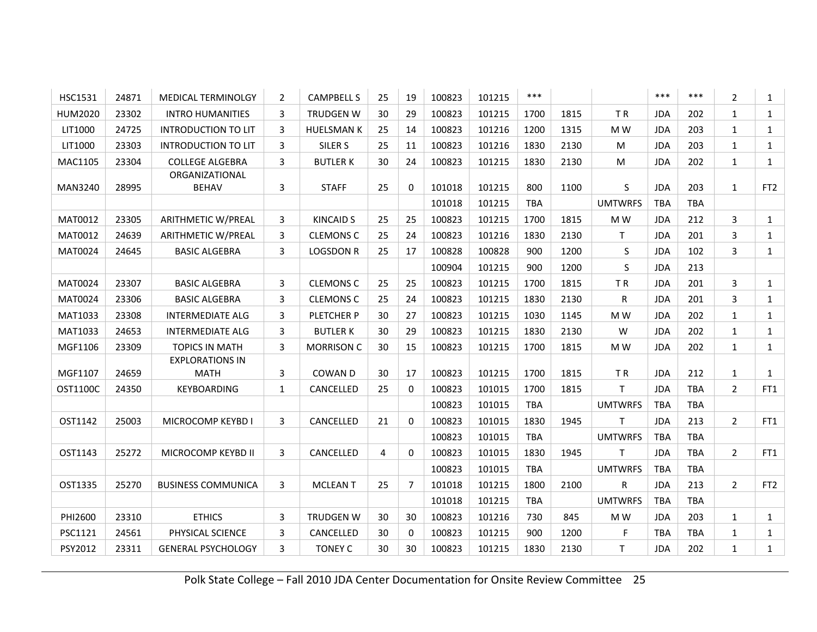| <b>HSC1531</b> | 24871 | <b>MEDICAL TERMINOLGY</b>      | 2            | <b>CAMPBELL S</b>  | 25 | 19             | 100823 | 101215 | $***$      |      |                | ***        | ***        | $\overline{2}$ | $\mathbf{1}$    |
|----------------|-------|--------------------------------|--------------|--------------------|----|----------------|--------|--------|------------|------|----------------|------------|------------|----------------|-----------------|
| <b>HUM2020</b> | 23302 | <b>INTRO HUMANITIES</b>        | 3            | <b>TRUDGEN W</b>   | 30 | 29             | 100823 | 101215 | 1700       | 1815 | TR             | <b>JDA</b> | 202        | 1              | $\mathbf{1}$    |
| LIT1000        | 24725 | <b>INTRODUCTION TO LIT</b>     | 3            | <b>HUELSMAN K</b>  | 25 | 14             | 100823 | 101216 | 1200       | 1315 | M W            | <b>JDA</b> | 203        | 1              | $\mathbf{1}$    |
| LIT1000        | 23303 | <b>INTRODUCTION TO LIT</b>     | 3            | SILER <sub>S</sub> | 25 | 11             | 100823 | 101216 | 1830       | 2130 | M              | <b>JDA</b> | 203        | $\mathbf{1}$   | $\mathbf{1}$    |
| MAC1105        | 23304 | <b>COLLEGE ALGEBRA</b>         | 3            | <b>BUTLERK</b>     | 30 | 24             | 100823 | 101215 | 1830       | 2130 | M              | <b>JDA</b> | 202        | 1              | $\mathbf{1}$    |
| MAN3240        | 28995 | ORGANIZATIONAL<br><b>BEHAV</b> | 3            | <b>STAFF</b>       | 25 | $\Omega$       | 101018 | 101215 | 800        | 1100 | S              | <b>JDA</b> | 203        | 1              | FT <sub>2</sub> |
|                |       |                                |              |                    |    |                | 101018 | 101215 | TBA        |      | <b>UMTWRFS</b> | <b>TBA</b> | TBA        |                |                 |
| MAT0012        | 23305 | <b>ARITHMETIC W/PREAL</b>      | 3            | <b>KINCAID S</b>   | 25 | 25             | 100823 | 101215 | 1700       | 1815 | M W            | <b>JDA</b> | 212        | 3              | $\mathbf{1}$    |
| MAT0012        | 24639 | ARITHMETIC W/PREAL             | 3            | <b>CLEMONS C</b>   | 25 | 24             | 100823 | 101216 | 1830       | 2130 | T.             | <b>JDA</b> | 201        | 3              | $\mathbf{1}$    |
| MAT0024        | 24645 | <b>BASIC ALGEBRA</b>           | 3            | <b>LOGSDON R</b>   | 25 | 17             | 100828 | 100828 | 900        | 1200 | S              | <b>JDA</b> | 102        | 3              | $\mathbf{1}$    |
|                |       |                                |              |                    |    |                | 100904 | 101215 | 900        | 1200 | S              | <b>JDA</b> | 213        |                |                 |
| MAT0024        | 23307 | <b>BASIC ALGEBRA</b>           | 3            | <b>CLEMONS C</b>   | 25 | 25             | 100823 | 101215 | 1700       | 1815 | TR             | <b>JDA</b> | 201        | 3              | $\mathbf{1}$    |
| MAT0024        | 23306 | <b>BASIC ALGEBRA</b>           | 3            | <b>CLEMONS C</b>   | 25 | 24             | 100823 | 101215 | 1830       | 2130 | R              | <b>JDA</b> | 201        | 3              | $\mathbf{1}$    |
| MAT1033        | 23308 | <b>INTERMEDIATE ALG</b>        | 3            | PLETCHER P         | 30 | 27             | 100823 | 101215 | 1030       | 1145 | M W            | <b>JDA</b> | 202        | $\mathbf{1}$   | $\mathbf{1}$    |
| MAT1033        | 24653 | <b>INTERMEDIATE ALG</b>        | 3            | <b>BUTLER K</b>    | 30 | 29             | 100823 | 101215 | 1830       | 2130 | W              | <b>JDA</b> | 202        | 1              | $\mathbf{1}$    |
| MGF1106        | 23309 | <b>TOPICS IN MATH</b>          | 3            | <b>MORRISON C</b>  | 30 | 15             | 100823 | 101215 | 1700       | 1815 | M W            | <b>JDA</b> | 202        | 1              | $\mathbf{1}$    |
|                |       | <b>EXPLORATIONS IN</b>         |              |                    |    |                |        |        |            |      |                |            |            |                |                 |
| MGF1107        | 24659 | <b>MATH</b>                    | 3            | COWAN D            | 30 | 17             | 100823 | 101215 | 1700       | 1815 | TR             | <b>JDA</b> | 212        | 1              | $\mathbf{1}$    |
| OST1100C       | 24350 | KEYBOARDING                    | $\mathbf{1}$ | CANCELLED          | 25 | $\Omega$       | 100823 | 101015 | 1700       | 1815 | T.             | <b>JDA</b> | <b>TBA</b> | $\overline{2}$ | FT1             |
|                |       |                                |              |                    |    |                | 100823 | 101015 | <b>TBA</b> |      | <b>UMTWRFS</b> | <b>TBA</b> | <b>TBA</b> |                |                 |
| OST1142        | 25003 | MICROCOMP KEYBD I              | 3            | CANCELLED          | 21 | $\mathbf{0}$   | 100823 | 101015 | 1830       | 1945 | T.             | <b>JDA</b> | 213        | $\overline{2}$ | FT1             |
|                |       |                                |              |                    |    |                | 100823 | 101015 | <b>TBA</b> |      | <b>UMTWRFS</b> | <b>TBA</b> | <b>TBA</b> |                |                 |
| OST1143        | 25272 | MICROCOMP KEYBD II             | 3            | CANCELLED          | 4  | $\Omega$       | 100823 | 101015 | 1830       | 1945 | T.             | <b>JDA</b> | <b>TBA</b> | $\overline{2}$ | FT1             |
|                |       |                                |              |                    |    |                | 100823 | 101015 | <b>TBA</b> |      | <b>UMTWRFS</b> | <b>TBA</b> | <b>TBA</b> |                |                 |
| OST1335        | 25270 | <b>BUSINESS COMMUNICA</b>      | 3            | <b>MCLEANT</b>     | 25 | $\overline{7}$ | 101018 | 101215 | 1800       | 2100 | R.             | <b>JDA</b> | 213        | $\overline{2}$ | FT <sub>2</sub> |
|                |       |                                |              |                    |    |                | 101018 | 101215 | TBA        |      | <b>UMTWRFS</b> | <b>TBA</b> | <b>TBA</b> |                |                 |
| PHI2600        | 23310 | <b>ETHICS</b>                  | 3            | <b>TRUDGEN W</b>   | 30 | 30             | 100823 | 101216 | 730        | 845  | M W            | <b>JDA</b> | 203        | 1              | $\mathbf{1}$    |
| PSC1121        | 24561 | PHYSICAL SCIENCE               | 3            | CANCELLED          | 30 | $\mathbf 0$    | 100823 | 101215 | 900        | 1200 | F              | <b>TBA</b> | <b>TBA</b> | 1              | $\mathbf{1}$    |
| PSY2012        | 23311 | <b>GENERAL PSYCHOLOGY</b>      | 3            | <b>TONEY C</b>     | 30 | 30             | 100823 | 101215 | 1830       | 2130 | T              | <b>JDA</b> | 202        | $\mathbf{1}$   | $\mathbf{1}$    |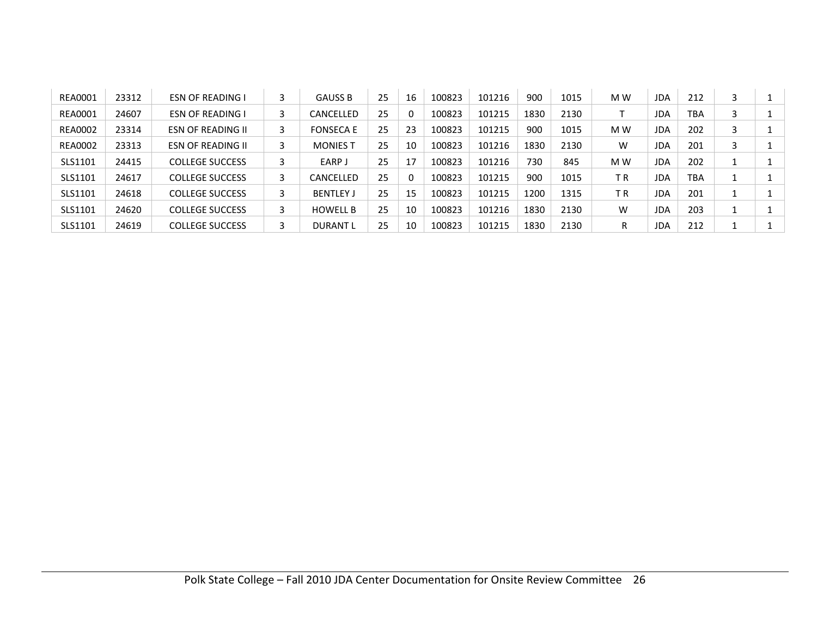| <b>REA0001</b> | 23312 | <b>ESN OF READING I</b> | 3 | <b>GAUSS B</b>   | 25 | 16 | 100823 | 101216 | 900  | 1015 | M W | <b>JDA</b> | 212        |  |
|----------------|-------|-------------------------|---|------------------|----|----|--------|--------|------|------|-----|------------|------------|--|
| <b>REA0001</b> | 24607 | <b>ESN OF READING I</b> | 3 | CANCELLED        | 25 |    | 100823 | 101215 | 1830 | 2130 |     | JDA        | <b>TBA</b> |  |
| <b>REA0002</b> | 23314 | ESN OF READING II       | 3 | <b>FONSECA E</b> | 25 | 23 | 100823 | 101215 | 900  | 1015 | M W | <b>JDA</b> | 202        |  |
| <b>REA0002</b> | 23313 | ESN OF READING II       | 3 | <b>MONIES T</b>  | 25 | 10 | 100823 | 101216 | 1830 | 2130 | w   | <b>JDA</b> | 201        |  |
| SLS1101        | 24415 | <b>COLLEGE SUCCESS</b>  | 3 | EARP J           | 25 | 17 | 100823 | 101216 | 730  | 845  | M W | <b>JDA</b> | 202        |  |
| SLS1101        | 24617 | <b>COLLEGE SUCCESS</b>  | 3 | CANCELLED        | 25 |    | 100823 | 101215 | 900  | 1015 | ТR  | JDA        | <b>TBA</b> |  |
| SLS1101        | 24618 | <b>COLLEGE SUCCESS</b>  | 3 | <b>BENTLEY J</b> | 25 | 15 | 100823 | 101215 | 1200 | 1315 | ΤR  | <b>JDA</b> | 201        |  |
| SLS1101        | 24620 | <b>COLLEGE SUCCESS</b>  | 3 | <b>HOWELL B</b>  | 25 | 10 | 100823 | 101216 | 1830 | 2130 | W   | <b>JDA</b> | 203        |  |
| SLS1101        | 24619 | <b>COLLEGE SUCCESS</b>  |   | <b>DURANT L</b>  | 25 | 10 | 100823 | 101215 | 1830 | 2130 | R   | JDA        | 212        |  |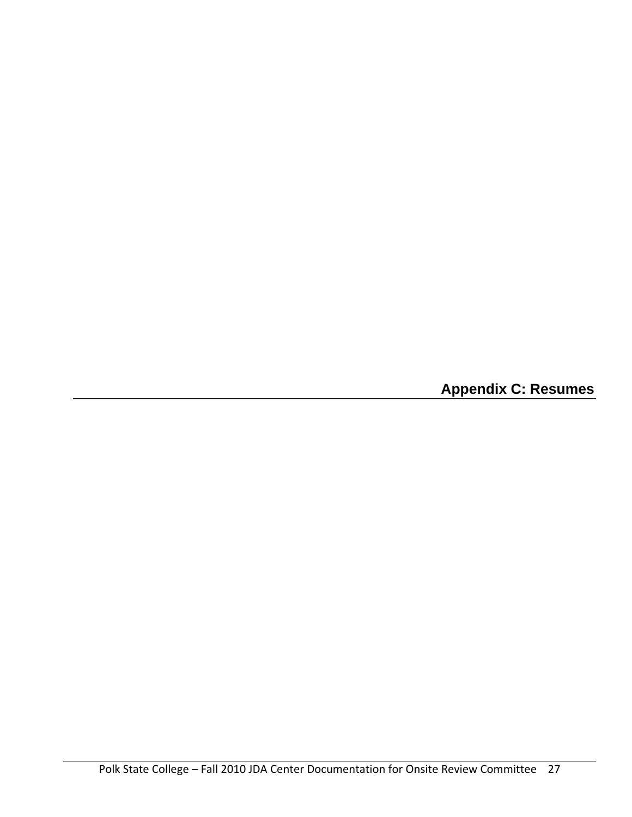**Appendix C: Resumes**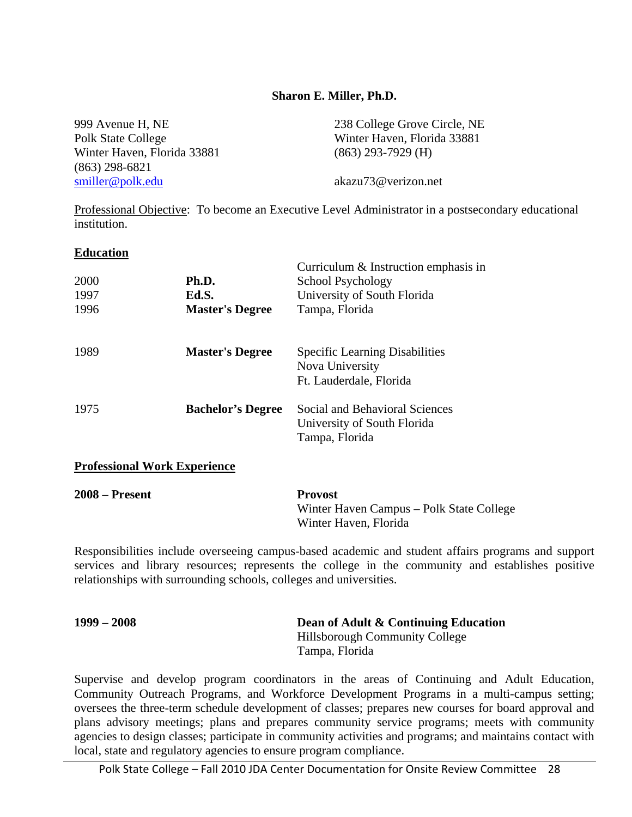### **Sharon E. Miller, Ph.D.**

| 999 Avenue H, NE            | 238 College Grove Circle, NE |
|-----------------------------|------------------------------|
| Polk State College          | Winter Haven, Florida 33881  |
| Winter Haven, Florida 33881 | $(863)$ 293-7929 (H)         |
| (863) 298-6821              |                              |
| smiller@polk.edu            | akazu73@verizon.net          |
|                             |                              |

Professional Objective: To become an Executive Level Administrator in a postsecondary educational institution.

### **Education**

|                                     |                          | Curriculum & Instruction emphasis in                                                |
|-------------------------------------|--------------------------|-------------------------------------------------------------------------------------|
| 2000                                | Ph.D.                    | School Psychology                                                                   |
| 1997                                | Ed.S.                    | University of South Florida                                                         |
| 1996                                | <b>Master's Degree</b>   | Tampa, Florida                                                                      |
| 1989                                | <b>Master's Degree</b>   | <b>Specific Learning Disabilities</b><br>Nova University<br>Ft. Lauderdale, Florida |
| 1975                                | <b>Bachelor's Degree</b> | Social and Behavioral Sciences<br>University of South Florida<br>Tampa, Florida     |
| <b>Professional Work Experience</b> |                          |                                                                                     |

| $2008 -$ Present | <b>Provost</b>                           |
|------------------|------------------------------------------|
|                  | Winter Haven Campus – Polk State College |
|                  | Winter Haven, Florida                    |

Responsibilities include overseeing campus-based academic and student affairs programs and support services and library resources; represents the college in the community and establishes positive relationships with surrounding schools, colleges and universities.

| $1999 - 2008$ | Dean of Adult & Continuing Education |
|---------------|--------------------------------------|
|               | Hillsborough Community College       |
|               | Tampa, Florida                       |

Supervise and develop program coordinators in the areas of Continuing and Adult Education, Community Outreach Programs, and Workforce Development Programs in a multi-campus setting; oversees the three-term schedule development of classes; prepares new courses for board approval and plans advisory meetings; plans and prepares community service programs; meets with community agencies to design classes; participate in community activities and programs; and maintains contact with local, state and regulatory agencies to ensure program compliance.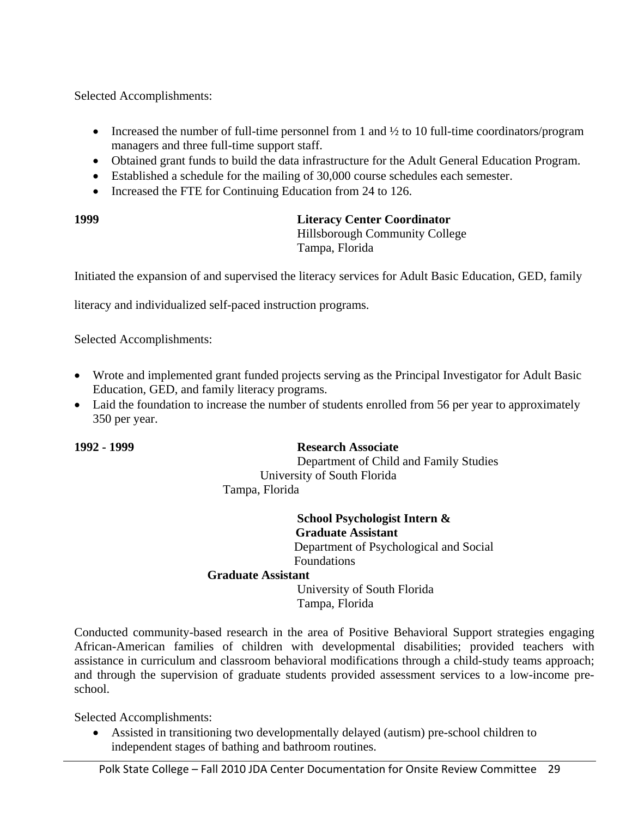Selected Accomplishments:

- Increased the number of full-time personnel from 1 and  $\frac{1}{2}$  to 10 full-time coordinators/program managers and three full-time support staff.
- Obtained grant funds to build the data infrastructure for the Adult General Education Program.
- Established a schedule for the mailing of 30,000 course schedules each semester.
- Increased the FTE for Continuing Education from 24 to 126.

### **1999 Literacy Center Coordinator**

 Hillsborough Community College Tampa, Florida

Initiated the expansion of and supervised the literacy services for Adult Basic Education, GED, family

literacy and individualized self-paced instruction programs.

Selected Accomplishments:

- Wrote and implemented grant funded projects serving as the Principal Investigator for Adult Basic Education, GED, and family literacy programs.
- Laid the foundation to increase the number of students enrolled from 56 per year to approximately 350 per year.

### **1992 - 1999 Research Associate**

 Department of Child and Family Studies University of South Florida Tampa, Florida

### **School Psychologist Intern & Graduate Assistant**

Department of Psychological and Social Foundations

### **Graduate Assistant**

 University of South Florida Tampa, Florida

Conducted community-based research in the area of Positive Behavioral Support strategies engaging African-American families of children with developmental disabilities; provided teachers with assistance in curriculum and classroom behavioral modifications through a child-study teams approach; and through the supervision of graduate students provided assessment services to a low-income preschool.

Selected Accomplishments:

 Assisted in transitioning two developmentally delayed (autism) pre-school children to independent stages of bathing and bathroom routines.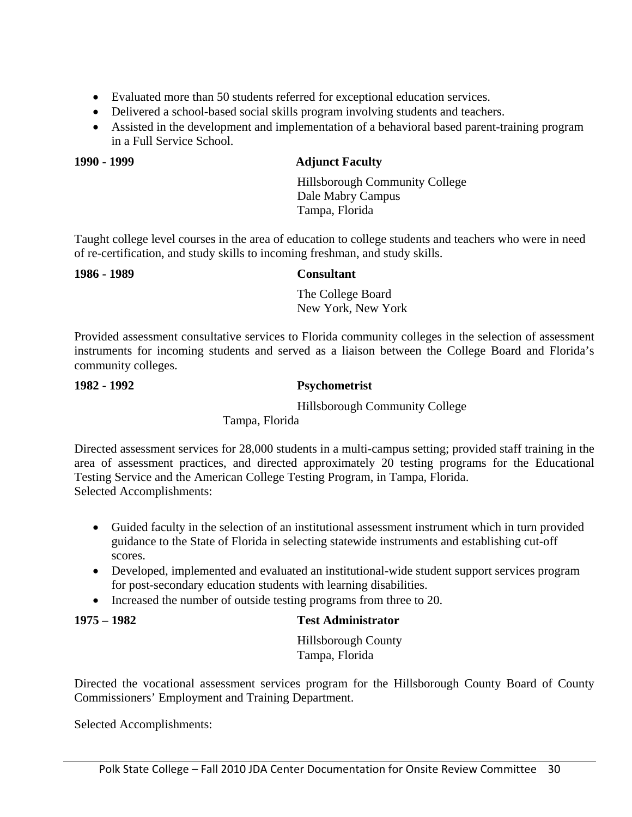- Evaluated more than 50 students referred for exceptional education services.
- Delivered a school-based social skills program involving students and teachers.
- Assisted in the development and implementation of a behavioral based parent-training program in a Full Service School.

### **1990 - 1999 Adjunct Faculty**

 Hillsborough Community College Dale Mabry Campus Tampa, Florida

Taught college level courses in the area of education to college students and teachers who were in need of re-certification, and study skills to incoming freshman, and study skills.

### **1986 - 1989 Consultant**

 The College Board New York, New York

Provided assessment consultative services to Florida community colleges in the selection of assessment instruments for incoming students and served as a liaison between the College Board and Florida's community colleges.

### **1982 - 1992 Psychometrist**

Hillsborough Community College

Tampa, Florida

Directed assessment services for 28,000 students in a multi-campus setting; provided staff training in the area of assessment practices, and directed approximately 20 testing programs for the Educational Testing Service and the American College Testing Program, in Tampa, Florida. Selected Accomplishments:

- Guided faculty in the selection of an institutional assessment instrument which in turn provided guidance to the State of Florida in selecting statewide instruments and establishing cut-off scores.
- Developed, implemented and evaluated an institutional-wide student support services program for post-secondary education students with learning disabilities.
- Increased the number of outside testing programs from three to 20.

### **1975 – 1982 Test Administrator**

 Hillsborough County Tampa, Florida

Directed the vocational assessment services program for the Hillsborough County Board of County Commissioners' Employment and Training Department.

Selected Accomplishments: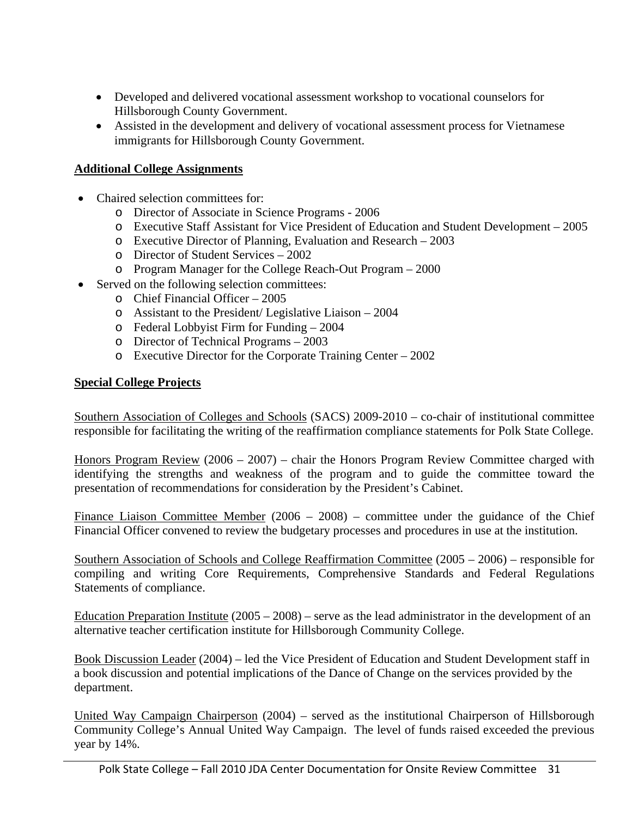- Developed and delivered vocational assessment workshop to vocational counselors for Hillsborough County Government.
- Assisted in the development and delivery of vocational assessment process for Vietnamese immigrants for Hillsborough County Government.

### **Additional College Assignments**

- Chaired selection committees for:
	- o Director of Associate in Science Programs 2006
	- o Executive Staff Assistant for Vice President of Education and Student Development 2005
	- o Executive Director of Planning, Evaluation and Research 2003
	- o Director of Student Services 2002
	- o Program Manager for the College Reach-Out Program 2000
- Served on the following selection committees:
	- o Chief Financial Officer 2005
	- o Assistant to the President/ Legislative Liaison 2004
	- o Federal Lobbyist Firm for Funding 2004
	- o Director of Technical Programs 2003
	- o Executive Director for the Corporate Training Center 2002

### **Special College Projects**

Southern Association of Colleges and Schools (SACS) 2009-2010 – co-chair of institutional committee responsible for facilitating the writing of the reaffirmation compliance statements for Polk State College.

Honors Program Review (2006 – 2007) – chair the Honors Program Review Committee charged with identifying the strengths and weakness of the program and to guide the committee toward the presentation of recommendations for consideration by the President's Cabinet.

Finance Liaison Committee Member (2006 – 2008) – committee under the guidance of the Chief Financial Officer convened to review the budgetary processes and procedures in use at the institution.

Southern Association of Schools and College Reaffirmation Committee (2005 – 2006) – responsible for compiling and writing Core Requirements, Comprehensive Standards and Federal Regulations Statements of compliance.

Education Preparation Institute  $(2005 - 2008)$  – serve as the lead administrator in the development of an alternative teacher certification institute for Hillsborough Community College.

Book Discussion Leader (2004) – led the Vice President of Education and Student Development staff in a book discussion and potential implications of the Dance of Change on the services provided by the department.

United Way Campaign Chairperson (2004) – served as the institutional Chairperson of Hillsborough Community College's Annual United Way Campaign. The level of funds raised exceeded the previous year by 14%.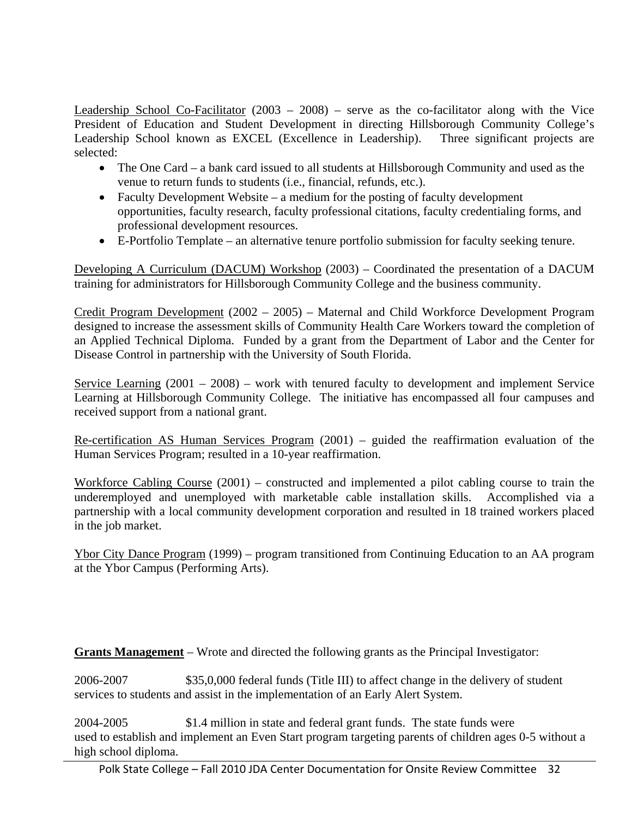Leadership School Co-Facilitator  $(2003 - 2008)$  – serve as the co-facilitator along with the Vice President of Education and Student Development in directing Hillsborough Community College's Leadership School known as EXCEL (Excellence in Leadership). Three significant projects are selected:

- The One Card a bank card issued to all students at Hillsborough Community and used as the venue to return funds to students (i.e., financial, refunds, etc.).
- Faculty Development Website a medium for the posting of faculty development opportunities, faculty research, faculty professional citations, faculty credentialing forms, and professional development resources.
- E-Portfolio Template an alternative tenure portfolio submission for faculty seeking tenure.

Developing A Curriculum (DACUM) Workshop (2003) – Coordinated the presentation of a DACUM training for administrators for Hillsborough Community College and the business community.

Credit Program Development (2002 – 2005) – Maternal and Child Workforce Development Program designed to increase the assessment skills of Community Health Care Workers toward the completion of an Applied Technical Diploma. Funded by a grant from the Department of Labor and the Center for Disease Control in partnership with the University of South Florida.

Service Learning (2001 – 2008) – work with tenured faculty to development and implement Service Learning at Hillsborough Community College. The initiative has encompassed all four campuses and received support from a national grant.

Re-certification AS Human Services Program (2001) – guided the reaffirmation evaluation of the Human Services Program; resulted in a 10-year reaffirmation.

Workforce Cabling Course (2001) – constructed and implemented a pilot cabling course to train the underemployed and unemployed with marketable cable installation skills. Accomplished via a partnership with a local community development corporation and resulted in 18 trained workers placed in the job market.

Ybor City Dance Program (1999) – program transitioned from Continuing Education to an AA program at the Ybor Campus (Performing Arts).

**Grants Management** – Wrote and directed the following grants as the Principal Investigator:

2006-2007 \$35,0,000 federal funds (Title III) to affect change in the delivery of student services to students and assist in the implementation of an Early Alert System.

2004-2005 \$1.4 million in state and federal grant funds. The state funds were used to establish and implement an Even Start program targeting parents of children ages 0-5 without a high school diploma.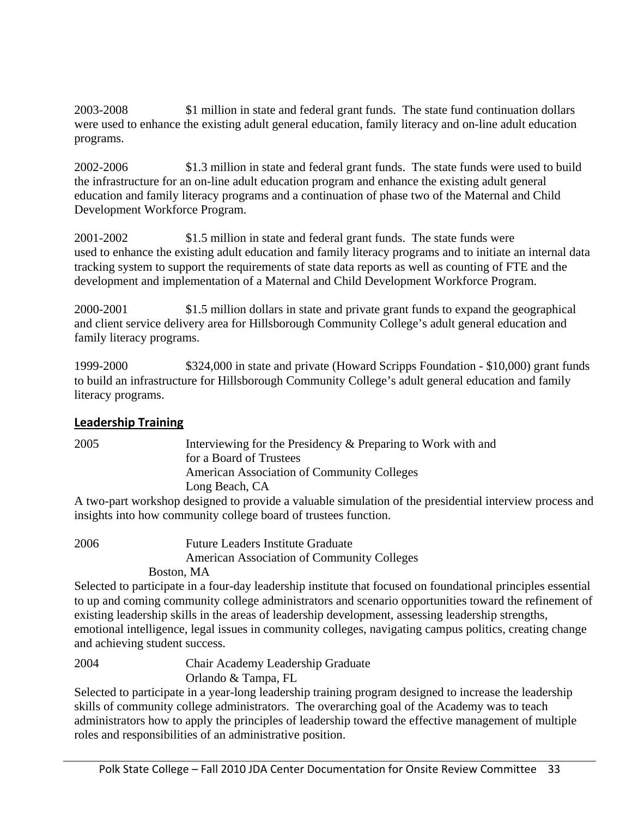2003-2008 \$1 million in state and federal grant funds. The state fund continuation dollars were used to enhance the existing adult general education, family literacy and on-line adult education programs.

2002-2006 \$1.3 million in state and federal grant funds. The state funds were used to build the infrastructure for an on-line adult education program and enhance the existing adult general education and family literacy programs and a continuation of phase two of the Maternal and Child Development Workforce Program.

2001-2002 \$1.5 million in state and federal grant funds. The state funds were used to enhance the existing adult education and family literacy programs and to initiate an internal data tracking system to support the requirements of state data reports as well as counting of FTE and the development and implementation of a Maternal and Child Development Workforce Program.

2000-2001 \$1.5 million dollars in state and private grant funds to expand the geographical and client service delivery area for Hillsborough Community College's adult general education and family literacy programs.

1999-2000 \$324,000 in state and private (Howard Scripps Foundation - \$10,000) grant funds to build an infrastructure for Hillsborough Community College's adult general education and family literacy programs.

### **Leadership Training**

2005 Interviewing for the Presidency & Preparing to Work with and for a Board of Trustees American Association of Community Colleges Long Beach, CA

A two-part workshop designed to provide a valuable simulation of the presidential interview process and insights into how community college board of trustees function.

2006 Future Leaders Institute Graduate American Association of Community Colleges

Boston, MA

Selected to participate in a four-day leadership institute that focused on foundational principles essential to up and coming community college administrators and scenario opportunities toward the refinement of existing leadership skills in the areas of leadership development, assessing leadership strengths, emotional intelligence, legal issues in community colleges, navigating campus politics, creating change and achieving student success.

2004 Chair Academy Leadership Graduate Orlando & Tampa, FL

Selected to participate in a year-long leadership training program designed to increase the leadership skills of community college administrators. The overarching goal of the Academy was to teach administrators how to apply the principles of leadership toward the effective management of multiple roles and responsibilities of an administrative position.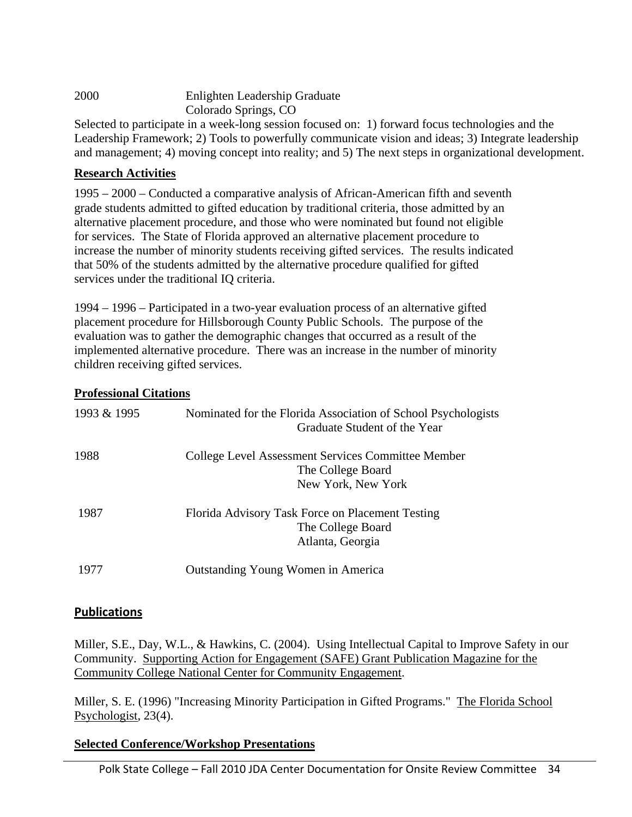| 2000 | Enlighten Leadership Graduate |
|------|-------------------------------|
|      | Colorado Springs, CO          |
|      |                               |

Selected to participate in a week-long session focused on: 1) forward focus technologies and the Leadership Framework; 2) Tools to powerfully communicate vision and ideas; 3) Integrate leadership and management; 4) moving concept into reality; and 5) The next steps in organizational development.

### **Research Activities**

1995 – 2000 – Conducted a comparative analysis of African-American fifth and seventh grade students admitted to gifted education by traditional criteria, those admitted by an alternative placement procedure, and those who were nominated but found not eligible for services. The State of Florida approved an alternative placement procedure to increase the number of minority students receiving gifted services. The results indicated that 50% of the students admitted by the alternative procedure qualified for gifted services under the traditional IQ criteria.

1994 – 1996 – Participated in a two-year evaluation process of an alternative gifted placement procedure for Hillsborough County Public Schools. The purpose of the evaluation was to gather the demographic changes that occurred as a result of the implemented alternative procedure. There was an increase in the number of minority children receiving gifted services.

### **Professional Citations**

| 1993 & 1995 | Nominated for the Florida Association of School Psychologists<br>Graduate Student of the Year |
|-------------|-----------------------------------------------------------------------------------------------|
| 1988        | College Level Assessment Services Committee Member<br>The College Board                       |
|             | New York, New York                                                                            |
| 1987        | Florida Advisory Task Force on Placement Testing                                              |
|             | The College Board                                                                             |
|             | Atlanta, Georgia                                                                              |
| 1977        | Outstanding Young Women in America                                                            |

### **Publications**

Miller, S.E., Day, W.L., & Hawkins, C. (2004). Using Intellectual Capital to Improve Safety in our Community. Supporting Action for Engagement (SAFE) Grant Publication Magazine for the Community College National Center for Community Engagement.

Miller, S. E. (1996) "Increasing Minority Participation in Gifted Programs." The Florida School Psychologist, 23(4).

### **Selected Conference/Workshop Presentations**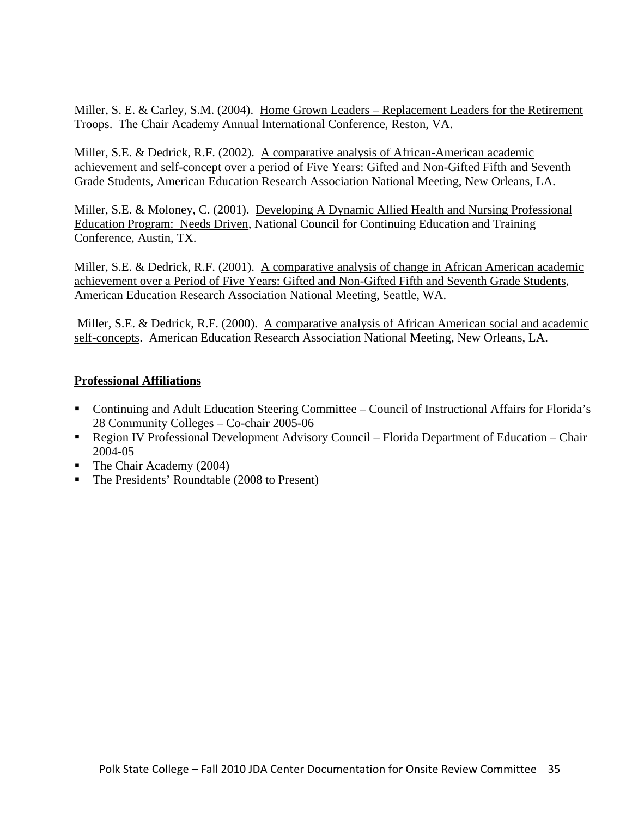Miller, S. E. & Carley, S.M. (2004). Home Grown Leaders – Replacement Leaders for the Retirement Troops. The Chair Academy Annual International Conference, Reston, VA.

Miller, S.E. & Dedrick, R.F. (2002). A comparative analysis of African-American academic achievement and self-concept over a period of Five Years: Gifted and Non-Gifted Fifth and Seventh Grade Students, American Education Research Association National Meeting, New Orleans, LA.

Miller, S.E. & Moloney, C. (2001). Developing A Dynamic Allied Health and Nursing Professional Education Program: Needs Driven, National Council for Continuing Education and Training Conference, Austin, TX.

Miller, S.E. & Dedrick, R.F. (2001). A comparative analysis of change in African American academic achievement over a Period of Five Years: Gifted and Non-Gifted Fifth and Seventh Grade Students, American Education Research Association National Meeting, Seattle, WA.

 Miller, S.E. & Dedrick, R.F. (2000). A comparative analysis of African American social and academic self-concepts. American Education Research Association National Meeting, New Orleans, LA.

# **Professional Affiliations**

- Continuing and Adult Education Steering Committee Council of Instructional Affairs for Florida's 28 Community Colleges – Co-chair 2005-06
- Region IV Professional Development Advisory Council Florida Department of Education Chair 2004-05
- The Chair Academy (2004)
- The Presidents' Roundtable (2008 to Present)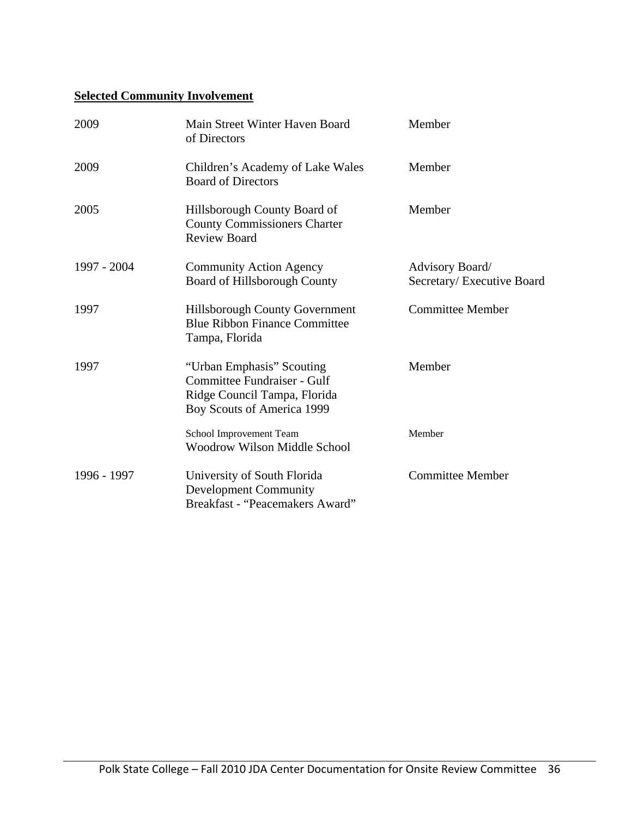# **Selected Community Involvement**

| 2009        | Main Street Winter Haven Board<br>of Directors                                                                         | Member                                        |
|-------------|------------------------------------------------------------------------------------------------------------------------|-----------------------------------------------|
| 2009        | Children's Academy of Lake Wales<br><b>Board of Directors</b>                                                          | Member                                        |
| 2005        | Hillsborough County Board of<br><b>County Commissioners Charter</b><br><b>Review Board</b>                             | Member                                        |
| 1997 - 2004 | <b>Community Action Agency</b><br>Board of Hillsborough County                                                         | Advisory Board/<br>Secretary/ Executive Board |
| 1997        | Hillsborough County Government<br><b>Blue Ribbon Finance Committee</b><br>Tampa, Florida                               | <b>Committee Member</b>                       |
| 1997        | "Urban Emphasis" Scouting<br>Committee Fundraiser - Gulf<br>Ridge Council Tampa, Florida<br>Boy Scouts of America 1999 | Member                                        |
|             | School Improvement Team<br><b>Woodrow Wilson Middle School</b>                                                         | Member                                        |
| 1996 - 1997 | University of South Florida<br><b>Development Community</b><br>Breakfast - "Peacemakers Award"                         | <b>Committee Member</b>                       |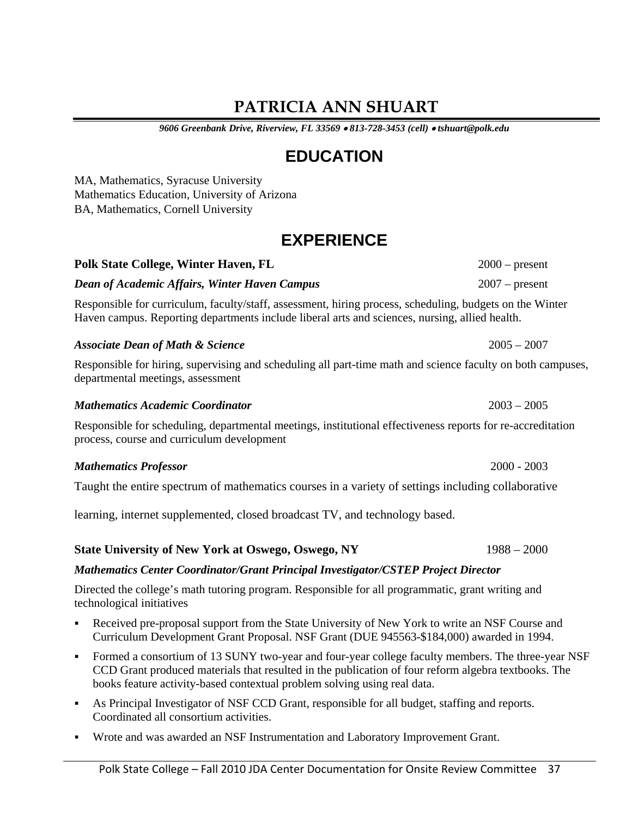# **PATRICIA ANN SHUART**

*9606 Greenbank Drive, Riverview, FL 33569 813-728-3453 (cell) tshuart@polk.edu*

# **EDUCATION**

MA, Mathematics, Syracuse University Mathematics Education, University of Arizona BA, Mathematics, Cornell University

# **EXPERIENCE**

# *Dean of Academic Affairs, Winter Haven Campus* 2007 – present

Responsible for curriculum, faculty/staff, assessment, hiring process, scheduling, budgets on the Winter Haven campus. Reporting departments include liberal arts and sciences, nursing, allied health.

# *Associate Dean of Math & Science* 2005 – 2007

Responsible for hiring, supervising and scheduling all part-time math and science faculty on both campuses, departmental meetings, assessment

#### *Mathematics Academic Coordinator* 2003 – 2005

Responsible for scheduling, departmental meetings, institutional effectiveness reports for re-accreditation process, course and curriculum development

## *Mathematics Professor* 2000 - 2003

Taught the entire spectrum of mathematics courses in a variety of settings including collaborative

learning, internet supplemented, closed broadcast TV, and technology based.

# *Mathematics Center Coordinator/Grant Principal Investigator/CSTEP Project Director*

Directed the college's math tutoring program. Responsible for all programmatic, grant writing and technological initiatives

- Received pre-proposal support from the State University of New York to write an NSF Course and Curriculum Development Grant Proposal. NSF Grant (DUE 945563-\$184,000) awarded in 1994.
- Formed a consortium of 13 SUNY two-year and four-year college faculty members. The three-year NSF CCD Grant produced materials that resulted in the publication of four reform algebra textbooks. The books feature activity-based contextual problem solving using real data.
- As Principal Investigator of NSF CCD Grant, responsible for all budget, staffing and reports. Coordinated all consortium activities.
- Wrote and was awarded an NSF Instrumentation and Laboratory Improvement Grant.

**Polk State College, Winter Haven, FL** 2000 – present

**State University of New York at Oswego, Oswego, NY** 1988 – 2000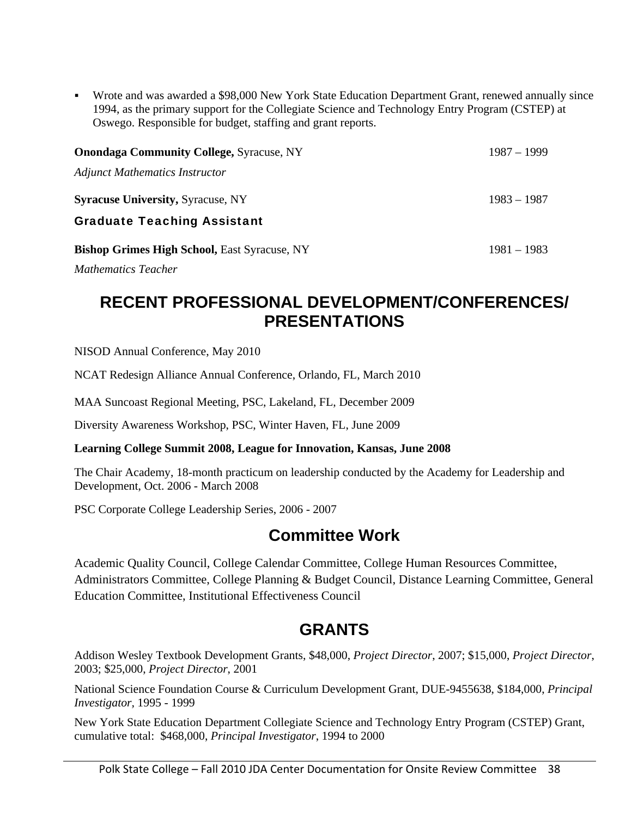Wrote and was awarded a \$98,000 New York State Education Department Grant, renewed annually since 1994, as the primary support for the Collegiate Science and Technology Entry Program (CSTEP) at Oswego. Responsible for budget, staffing and grant reports.

| <b>Onondaga Community College, Syracuse, NY</b>     | $1987 - 1999$ |
|-----------------------------------------------------|---------------|
| <b>Adjunct Mathematics Instructor</b>               |               |
| <b>Syracuse University, Syracuse, NY</b>            | $1983 - 1987$ |
| <b>Graduate Teaching Assistant</b>                  |               |
| <b>Bishop Grimes High School, East Syracuse, NY</b> | $1981 - 1983$ |

*Mathematics Teacher* 

# **RECENT PROFESSIONAL DEVELOPMENT/CONFERENCES/ PRESENTATIONS**

NISOD Annual Conference, May 2010

NCAT Redesign Alliance Annual Conference, Orlando, FL, March 2010

MAA Suncoast Regional Meeting, PSC, Lakeland, FL, December 2009

Diversity Awareness Workshop, PSC, Winter Haven, FL, June 2009

## **Learning College Summit 2008, League for Innovation, Kansas, June 2008**

The Chair Academy, 18-month practicum on leadership conducted by the Academy for Leadership and Development, Oct. 2006 - March 2008

PSC Corporate College Leadership Series, 2006 - 2007

# **Committee Work**

Academic Quality Council, College Calendar Committee, College Human Resources Committee, Administrators Committee, College Planning & Budget Council, Distance Learning Committee, General Education Committee, Institutional Effectiveness Council

# **GRANTS**

Addison Wesley Textbook Development Grants, \$48,000, *Project Director*, 2007; \$15,000, *Project Director*, 2003; \$25,000, *Project Director*, 2001

National Science Foundation Course & Curriculum Development Grant, DUE-9455638, \$184,000, *Principal Investigator,* 1995 - 1999

New York State Education Department Collegiate Science and Technology Entry Program (CSTEP) Grant, cumulative total: \$468,000, *Principal Investigator*, 1994 to 2000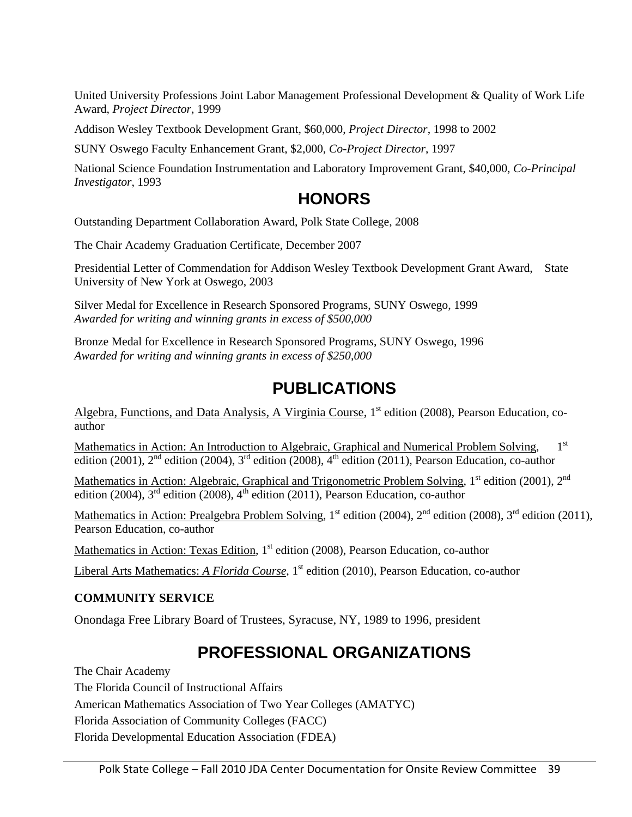United University Professions Joint Labor Management Professional Development & Quality of Work Life Award, *Project Director*, 1999

Addison Wesley Textbook Development Grant, \$60,000, *Project Director*, 1998 to 2002

SUNY Oswego Faculty Enhancement Grant, \$2,000, *Co-Project Director*, 1997

National Science Foundation Instrumentation and Laboratory Improvement Grant, \$40,000, *Co-Principal Investigator*, 1993

# **HONORS**

Outstanding Department Collaboration Award, Polk State College, 2008

The Chair Academy Graduation Certificate, December 2007

Presidential Letter of Commendation for Addison Wesley Textbook Development Grant Award, State University of New York at Oswego, 2003

Silver Medal for Excellence in Research Sponsored Programs, SUNY Oswego, 1999 *Awarded for writing and winning grants in excess of \$500,000* 

Bronze Medal for Excellence in Research Sponsored Program*s*, SUNY Oswego, 1996 *Awarded for writing and winning grants in excess of \$250,000* 

# **PUBLICATIONS**

Algebra, Functions, and Data Analysis, A Virginia Course, 1<sup>st</sup> edition (2008), Pearson Education, coauthor

Mathematics in Action: An Introduction to Algebraic, Graphical and Numerical Problem Solving, 1<sup>st</sup> edition (2001),  $2<sup>nd</sup>$  edition (2004),  $3<sup>rd</sup>$  edition (2008),  $4<sup>th</sup>$  edition (2011), Pearson Education, co-author

Mathematics in Action: Algebraic, Graphical and Trigonometric Problem Solving, 1<sup>st</sup> edition (2001), 2<sup>nd</sup> edition (2004),  $3<sup>rd</sup>$  edition (2008),  $4<sup>th</sup>$  edition (2011), Pearson Education, co-author

Mathematics in Action: Prealgebra Problem Solving, 1<sup>st</sup> edition (2004), 2<sup>nd</sup> edition (2008), 3<sup>rd</sup> edition (2011), Pearson Education, co-author

Mathematics in Action: Texas Edition, 1<sup>st</sup> edition (2008), Pearson Education, co-author

Liberal Arts Mathematics: *A Florida Course*, 1<sup>st</sup> edition (2010), Pearson Education, co-author

## **COMMUNITY SERVICE**

Onondaga Free Library Board of Trustees, Syracuse, NY, 1989 to 1996, president

# **PROFESSIONAL ORGANIZATIONS**

The Chair Academy The Florida Council of Instructional Affairs American Mathematics Association of Two Year Colleges (AMATYC) Florida Association of Community Colleges (FACC) Florida Developmental Education Association (FDEA)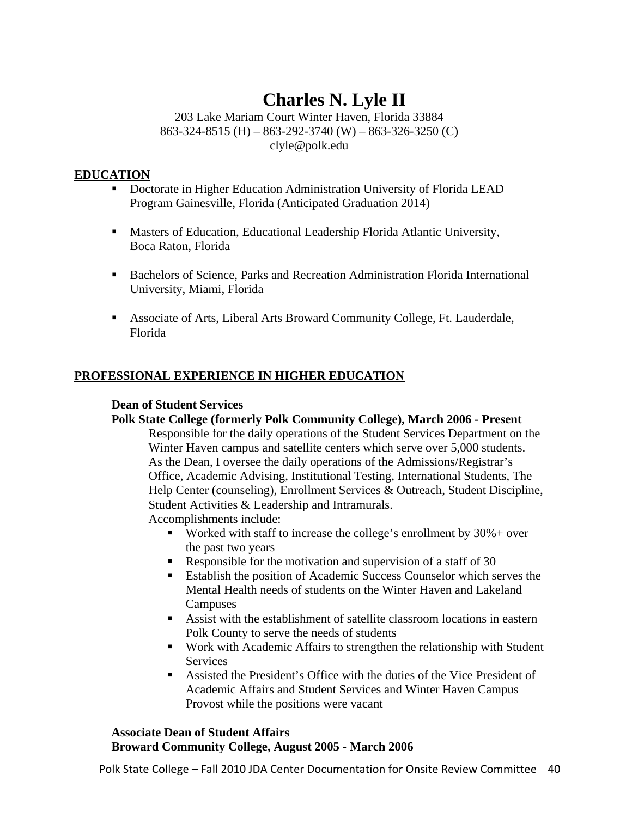# **Charles N. Lyle II**

203 Lake Mariam Court Winter Haven, Florida 33884 863-324-8515 (H) – 863-292-3740 (W) – 863-326-3250 (C) clyle@polk.edu

# **EDUCATION**

- Doctorate in Higher Education Administration University of Florida LEAD Program Gainesville, Florida (Anticipated Graduation 2014)
- Masters of Education, Educational Leadership Florida Atlantic University, Boca Raton, Florida
- Bachelors of Science, Parks and Recreation Administration Florida International University, Miami, Florida
- Associate of Arts, Liberal Arts Broward Community College, Ft. Lauderdale, Florida

# **PROFESSIONAL EXPERIENCE IN HIGHER EDUCATION**

# **Dean of Student Services**

# **Polk State College (formerly Polk Community College), March 2006 - Present**

Responsible for the daily operations of the Student Services Department on the Winter Haven campus and satellite centers which serve over 5,000 students. As the Dean, I oversee the daily operations of the Admissions/Registrar's Office, Academic Advising, Institutional Testing, International Students, The Help Center (counseling), Enrollment Services & Outreach, Student Discipline, Student Activities & Leadership and Intramurals.

Accomplishments include:

- Worked with staff to increase the college's enrollment by  $30\%$  + over the past two years
- Responsible for the motivation and supervision of a staff of  $30$
- Establish the position of Academic Success Counselor which serves the Mental Health needs of students on the Winter Haven and Lakeland Campuses
- Assist with the establishment of satellite classroom locations in eastern Polk County to serve the needs of students
- Work with Academic Affairs to strengthen the relationship with Student **Services**
- Assisted the President's Office with the duties of the Vice President of Academic Affairs and Student Services and Winter Haven Campus Provost while the positions were vacant

# **Associate Dean of Student Affairs Broward Community College, August 2005 - March 2006**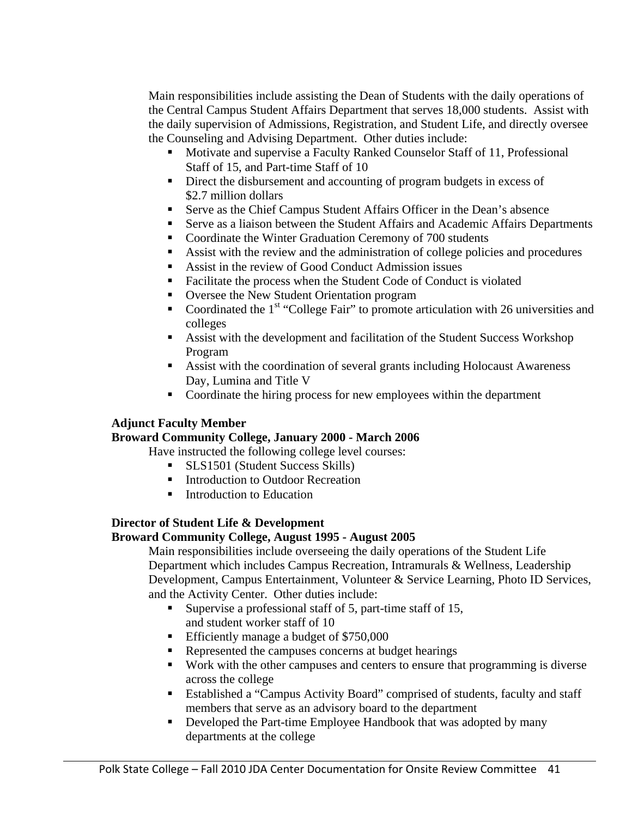Main responsibilities include assisting the Dean of Students with the daily operations of the Central Campus Student Affairs Department that serves 18,000 students. Assist with the daily supervision of Admissions, Registration, and Student Life, and directly oversee the Counseling and Advising Department. Other duties include:

- Motivate and supervise a Faculty Ranked Counselor Staff of 11, Professional Staff of 15, and Part-time Staff of 10
- Direct the disbursement and accounting of program budgets in excess of \$2.7 million dollars
- Serve as the Chief Campus Student Affairs Officer in the Dean's absence
- Serve as a liaison between the Student Affairs and Academic Affairs Departments
- Coordinate the Winter Graduation Ceremony of 700 students
- Assist with the review and the administration of college policies and procedures
- Assist in the review of Good Conduct Admission issues
- Facilitate the process when the Student Code of Conduct is violated
- Oversee the New Student Orientation program
- Coordinated the  $1<sup>st</sup>$  "College Fair" to promote articulation with 26 universities and colleges
- Assist with the development and facilitation of the Student Success Workshop Program
- Assist with the coordination of several grants including Holocaust Awareness Day, Lumina and Title V
- Coordinate the hiring process for new employees within the department

## **Adjunct Faculty Member**

## **Broward Community College, January 2000 - March 2006**

Have instructed the following college level courses:

- **SLS1501 (Student Success Skills)**
- Introduction to Outdoor Recreation
- **Introduction to Education**

# **Director of Student Life & Development**

## **Broward Community College, August 1995 - August 2005**

Main responsibilities include overseeing the daily operations of the Student Life Department which includes Campus Recreation, Intramurals & Wellness, Leadership Development, Campus Entertainment, Volunteer & Service Learning, Photo ID Services, and the Activity Center. Other duties include:

- Supervise a professional staff of 5, part-time staff of 15, and student worker staff of 10
- Efficiently manage a budget of \$750,000
- Represented the campuses concerns at budget hearings
- Work with the other campuses and centers to ensure that programming is diverse across the college
- Established a "Campus Activity Board" comprised of students, faculty and staff members that serve as an advisory board to the department
- Developed the Part-time Employee Handbook that was adopted by many departments at the college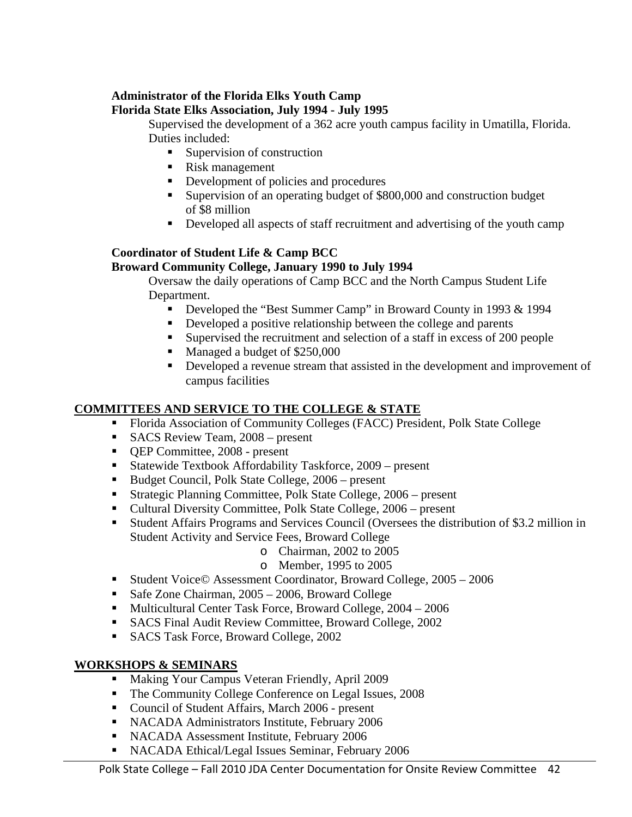# **Administrator of the Florida Elks Youth Camp**

# **Florida State Elks Association, July 1994 - July 1995**

Supervised the development of a 362 acre youth campus facility in Umatilla, Florida. Duties included:

- Supervision of construction
- Risk management
- Development of policies and procedures
- Supervision of an operating budget of \$800,000 and construction budget of \$8 million
- Developed all aspects of staff recruitment and advertising of the youth camp

# **Coordinator of Student Life & Camp BCC Broward Community College, January 1990 to July 1994**

Oversaw the daily operations of Camp BCC and the North Campus Student Life Department.

- Developed the "Best Summer Camp" in Broward County in 1993 & 1994
- Developed a positive relationship between the college and parents
- Supervised the recruitment and selection of a staff in excess of 200 people
- Managed a budget of \$250,000
- Developed a revenue stream that assisted in the development and improvement of campus facilities

# **COMMITTEES AND SERVICE TO THE COLLEGE & STATE**

- Florida Association of Community Colleges (FACC) President, Polk State College
- SACS Review Team, 2008 present
- **QEP Committee, 2008 present**
- Statewide Textbook Affordability Taskforce, 2009 present
- Budget Council, Polk State College, 2006 present
- Strategic Planning Committee, Polk State College, 2006 present
- Cultural Diversity Committee, Polk State College, 2006 present
- Student Affairs Programs and Services Council (Oversees the distribution of \$3.2 million in Student Activity and Service Fees, Broward College
	- o Chairman, 2002 to 2005
	- o Member, 1995 to 2005
- Student Voice© Assessment Coordinator, Broward College, 2005 2006
- Safe Zone Chairman, 2005 2006, Broward College
- Multicultural Center Task Force, Broward College, 2004 2006
- SACS Final Audit Review Committee, Broward College, 2002
- SACS Task Force, Broward College, 2002

## **WORKSHOPS & SEMINARS**

- Making Your Campus Veteran Friendly, April 2009
- The Community College Conference on Legal Issues, 2008
- Council of Student Affairs, March 2006 present
- **NACADA Administrators Institute, February 2006**
- NACADA Assessment Institute, February 2006
- NACADA Ethical/Legal Issues Seminar, February 2006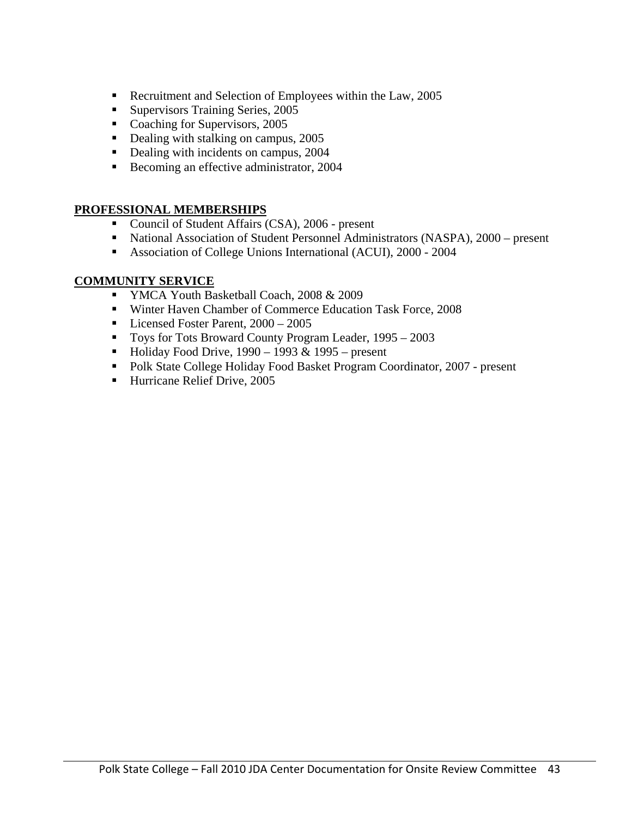- Recruitment and Selection of Employees within the Law, 2005
- **Supervisors Training Series, 2005**
- Coaching for Supervisors, 2005
- Dealing with stalking on campus, 2005
- Dealing with incidents on campus, 2004
- Becoming an effective administrator, 2004

# **PROFESSIONAL MEMBERSHIPS**

- Council of Student Affairs (CSA), 2006 present
- National Association of Student Personnel Administrators (NASPA), 2000 present
- Association of College Unions International (ACUI), 2000 2004

# **COMMUNITY SERVICE**

- **YMCA Youth Basketball Coach, 2008 & 2009**
- Winter Haven Chamber of Commerce Education Task Force, 2008
- Licensed Foster Parent,  $2000 2005$
- Toys for Tots Broward County Program Leader, 1995 2003
- Holiday Food Drive,  $1990 1993 \& 1995 -$  present
- Polk State College Holiday Food Basket Program Coordinator, 2007 present
- Hurricane Relief Drive, 2005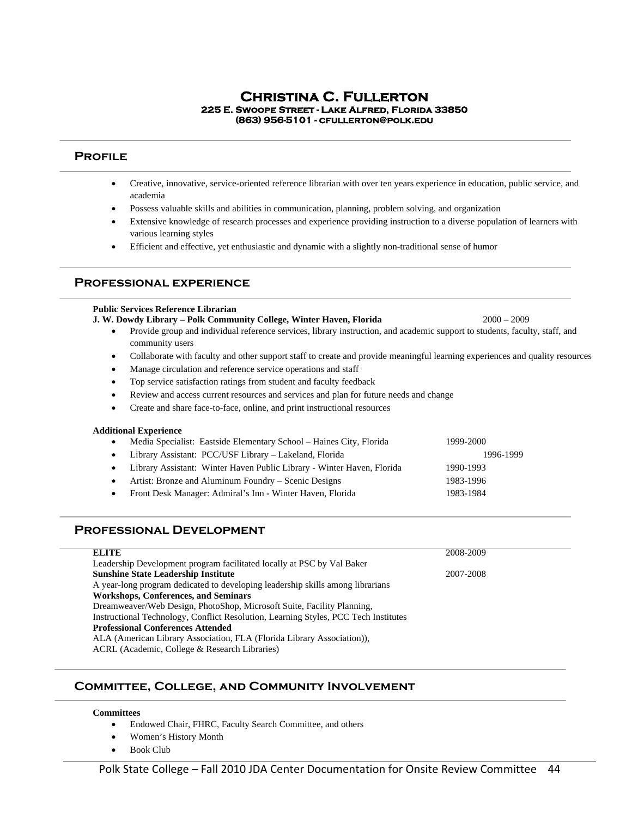# **Christina C. Fullerton 225 E. Swoope Street - Lake Alfred, Florida 33850 (863) 956-5101 - cfullerton@polk.edu**

#### **Profile**

- Creative, innovative, service-oriented reference librarian with over ten years experience in education, public service, and academia
- Possess valuable skills and abilities in communication, planning, problem solving, and organization
- Extensive knowledge of research processes and experience providing instruction to a diverse population of learners with various learning styles
- Efficient and effective, yet enthusiastic and dynamic with a slightly non-traditional sense of humor

#### **Professional experience**

#### **Public Services Reference Librarian**

- **J. W. Dowdy Library Polk Community College, Winter Haven, Florida** 2000 2009
	- Provide group and individual reference services, library instruction, and academic support to students, faculty, staff, and community users
	- Collaborate with faculty and other support staff to create and provide meaningful learning experiences and quality resources
	- Manage circulation and reference service operations and staff
	- Top service satisfaction ratings from student and faculty feedback
	- Review and access current resources and services and plan for future needs and change
	- Create and share face-to-face, online, and print instructional resources

#### **Additional Experience**

| $\bullet$ | Media Specialist: Eastside Elementary School – Haines City, Florida      | 1999-2000 |
|-----------|--------------------------------------------------------------------------|-----------|
|           | • Library Assistant: PCC/USF Library – Lakeland, Florida                 | 1996-1999 |
|           | • Library Assistant: Winter Haven Public Library - Winter Haven, Florida | 1990-1993 |
| $\bullet$ | Artist: Bronze and Aluminum Foundry – Scenic Designs                     | 1983-1996 |
| $\bullet$ | Front Desk Manager: Admiral's Inn - Winter Haven, Florida                | 1983-1984 |

#### **Professional Development**

| <b>ELITE</b>                                                                        | 2008-2009 |
|-------------------------------------------------------------------------------------|-----------|
| Leadership Development program facilitated locally at PSC by Val Baker              |           |
| <b>Sunshine State Leadership Institute</b>                                          | 2007-2008 |
| A year-long program dedicated to developing leadership skills among librarians      |           |
| <b>Workshops, Conferences, and Seminars</b>                                         |           |
| Dreamweaver/Web Design, PhotoShop, Microsoft Suite, Facility Planning,              |           |
| Instructional Technology, Conflict Resolution, Learning Styles, PCC Tech Institutes |           |
| <b>Professional Conferences Attended</b>                                            |           |
| ALA (American Library Association, FLA (Florida Library Association)),              |           |
| ACRL (Academic, College & Research Libraries)                                       |           |
|                                                                                     |           |

#### **Committee, College, and Community Involvement**

#### **Committees**

- Endowed Chair, FHRC, Faculty Search Committee, and others
- Women's History Month
- Book Club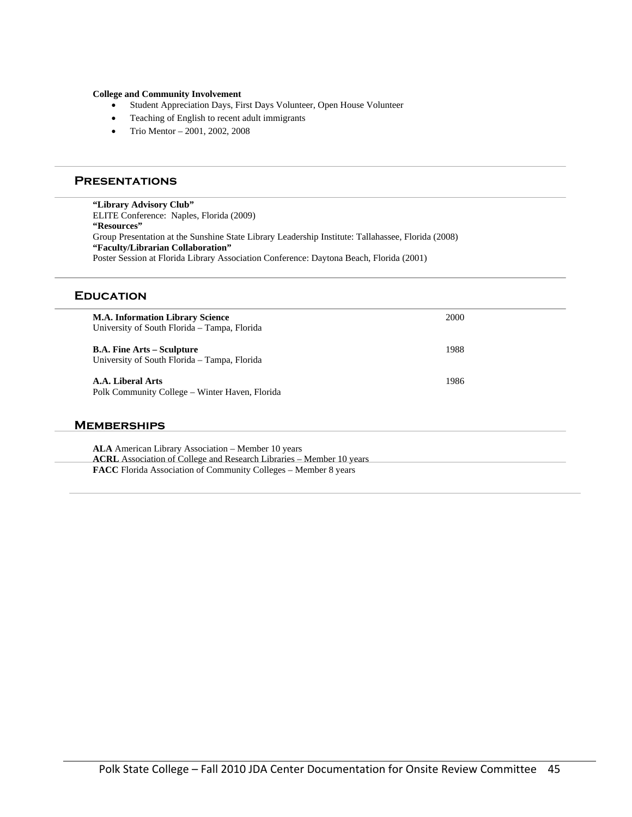#### **College and Community Involvement**

- Student Appreciation Days, First Days Volunteer, Open House Volunteer
- Teaching of English to recent adult immigrants
- Trio Mentor 2001, 2002, 2008

#### **Presentations**

**"Library Advisory Club"** ELITE Conference: Naples, Florida (2009) **"Resources"** Group Presentation at the Sunshine State Library Leadership Institute: Tallahassee, Florida (2008) **"Faculty/Librarian Collaboration"** Poster Session at Florida Library Association Conference: Daytona Beach, Florida (2001)

#### **Education**

| <b>M.A. Information Library Science</b><br>University of South Florida – Tampa, Florida | 2000 |
|-----------------------------------------------------------------------------------------|------|
| <b>B.A. Fine Arts – Sculpture</b><br>University of South Florida – Tampa, Florida       | 1988 |
| A.A. Liberal Arts<br>Polk Community College - Winter Haven, Florida                     | 1986 |
| <b>MEMBERSHIPS</b>                                                                      |      |

**ALA** American Library Association – Member 10 years **ACRL** Association of College and Research Libraries – Member 10 years **FACC** Florida Association of Community Colleges – Member 8 years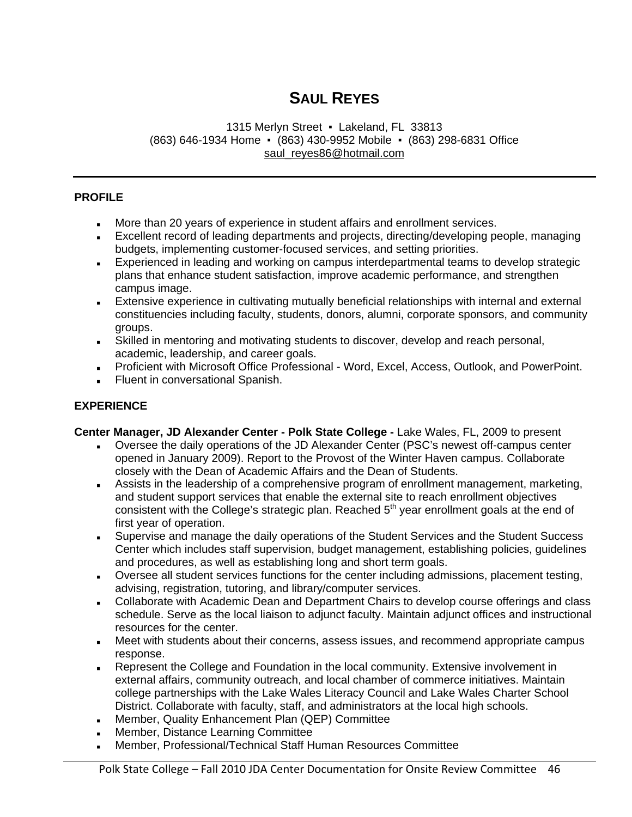# **SAUL REYES**

#### 1315 Merlyn Street · Lakeland, FL 33813 (863) 646-1934 Home ▪ (863) 430-9952 Mobile ▪ (863) 298-6831 Office saul\_reyes86@hotmail.com

### **PROFILE**

- More than 20 years of experience in student affairs and enrollment services.
- Excellent record of leading departments and projects, directing/developing people, managing budgets, implementing customer-focused services, and setting priorities.
- Experienced in leading and working on campus interdepartmental teams to develop strategic plans that enhance student satisfaction, improve academic performance, and strengthen campus image.
- Extensive experience in cultivating mutually beneficial relationships with internal and external constituencies including faculty, students, donors, alumni, corporate sponsors, and community groups.
- Skilled in mentoring and motivating students to discover, develop and reach personal, academic, leadership, and career goals.
- Proficient with Microsoft Office Professional Word, Excel, Access, Outlook, and PowerPoint.
- **Fluent in conversational Spanish.**

### **EXPERIENCE**

**Center Manager, JD Alexander Center - Polk State College -** Lake Wales, FL, 2009 to present

- Oversee the daily operations of the JD Alexander Center (PSC's newest off-campus center opened in January 2009). Report to the Provost of the Winter Haven campus. Collaborate closely with the Dean of Academic Affairs and the Dean of Students.
- Assists in the leadership of a comprehensive program of enrollment management, marketing, and student support services that enable the external site to reach enrollment objectives consistent with the College's strategic plan. Reached  $5<sup>th</sup>$  year enrollment goals at the end of first year of operation.
- Supervise and manage the daily operations of the Student Services and the Student Success Center which includes staff supervision, budget management, establishing policies, guidelines and procedures, as well as establishing long and short term goals.
- Oversee all student services functions for the center including admissions, placement testing, advising, registration, tutoring, and library/computer services.
- **Collaborate with Academic Dean and Department Chairs to develop course offerings and class** schedule. Serve as the local liaison to adjunct faculty. Maintain adjunct offices and instructional resources for the center.
- **Meet with students about their concerns, assess issues, and recommend appropriate campus** response.
- Represent the College and Foundation in the local community. Extensive involvement in external affairs, community outreach, and local chamber of commerce initiatives. Maintain college partnerships with the Lake Wales Literacy Council and Lake Wales Charter School District. Collaborate with faculty, staff, and administrators at the local high schools.
- Member, Quality Enhancement Plan (QEP) Committee
- Member, Distance Learning Committee
- Member, Professional/Technical Staff Human Resources Committee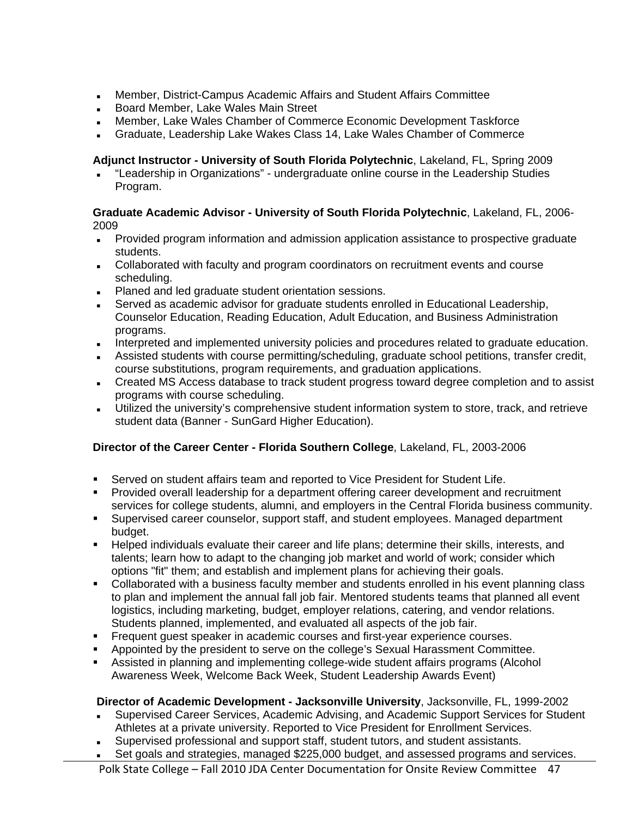- Member, District-Campus Academic Affairs and Student Affairs Committee
- Board Member, Lake Wales Main Street
- Member, Lake Wales Chamber of Commerce Economic Development Taskforce
- Graduate, Leadership Lake Wakes Class 14, Lake Wales Chamber of Commerce

# **Adjunct Instructor - University of South Florida Polytechnic**, Lakeland, FL, Spring 2009

 "Leadership in Organizations" - undergraduate online course in the Leadership Studies Program.

#### **Graduate Academic Advisor - University of South Florida Polytechnic**, Lakeland, FL, 2006- 2009

- Provided program information and admission application assistance to prospective graduate students.
- Collaborated with faculty and program coordinators on recruitment events and course scheduling.
- Planed and led graduate student orientation sessions.
- Served as academic advisor for graduate students enrolled in Educational Leadership, Counselor Education, Reading Education, Adult Education, and Business Administration programs.
- Interpreted and implemented university policies and procedures related to graduate education.
- Assisted students with course permitting/scheduling, graduate school petitions, transfer credit, course substitutions, program requirements, and graduation applications.
- Created MS Access database to track student progress toward degree completion and to assist programs with course scheduling.
- Utilized the university's comprehensive student information system to store, track, and retrieve student data (Banner - SunGard Higher Education).

## **Director of the Career Center - Florida Southern College**, Lakeland, FL, 2003-2006

- Served on student affairs team and reported to Vice President for Student Life.
- Provided overall leadership for a department offering career development and recruitment services for college students, alumni, and employers in the Central Florida business community.
- Supervised career counselor, support staff, and student employees. Managed department budget.
- Helped individuals evaluate their career and life plans; determine their skills, interests, and talents; learn how to adapt to the changing job market and world of work; consider which options "fit" them; and establish and implement plans for achieving their goals.
- Collaborated with a business faculty member and students enrolled in his event planning class to plan and implement the annual fall job fair. Mentored students teams that planned all event logistics, including marketing, budget, employer relations, catering, and vendor relations. Students planned, implemented, and evaluated all aspects of the job fair.
- Frequent guest speaker in academic courses and first-year experience courses.
- Appointed by the president to serve on the college's Sexual Harassment Committee.
- Assisted in planning and implementing college-wide student affairs programs (Alcohol Awareness Week, Welcome Back Week, Student Leadership Awards Event)

## **Director of Academic Development - Jacksonville University**, Jacksonville, FL, 1999-2002

- Supervised Career Services, Academic Advising, and Academic Support Services for Student Athletes at a private university. Reported to Vice President for Enrollment Services.
- Supervised professional and support staff, student tutors, and student assistants.
- Set goals and strategies, managed \$225,000 budget, and assessed programs and services.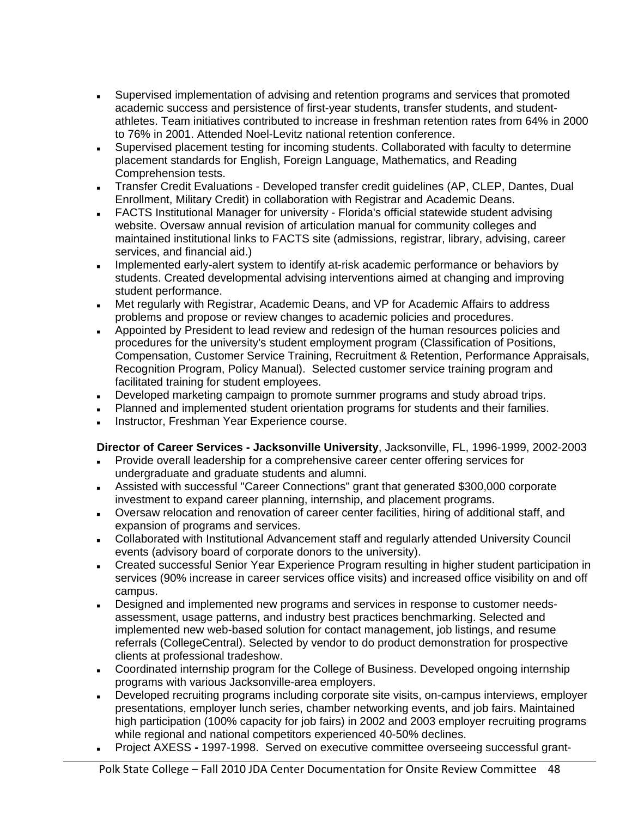- Supervised implementation of advising and retention programs and services that promoted academic success and persistence of first-year students, transfer students, and studentathletes. Team initiatives contributed to increase in freshman retention rates from 64% in 2000 to 76% in 2001. Attended Noel-Levitz national retention conference.
- Supervised placement testing for incoming students. Collaborated with faculty to determine placement standards for English, Foreign Language, Mathematics, and Reading Comprehension tests.
- Transfer Credit Evaluations Developed transfer credit guidelines (AP, CLEP, Dantes, Dual Enrollment, Military Credit) in collaboration with Registrar and Academic Deans.
- FACTS Institutional Manager for university Florida's official statewide student advising website. Oversaw annual revision of articulation manual for community colleges and maintained institutional links to FACTS site (admissions, registrar, library, advising, career services, and financial aid.)
- Implemented early-alert system to identify at-risk academic performance or behaviors by students. Created developmental advising interventions aimed at changing and improving student performance.
- Met regularly with Registrar, Academic Deans, and VP for Academic Affairs to address problems and propose or review changes to academic policies and procedures.
- **Appointed by President to lead review and redesign of the human resources policies and** procedures for the university's student employment program (Classification of Positions, Compensation, Customer Service Training, Recruitment & Retention, Performance Appraisals, Recognition Program, Policy Manual). Selected customer service training program and facilitated training for student employees.
- Developed marketing campaign to promote summer programs and study abroad trips.
- Planned and implemented student orientation programs for students and their families.
- Instructor, Freshman Year Experience course.

## **Director of Career Services - Jacksonville University**, Jacksonville, FL, 1996-1999, 2002-2003

- Provide overall leadership for a comprehensive career center offering services for undergraduate and graduate students and alumni.
- Assisted with successful "Career Connections" grant that generated \$300,000 corporate investment to expand career planning, internship, and placement programs.
- Oversaw relocation and renovation of career center facilities, hiring of additional staff, and expansion of programs and services.
- Collaborated with Institutional Advancement staff and regularly attended University Council events (advisory board of corporate donors to the university).
- Created successful Senior Year Experience Program resulting in higher student participation in services (90% increase in career services office visits) and increased office visibility on and off campus.
- Designed and implemented new programs and services in response to customer needsassessment, usage patterns, and industry best practices benchmarking. Selected and implemented new web-based solution for contact management, job listings, and resume referrals (CollegeCentral). Selected by vendor to do product demonstration for prospective clients at professional tradeshow.
- Coordinated internship program for the College of Business. Developed ongoing internship programs with various Jacksonville-area employers.
- Developed recruiting programs including corporate site visits, on-campus interviews, employer presentations, employer lunch series, chamber networking events, and job fairs. Maintained high participation (100% capacity for job fairs) in 2002 and 2003 employer recruiting programs while regional and national competitors experienced 40-50% declines.
- Project AXESS1997-1998. Served on executive committee overseeing successful grant-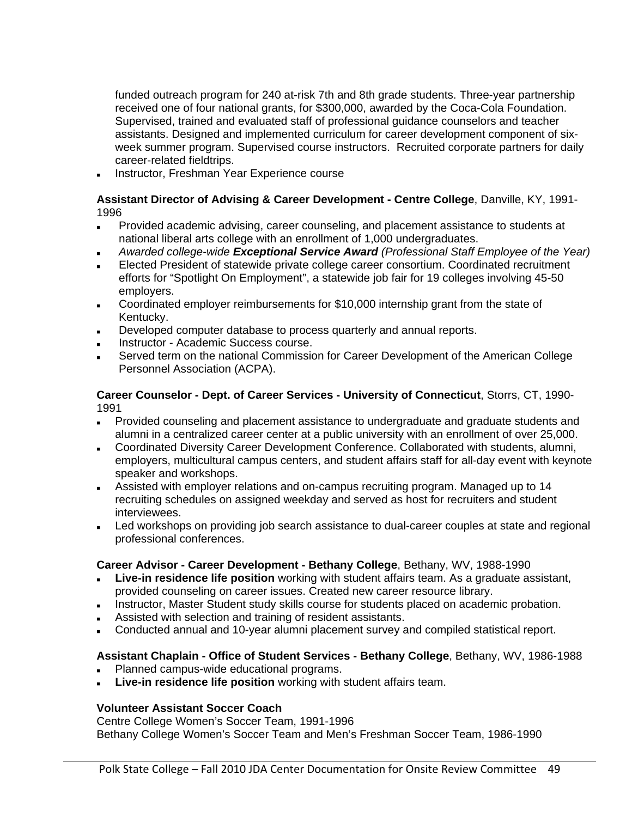funded outreach program for 240 at-risk 7th and 8th grade students. Three-year partnership received one of four national grants, for \$300,000, awarded by the Coca-Cola Foundation. Supervised, trained and evaluated staff of professional guidance counselors and teacher assistants. Designed and implemented curriculum for career development component of sixweek summer program. Supervised course instructors. Recruited corporate partners for daily career-related fieldtrips.

Instructor, Freshman Year Experience course

#### **Assistant Director of Advising & Career Development - Centre College**, Danville, KY, 1991- 1996

- Provided academic advising, career counseling, and placement assistance to students at national liberal arts college with an enrollment of 1,000 undergraduates.
- *Awarded college-wide Exceptional Service Award (Professional Staff Employee of the Year)*
- Elected President of statewide private college career consortium. Coordinated recruitment efforts for "Spotlight On Employment", a statewide job fair for 19 colleges involving 45-50 employers.
- Coordinated employer reimbursements for \$10,000 internship grant from the state of Kentucky.
- Developed computer database to process quarterly and annual reports.
- Instructor Academic Success course.
- Served term on the national Commission for Career Development of the American College Personnel Association (ACPA).

#### **Career Counselor - Dept. of Career Services - University of Connecticut**, Storrs, CT, 1990- 1991

- Provided counseling and placement assistance to undergraduate and graduate students and alumni in a centralized career center at a public university with an enrollment of over 25,000.
- Coordinated Diversity Career Development Conference. Collaborated with students, alumni, employers, multicultural campus centers, and student affairs staff for all-day event with keynote speaker and workshops.
- Assisted with employer relations and on-campus recruiting program. Managed up to 14 recruiting schedules on assigned weekday and served as host for recruiters and student interviewees.
- Led workshops on providing job search assistance to dual-career couples at state and regional professional conferences.

## **Career Advisor - Career Development - Bethany College**, Bethany, WV, 1988-1990

- **Live-in residence life position** working with student affairs team. As a graduate assistant, provided counseling on career issues. Created new career resource library.
- Instructor, Master Student study skills course for students placed on academic probation.
- Assisted with selection and training of resident assistants.
- Conducted annual and 10-year alumni placement survey and compiled statistical report.

## **Assistant Chaplain - Office of Student Services - Bethany College**, Bethany, WV, 1986-1988

- Planned campus-wide educational programs.
- **Live-in residence life position** working with student affairs team.

## **Volunteer Assistant Soccer Coach**

Centre College Women's Soccer Team, 1991-1996 Bethany College Women's Soccer Team and Men's Freshman Soccer Team, 1986-1990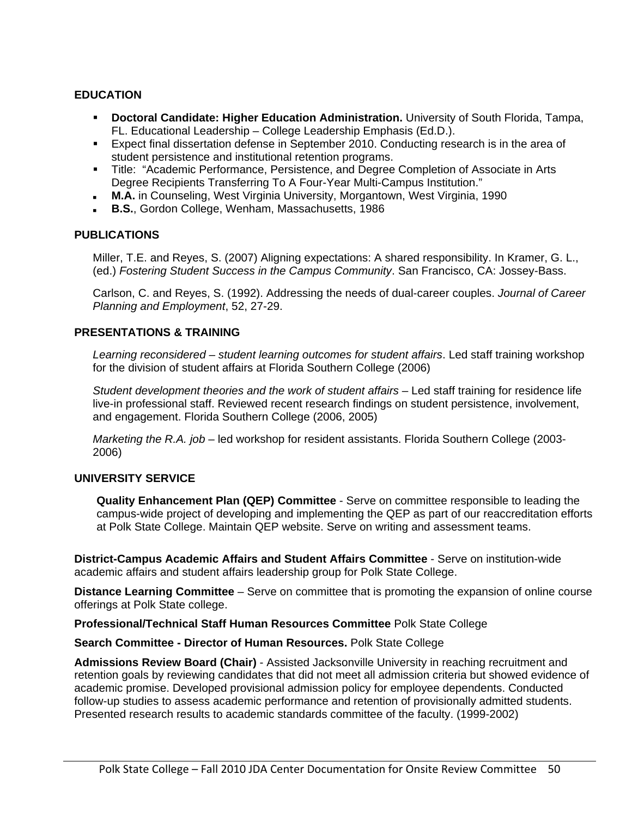#### **EDUCATION**

- **Doctoral Candidate: Higher Education Administration.** University of South Florida, Tampa, FL. Educational Leadership – College Leadership Emphasis (Ed.D.).
- Expect final dissertation defense in September 2010. Conducting research is in the area of student persistence and institutional retention programs.
- Title: "Academic Performance, Persistence, and Degree Completion of Associate in Arts Degree Recipients Transferring To A Four-Year Multi-Campus Institution."
- **M.A.** in Counseling, West Virginia University, Morgantown, West Virginia, 1990
- **B.S.**, Gordon College, Wenham, Massachusetts, 1986

#### **PUBLICATIONS**

Miller, T.E. and Reyes, S. (2007) Aligning expectations: A shared responsibility. In Kramer, G. L., (ed.) *Fostering Student Success in the Campus Community*. San Francisco, CA: Jossey-Bass.

Carlson, C. and Reyes, S. (1992). Addressing the needs of dual-career couples. *Journal of Career Planning and Employment*, 52, 27-29.

#### **PRESENTATIONS & TRAINING**

*Learning reconsidered – student learning outcomes for student affairs*. Led staff training workshop for the division of student affairs at Florida Southern College (2006)

*Student development theories and the work of student affairs* – Led staff training for residence life live-in professional staff. Reviewed recent research findings on student persistence, involvement, and engagement. Florida Southern College (2006, 2005)

*Marketing the R.A. job* – led workshop for resident assistants. Florida Southern College (2003- 2006)

#### **UNIVERSITY SERVICE**

**Quality Enhancement Plan (QEP) Committee** - Serve on committee responsible to leading the campus-wide project of developing and implementing the QEP as part of our reaccreditation efforts at Polk State College. Maintain QEP website. Serve on writing and assessment teams.

**District-Campus Academic Affairs and Student Affairs Committee** - Serve on institution-wide academic affairs and student affairs leadership group for Polk State College.

**Distance Learning Committee** – Serve on committee that is promoting the expansion of online course offerings at Polk State college.

**Professional/Technical Staff Human Resources Committee** Polk State College

#### **Search Committee - Director of Human Resources.** Polk State College

**Admissions Review Board (Chair)** - Assisted Jacksonville University in reaching recruitment and retention goals by reviewing candidates that did not meet all admission criteria but showed evidence of academic promise. Developed provisional admission policy for employee dependents. Conducted follow-up studies to assess academic performance and retention of provisionally admitted students. Presented research results to academic standards committee of the faculty. (1999-2002)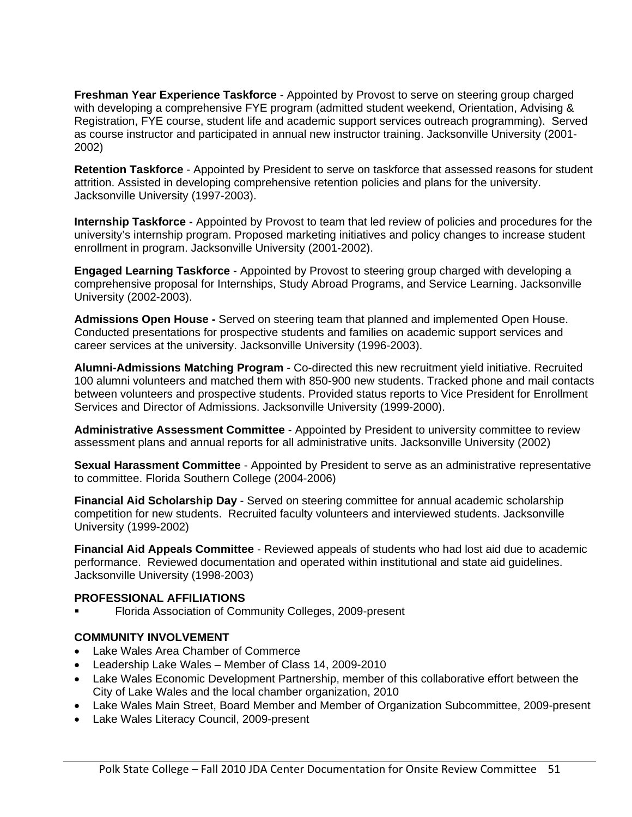**Freshman Year Experience Taskforce** - Appointed by Provost to serve on steering group charged with developing a comprehensive FYE program (admitted student weekend, Orientation, Advising & Registration, FYE course, student life and academic support services outreach programming). Served as course instructor and participated in annual new instructor training. Jacksonville University (2001- 2002)

**Retention Taskforce** - Appointed by President to serve on taskforce that assessed reasons for student attrition. Assisted in developing comprehensive retention policies and plans for the university. Jacksonville University (1997-2003).

**Internship Taskforce -** Appointed by Provost to team that led review of policies and procedures for the university's internship program. Proposed marketing initiatives and policy changes to increase student enrollment in program. Jacksonville University (2001-2002).

**Engaged Learning Taskforce** - Appointed by Provost to steering group charged with developing a comprehensive proposal for Internships, Study Abroad Programs, and Service Learning. Jacksonville University (2002-2003).

**Admissions Open House -** Served on steering team that planned and implemented Open House. Conducted presentations for prospective students and families on academic support services and career services at the university. Jacksonville University (1996-2003).

**Alumni-Admissions Matching Program** - Co-directed this new recruitment yield initiative. Recruited 100 alumni volunteers and matched them with 850-900 new students. Tracked phone and mail contacts between volunteers and prospective students. Provided status reports to Vice President for Enrollment Services and Director of Admissions. Jacksonville University (1999-2000).

**Administrative Assessment Committee** - Appointed by President to university committee to review assessment plans and annual reports for all administrative units. Jacksonville University (2002)

**Sexual Harassment Committee** - Appointed by President to serve as an administrative representative to committee. Florida Southern College (2004-2006)

**Financial Aid Scholarship Day** - Served on steering committee for annual academic scholarship competition for new students. Recruited faculty volunteers and interviewed students. Jacksonville University (1999-2002)

**Financial Aid Appeals Committee** - Reviewed appeals of students who had lost aid due to academic performance. Reviewed documentation and operated within institutional and state aid guidelines. Jacksonville University (1998-2003)

#### **PROFESSIONAL AFFILIATIONS**

Florida Association of Community Colleges, 2009-present

#### **COMMUNITY INVOLVEMENT**

- Lake Wales Area Chamber of Commerce
- Leadership Lake Wales Member of Class 14, 2009-2010
- Lake Wales Economic Development Partnership, member of this collaborative effort between the City of Lake Wales and the local chamber organization, 2010
- Lake Wales Main Street, Board Member and Member of Organization Subcommittee, 2009-present
- Lake Wales Literacy Council, 2009-present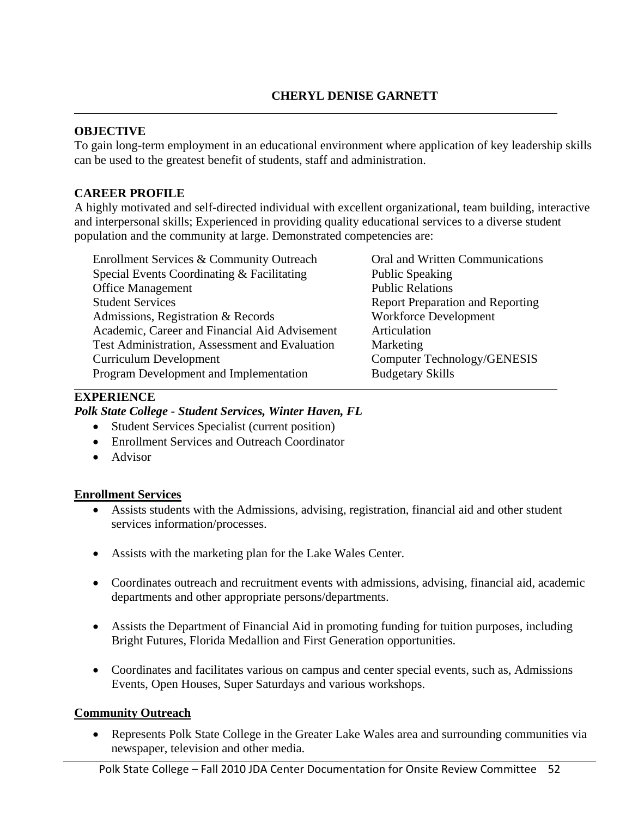# **CHERYL DENISE GARNETT**

### **OBJECTIVE**

To gain long-term employment in an educational environment where application of key leadership skills can be used to the greatest benefit of students, staff and administration.

### **CAREER PROFILE**

A highly motivated and self-directed individual with excellent organizational, team building, interactive and interpersonal skills; Experienced in providing quality educational services to a diverse student population and the community at large. Demonstrated competencies are:

| Enrollment Services & Community Outreach       | Oral and Written Communications         |
|------------------------------------------------|-----------------------------------------|
| Special Events Coordinating & Facilitating     | <b>Public Speaking</b>                  |
| <b>Office Management</b>                       | <b>Public Relations</b>                 |
| <b>Student Services</b>                        | <b>Report Preparation and Reporting</b> |
| Admissions, Registration & Records             | <b>Workforce Development</b>            |
| Academic, Career and Financial Aid Advisement  | Articulation                            |
| Test Administration, Assessment and Evaluation | Marketing                               |
| <b>Curriculum Development</b>                  | Computer Technology/GENESIS             |
| Program Development and Implementation         | <b>Budgetary Skills</b>                 |

#### **EXPERIENCE**

#### *Polk State College - Student Services, Winter Haven, FL*

- Student Services Specialist (current position)
- Enrollment Services and Outreach Coordinator
- Advisor

#### **Enrollment Services**

- Assists students with the Admissions, advising, registration, financial aid and other student services information/processes.
- Assists with the marketing plan for the Lake Wales Center.
- Coordinates outreach and recruitment events with admissions, advising, financial aid, academic departments and other appropriate persons/departments.
- Assists the Department of Financial Aid in promoting funding for tuition purposes, including Bright Futures, Florida Medallion and First Generation opportunities.
- Coordinates and facilitates various on campus and center special events, such as, Admissions Events, Open Houses, Super Saturdays and various workshops.

## **Community Outreach**

 Represents Polk State College in the Greater Lake Wales area and surrounding communities via newspaper, television and other media.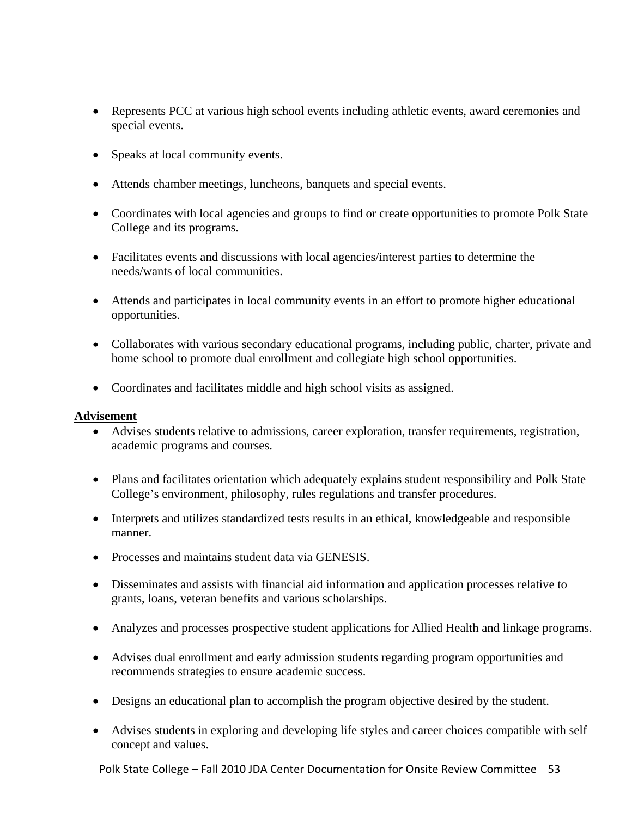- Represents PCC at various high school events including athletic events, award ceremonies and special events.
- Speaks at local community events.
- Attends chamber meetings, luncheons, banquets and special events.
- Coordinates with local agencies and groups to find or create opportunities to promote Polk State College and its programs.
- Facilitates events and discussions with local agencies/interest parties to determine the needs/wants of local communities.
- Attends and participates in local community events in an effort to promote higher educational opportunities.
- Collaborates with various secondary educational programs, including public, charter, private and home school to promote dual enrollment and collegiate high school opportunities.
- Coordinates and facilitates middle and high school visits as assigned.

## **Advisement**

- Advises students relative to admissions, career exploration, transfer requirements, registration, academic programs and courses.
- Plans and facilitates orientation which adequately explains student responsibility and Polk State College's environment, philosophy, rules regulations and transfer procedures.
- Interprets and utilizes standardized tests results in an ethical, knowledgeable and responsible manner.
- Processes and maintains student data via GENESIS.
- Disseminates and assists with financial aid information and application processes relative to grants, loans, veteran benefits and various scholarships.
- Analyzes and processes prospective student applications for Allied Health and linkage programs.
- Advises dual enrollment and early admission students regarding program opportunities and recommends strategies to ensure academic success.
- Designs an educational plan to accomplish the program objective desired by the student.
- Advises students in exploring and developing life styles and career choices compatible with self concept and values.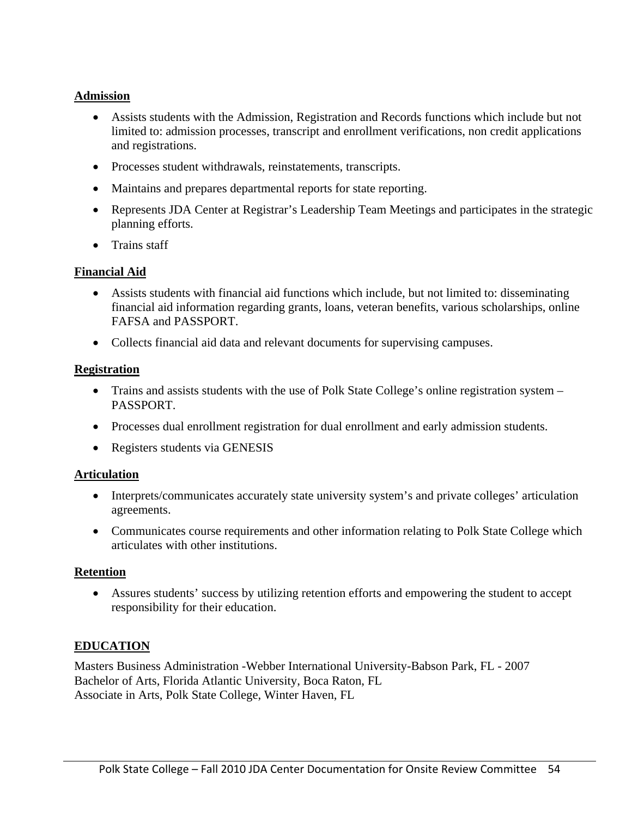# **Admission**

- Assists students with the Admission, Registration and Records functions which include but not limited to: admission processes, transcript and enrollment verifications, non credit applications and registrations.
- Processes student withdrawals, reinstatements, transcripts.
- Maintains and prepares departmental reports for state reporting.
- Represents JDA Center at Registrar's Leadership Team Meetings and participates in the strategic planning efforts.
- Trains staff

# **Financial Aid**

- Assists students with financial aid functions which include, but not limited to: disseminating financial aid information regarding grants, loans, veteran benefits, various scholarships, online FAFSA and PASSPORT.
- Collects financial aid data and relevant documents for supervising campuses.

# **Registration**

- Trains and assists students with the use of Polk State College's online registration system PASSPORT.
- Processes dual enrollment registration for dual enrollment and early admission students.
- Registers students via GENESIS

## **Articulation**

- Interprets/communicates accurately state university system's and private colleges' articulation agreements.
- Communicates course requirements and other information relating to Polk State College which articulates with other institutions.

## **Retention**

 Assures students' success by utilizing retention efforts and empowering the student to accept responsibility for their education.

# **EDUCATION**

Masters Business Administration -Webber International University-Babson Park, FL - 2007 Bachelor of Arts, Florida Atlantic University, Boca Raton, FL Associate in Arts, Polk State College, Winter Haven, FL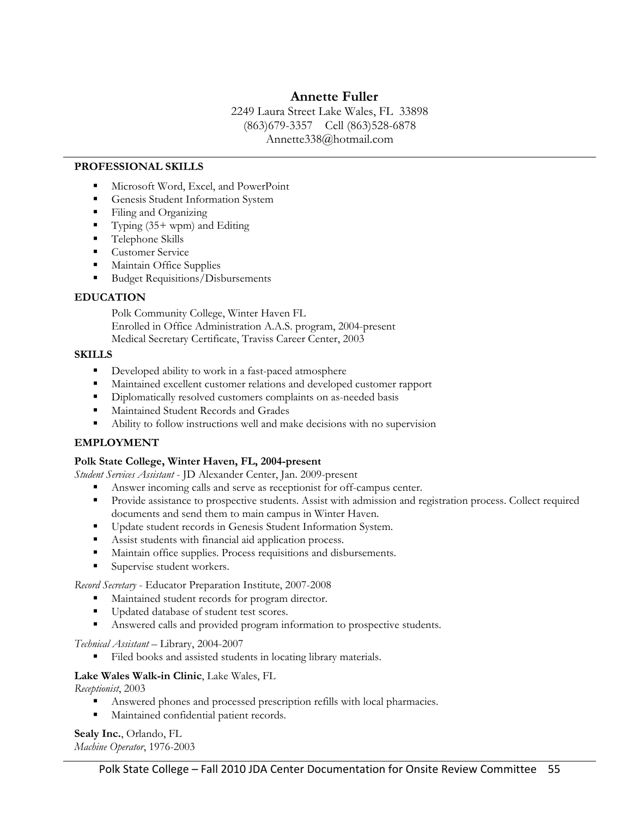# **Annette Fuller**

2249 Laura Street Lake Wales, FL 33898 (863)679-3357 Cell (863)528-6878 Annette338@hotmail.com

#### **PROFESSIONAL SKILLS**

- Microsoft Word, Excel, and PowerPoint
- Genesis Student Information System
- Filing and Organizing
- Typing  $(35+ wpm)$  and Editing
- **Telephone Skills**
- **Customer Service**
- Maintain Office Supplies
- Budget Requisitions/Disbursements

#### **EDUCATION**

Polk Community College, Winter Haven FL Enrolled in Office Administration A.A.S. program, 2004-present Medical Secretary Certificate, Traviss Career Center, 2003

#### **SKILLS**

- Developed ability to work in a fast-paced atmosphere
- Maintained excellent customer relations and developed customer rapport
- Diplomatically resolved customers complaints on as-needed basis
- Maintained Student Records and Grades
- Ability to follow instructions well and make decisions with no supervision

#### **EMPLOYMENT**

#### **Polk State College, Winter Haven, FL, 2004-present**

*Student Services Assistant* - JD Alexander Center, Jan. 2009-present

- Answer incoming calls and serve as receptionist for off-campus center.
- Provide assistance to prospective students. Assist with admission and registration process. Collect required documents and send them to main campus in Winter Haven.
- **Update student records in Genesis Student Information System.**
- Assist students with financial aid application process.
- Maintain office supplies. Process requisitions and disbursements.
- Supervise student workers.

*Record Secretary* - Educator Preparation Institute, 2007-2008

- Maintained student records for program director.
- Updated database of student test scores.
- Answered calls and provided program information to prospective students.

#### *Technical Assistant* – Library, 2004-2007

Filed books and assisted students in locating library materials.

#### **Lake Wales Walk-in Clinic**, Lake Wales, FL

*Receptionist*, 2003

- Answered phones and processed prescription refills with local pharmacies.
- Maintained confidential patient records.

**Sealy Inc.**, Orlando, FL *Machine Operator*, 1976-2003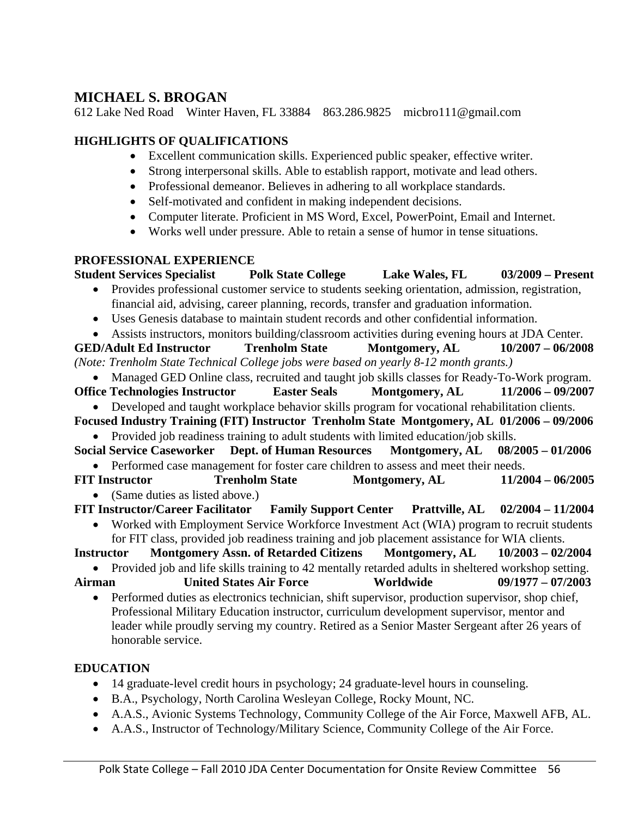# **MICHAEL S. BROGAN**

612 Lake Ned Road Winter Haven, FL 33884 863.286.9825 micbro111@gmail.com

# **HIGHLIGHTS OF QUALIFICATIONS**

- Excellent communication skills. Experienced public speaker, effective writer.
- Strong interpersonal skills. Able to establish rapport, motivate and lead others.
- Professional demeanor. Believes in adhering to all workplace standards.
- Self-motivated and confident in making independent decisions.
- Computer literate. Proficient in MS Word, Excel, PowerPoint, Email and Internet.
- Works well under pressure. Able to retain a sense of humor in tense situations.

# **PROFESSIONAL EXPERIENCE**

**Student Services Specialist Polk State College Lake Wales, FL 03/2009 – Present**  Provides professional customer service to students seeking orientation, admission, registration, financial aid, advising, career planning, records, transfer and graduation information. Uses Genesis database to maintain student records and other confidential information. Assists instructors, monitors building/classroom activities during evening hours at JDA Center. **GED/Adult Ed Instructor Trenholm State Montgomery, AL 10/2007 – 06/2008**  *(Note: Trenholm State Technical College jobs were based on yearly 8-12 month grants.)*  • Managed GED Online class, recruited and taught job skills classes for Ready-To-Work program. **Office Technologies Instructor Easter Seals Montgomery, AL 11/2006 – 09/2007**  Developed and taught workplace behavior skills program for vocational rehabilitation clients. **Focused Industry Training (FIT) Instructor Trenholm State Montgomery, AL 01/2006 – 09/2006**  Provided job readiness training to adult students with limited education/job skills. **Social Service Caseworker Dept. of Human Resources Montgomery, AL 08/2005 – 01/2006**  • Performed case management for foster care children to assess and meet their needs. **FIT Instructor Trenholm State Montgomery, AL 11/2004 – 06/2005**  (Same duties as listed above.) **FIT Instructor/Career Facilitator Family Support Center Prattville, AL 02/2004 – 11/2004**  • Worked with Employment Service Workforce Investment Act (WIA) program to recruit students for FIT class, provided job readiness training and job placement assistance for WIA clients. **Instructor Montgomery Assn. of Retarded Citizens Montgomery, AL 10/2003 – 02/2004**  • Provided job and life skills training to 42 mentally retarded adults in sheltered workshop setting. **Airman United States Air Force Worldwide 09/1977 – 07/2003**  • Performed duties as electronics technician, shift supervisor, production supervisor, shop chief, Professional Military Education instructor, curriculum development supervisor, mentor and leader while proudly serving my country. Retired as a Senior Master Sergeant after 26 years of honorable service.

# **EDUCATION**

- 14 graduate-level credit hours in psychology; 24 graduate-level hours in counseling.
- B.A., Psychology, North Carolina Wesleyan College, Rocky Mount, NC.
- A.A.S., Avionic Systems Technology, Community College of the Air Force, Maxwell AFB, AL.
- A.A.S., Instructor of Technology/Military Science, Community College of the Air Force.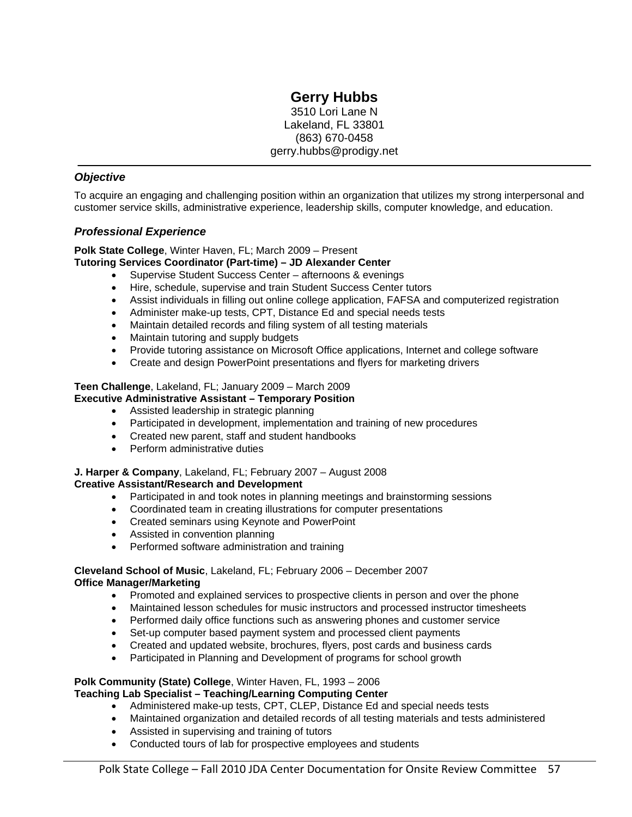# **Gerry Hubbs**

3510 Lori Lane N Lakeland, FL 33801 (863) 670-0458 gerry.hubbs@prodigy.net

#### *Objective*

To acquire an engaging and challenging position within an organization that utilizes my strong interpersonal and customer service skills, administrative experience, leadership skills, computer knowledge, and education.

#### *Professional Experience*

#### **Polk State College**, Winter Haven, FL; March 2009 – Present

#### **Tutoring Services Coordinator (Part-time) – JD Alexander Center**

- Supervise Student Success Center afternoons & evenings
- Hire, schedule, supervise and train Student Success Center tutors
- Assist individuals in filling out online college application, FAFSA and computerized registration
- Administer make-up tests, CPT, Distance Ed and special needs tests
- Maintain detailed records and filing system of all testing materials
- Maintain tutoring and supply budgets
- Provide tutoring assistance on Microsoft Office applications, Internet and college software
- Create and design PowerPoint presentations and flyers for marketing drivers

# **Teen Challenge**, Lakeland, FL; January 2009 – March 2009

## **Executive Administrative Assistant – Temporary Position**

- Assisted leadership in strategic planning
- Participated in development, implementation and training of new procedures
- Created new parent, staff and student handbooks
- Perform administrative duties

# **J. Harper & Company**, Lakeland, FL; February 2007 – August 2008

#### **Creative Assistant/Research and Development**

- Participated in and took notes in planning meetings and brainstorming sessions
- Coordinated team in creating illustrations for computer presentations
- Created seminars using Keynote and PowerPoint
- Assisted in convention planning
- Performed software administration and training

#### **Cleveland School of Music**, Lakeland, FL; February 2006 – December 2007 **Office Manager/Marketing**

- Promoted and explained services to prospective clients in person and over the phone
- Maintained lesson schedules for music instructors and processed instructor timesheets
- Performed daily office functions such as answering phones and customer service
- Set-up computer based payment system and processed client payments
- Created and updated website, brochures, flyers, post cards and business cards
- Participated in Planning and Development of programs for school growth

#### **Polk Community (State) College**, Winter Haven, FL, 1993 – 2006 **Teaching Lab Specialist – Teaching/Learning Computing Center**

- Administered make-up tests, CPT, CLEP, Distance Ed and special needs tests
- Maintained organization and detailed records of all testing materials and tests administered
- Assisted in supervising and training of tutors
- Conducted tours of lab for prospective employees and students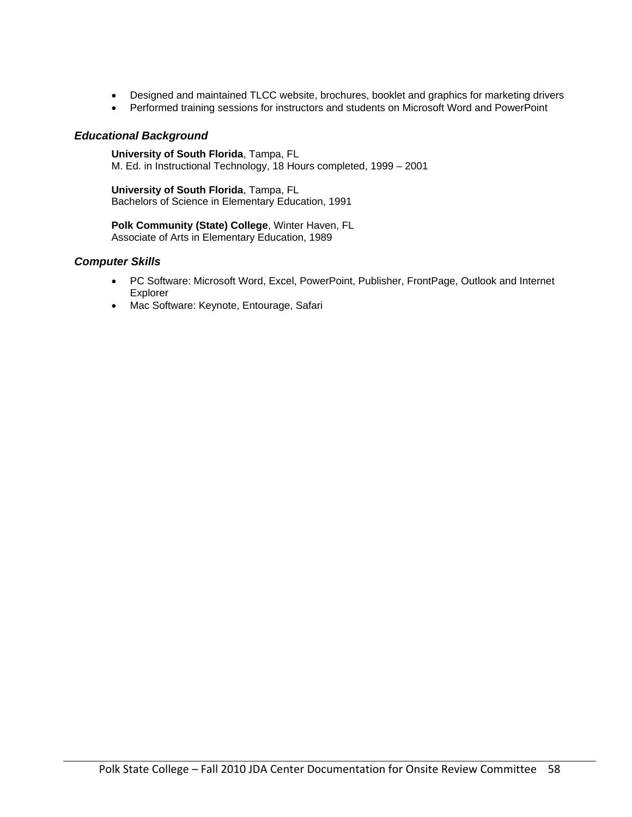- Designed and maintained TLCC website, brochures, booklet and graphics for marketing drivers
- Performed training sessions for instructors and students on Microsoft Word and PowerPoint

#### *Educational Background*

**University of South Florida**, Tampa, FL M. Ed. in Instructional Technology, 18 Hours completed, 1999 – 2001

**University of South Florida**, Tampa, FL Bachelors of Science in Elementary Education, 1991

**Polk Community (State) College**, Winter Haven, FL Associate of Arts in Elementary Education, 1989

#### *Computer Skills*

- PC Software: Microsoft Word, Excel, PowerPoint, Publisher, FrontPage, Outlook and Internet Explorer
- Mac Software: Keynote, Entourage, Safari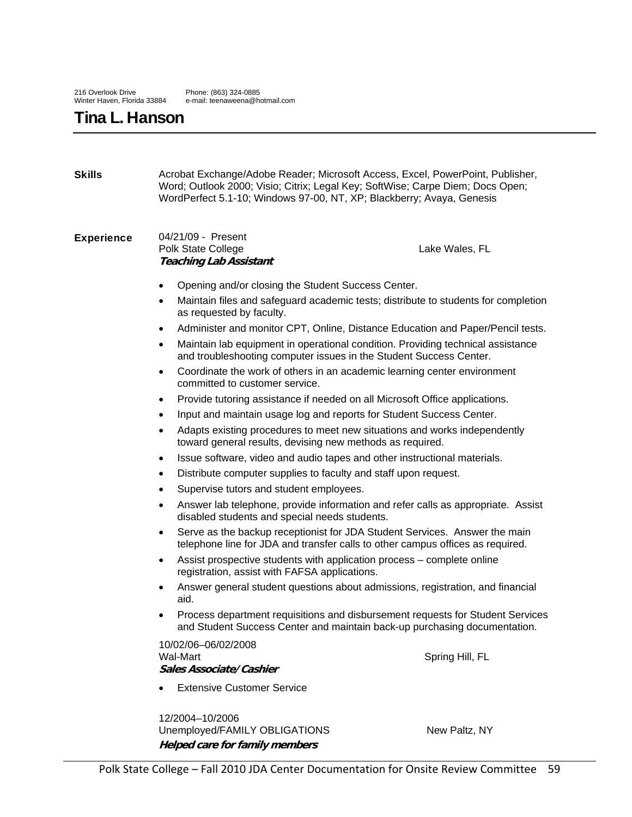# Tina L. Hanson

| <b>Skills</b>     | WordPerfect 5.1-10; Windows 97-00, NT, XP; Blackberry; Avaya, Genesis                                                                | Acrobat Exchange/Adobe Reader; Microsoft Access, Excel, PowerPoint, Publisher,<br>Word; Outlook 2000; Visio; Citrix; Legal Key; SoftWise; Carpe Diem; Docs Open; |
|-------------------|--------------------------------------------------------------------------------------------------------------------------------------|------------------------------------------------------------------------------------------------------------------------------------------------------------------|
| <b>Experience</b> | 04/21/09 - Present<br>Polk State College<br><b>Teaching Lab Assistant</b>                                                            | Lake Wales, FL                                                                                                                                                   |
|                   | Opening and/or closing the Student Success Center.                                                                                   |                                                                                                                                                                  |
|                   | ٠<br>as requested by faculty.                                                                                                        | Maintain files and safeguard academic tests; distribute to students for completion                                                                               |
|                   | ٠                                                                                                                                    | Administer and monitor CPT, Online, Distance Education and Paper/Pencil tests.                                                                                   |
|                   | ٠<br>and troubleshooting computer issues in the Student Success Center.                                                              | Maintain lab equipment in operational condition. Providing technical assistance                                                                                  |
|                   | $\bullet$<br>committed to customer service.                                                                                          | Coordinate the work of others in an academic learning center environment                                                                                         |
|                   | $\bullet$                                                                                                                            | Provide tutoring assistance if needed on all Microsoft Office applications.                                                                                      |
|                   | Input and maintain usage log and reports for Student Success Center.<br>٠                                                            |                                                                                                                                                                  |
|                   | toward general results, devising new methods as required.                                                                            | Adapts existing procedures to meet new situations and works independently                                                                                        |
|                   | Issue software, video and audio tapes and other instructional materials.<br>٠                                                        |                                                                                                                                                                  |
|                   | Distribute computer supplies to faculty and staff upon request.<br>$\bullet$                                                         |                                                                                                                                                                  |
|                   | Supervise tutors and student employees.<br>٠                                                                                         |                                                                                                                                                                  |
|                   | disabled students and special needs students.                                                                                        | Answer lab telephone, provide information and refer calls as appropriate. Assist                                                                                 |
|                   | ٠                                                                                                                                    | Serve as the backup receptionist for JDA Student Services. Answer the main<br>telephone line for JDA and transfer calls to other campus offices as required.     |
|                   | Assist prospective students with application process – complete online<br>$\bullet$<br>registration, assist with FAFSA applications. |                                                                                                                                                                  |
|                   | ٠<br>aid.                                                                                                                            | Answer general student questions about admissions, registration, and financial                                                                                   |
|                   | $\bullet$                                                                                                                            | Process department requisitions and disbursement requests for Student Services<br>and Student Success Center and maintain back-up purchasing documentation.      |
|                   | 10/02/06-06/02/2008<br>Wal-Mart<br>Sales Associate/Cashier                                                                           | Spring Hill, FL                                                                                                                                                  |
|                   | <b>Extensive Customer Service</b>                                                                                                    |                                                                                                                                                                  |
|                   | 12/2004-10/2006<br>Unemployed/FAMILY OBLIGATIONS                                                                                     | New Paltz, NY                                                                                                                                                    |

**Helped care for family members**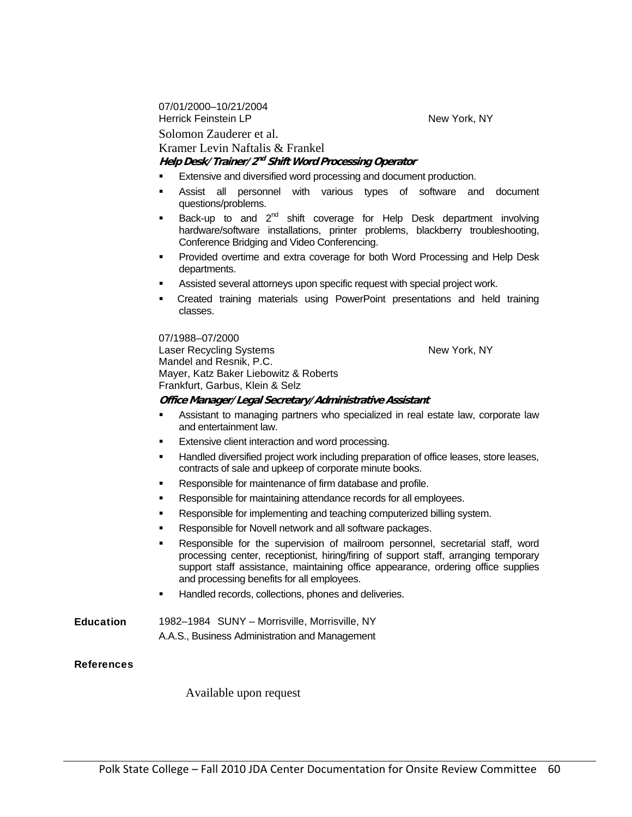07/01/2000–10/21/2004 Herrick Feinstein LP New York, NY

Solomon Zauderer et al.

Kramer Levin Naftalis & Frankel

#### **Help Desk/Trainer/2nd Shift Word Processing Operator**

- Extensive and diversified word processing and document production.
- Assist all personnel with various types of software and document questions/problems.
- Back-up to and  $2^{nd}$  shift coverage for Help Desk department involving hardware/software installations, printer problems, blackberry troubleshooting, Conference Bridging and Video Conferencing.
- Provided overtime and extra coverage for both Word Processing and Help Desk departments.
- Assisted several attorneys upon specific request with special project work.
- Created training materials using PowerPoint presentations and held training classes.

07/1988–07/2000

Laser Recycling Systems New York, NY Mandel and Resnik, P.C. Mayer, Katz Baker Liebowitz & Roberts Frankfurt, Garbus, Klein & Selz

#### **Office Manager/Legal Secretary/Administrative Assistant**

- Assistant to managing partners who specialized in real estate law, corporate law and entertainment law.
- Extensive client interaction and word processing.
- Handled diversified project work including preparation of office leases, store leases, contracts of sale and upkeep of corporate minute books.
- Responsible for maintenance of firm database and profile.
- Responsible for maintaining attendance records for all employees.
- Responsible for implementing and teaching computerized billing system.
- Responsible for Novell network and all software packages.
- Responsible for the supervision of mailroom personnel, secretarial staff, word processing center, receptionist, hiring/firing of support staff, arranging temporary support staff assistance, maintaining office appearance, ordering office supplies and processing benefits for all employees.
- Handled records, collections, phones and deliveries.

**Education** 1982–1984 SUNY – Morrisville, Morrisville, NY A.A.S., Business Administration and Management

#### **References**

Available upon request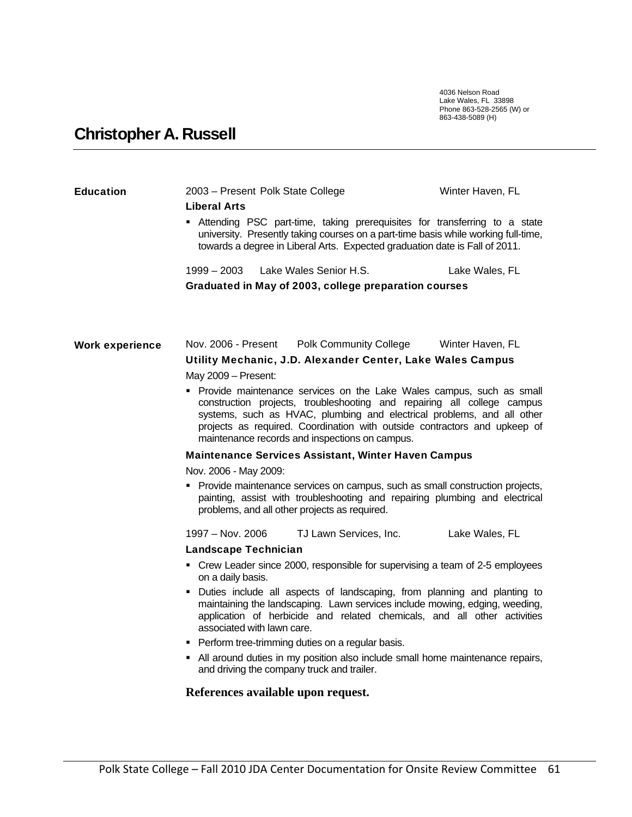4036 Nelson Road Lake Wales, FL 33898 Phone 863-528-2565 (W) or 863-438-5089 (H)

# Christopher A. Russell

| <b>Education</b>       | 2003 – Present Polk State College                                                                                                                                                                                                                                                                                                                          | Winter Haven, FL |  |  |
|------------------------|------------------------------------------------------------------------------------------------------------------------------------------------------------------------------------------------------------------------------------------------------------------------------------------------------------------------------------------------------------|------------------|--|--|
|                        | <b>Liberal Arts</b><br>Attending PSC part-time, taking prerequisites for transferring to a state<br>university. Presently taking courses on a part-time basis while working full-time,<br>towards a degree in Liberal Arts. Expected graduation date is Fall of 2011.                                                                                      |                  |  |  |
|                        | $1999 - 2003$<br>Lake Wales Senior H.S.                                                                                                                                                                                                                                                                                                                    | Lake Wales, FL   |  |  |
|                        | Graduated in May of 2003, college preparation courses                                                                                                                                                                                                                                                                                                      |                  |  |  |
| <b>Work experience</b> | Nov. 2006 - Present<br><b>Polk Community College</b>                                                                                                                                                                                                                                                                                                       | Winter Haven, FL |  |  |
|                        | Utility Mechanic, J.D. Alexander Center, Lake Wales Campus                                                                                                                                                                                                                                                                                                 |                  |  |  |
|                        | May 2009 - Present:                                                                                                                                                                                                                                                                                                                                        |                  |  |  |
|                        | • Provide maintenance services on the Lake Wales campus, such as small<br>construction projects, troubleshooting and repairing all college campus<br>systems, such as HVAC, plumbing and electrical problems, and all other<br>projects as required. Coordination with outside contractors and upkeep of<br>maintenance records and inspections on campus. |                  |  |  |
|                        | <b>Maintenance Services Assistant, Winter Haven Campus</b>                                                                                                                                                                                                                                                                                                 |                  |  |  |
|                        | Nov. 2006 - May 2009:                                                                                                                                                                                                                                                                                                                                      |                  |  |  |
|                        | • Provide maintenance services on campus, such as small construction projects,<br>painting, assist with troubleshooting and repairing plumbing and electrical<br>problems, and all other projects as required.                                                                                                                                             |                  |  |  |
|                        | 1997 – Nov. 2006<br>TJ Lawn Services, Inc.                                                                                                                                                                                                                                                                                                                 | Lake Wales, FL   |  |  |
|                        | Landscape Technician                                                                                                                                                                                                                                                                                                                                       |                  |  |  |
|                        | • Crew Leader since 2000, responsible for supervising a team of 2-5 employees<br>on a daily basis.                                                                                                                                                                                                                                                         |                  |  |  |
|                        | • Duties include all aspects of landscaping, from planning and planting to<br>maintaining the landscaping. Lawn services include mowing, edging, weeding,<br>application of herbicide and related chemicals, and all other activities<br>associated with lawn care.                                                                                        |                  |  |  |
|                        | Perform tree-trimming duties on a regular basis.                                                                                                                                                                                                                                                                                                           |                  |  |  |
|                        | • All around duties in my position also include small home maintenance repairs,<br>and driving the company truck and trailer.                                                                                                                                                                                                                              |                  |  |  |
|                        | References available upon request.                                                                                                                                                                                                                                                                                                                         |                  |  |  |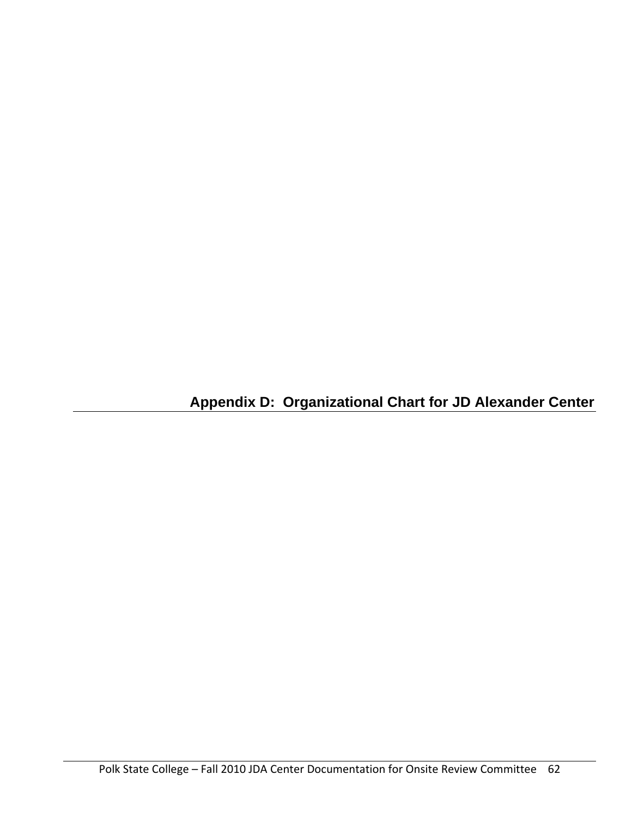**Appendix D: Organizational Chart for JD Alexander Center**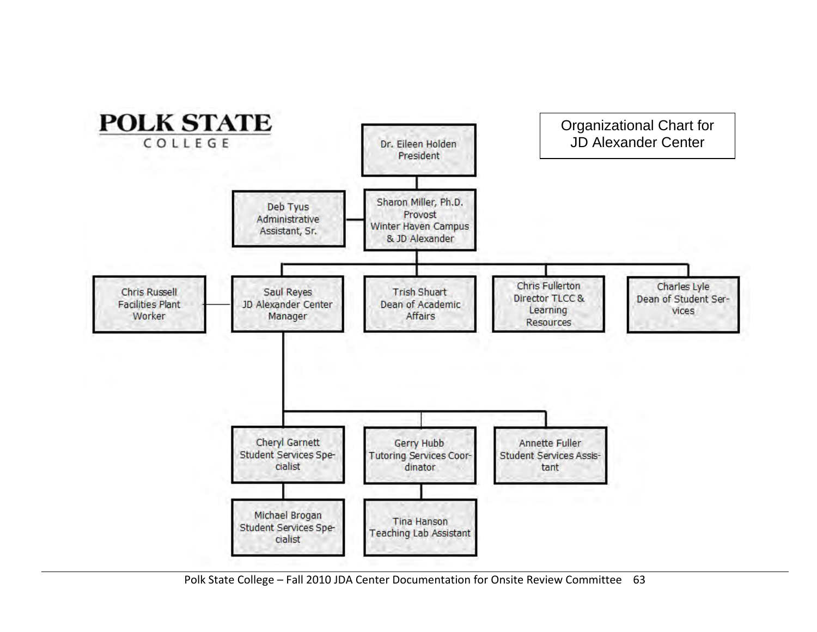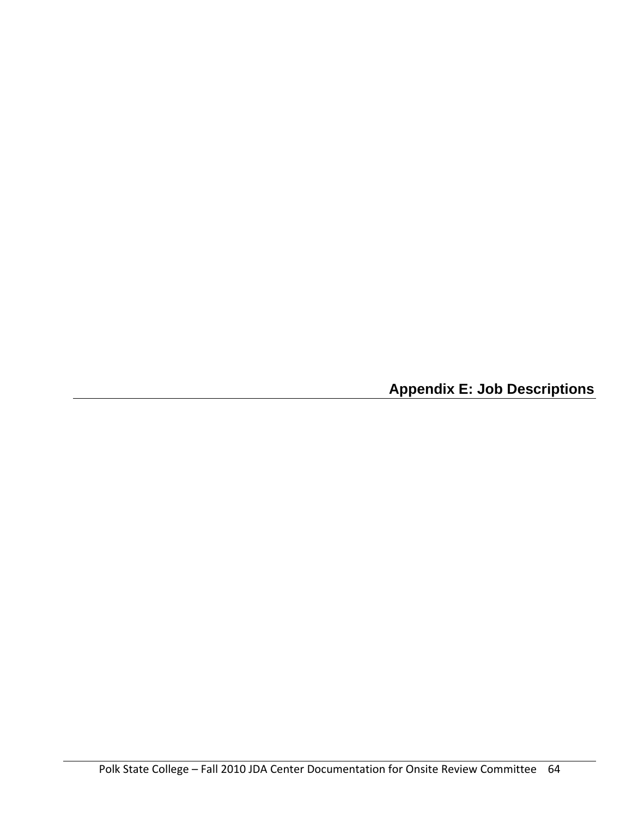**Appendix E: Job Descriptions**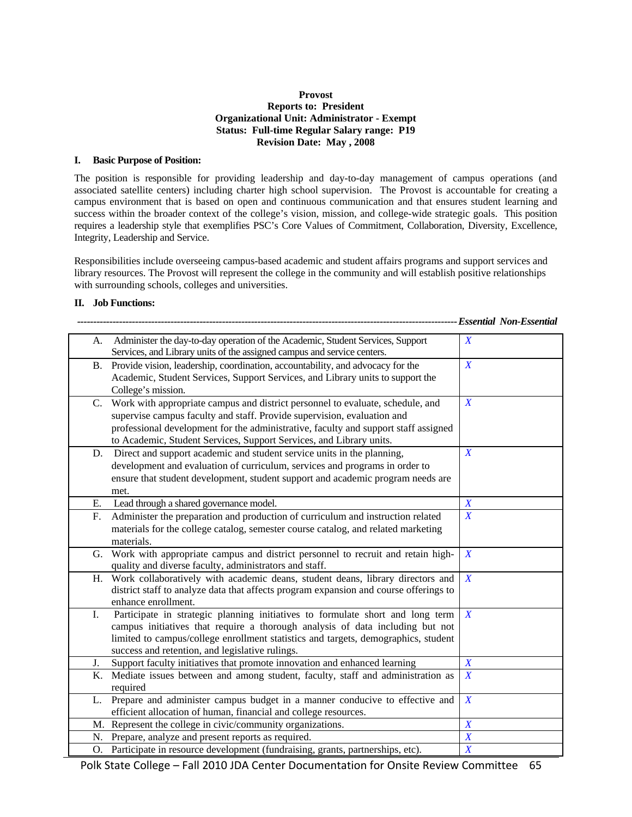#### **Provost Reports to: President Organizational Unit: Administrator - Exempt Status: Full-time Regular Salary range: P19 Revision Date: May , 2008**

#### **I. Basic Purpose of Position:**

The position is responsible for providing leadership and day-to-day management of campus operations (and associated satellite centers) including charter high school supervision. The Provost is accountable for creating a campus environment that is based on open and continuous communication and that ensures student learning and success within the broader context of the college's vision, mission, and college-wide strategic goals. This position requires a leadership style that exemplifies PSC's Core Values of Commitment, Collaboration, Diversity, Excellence, Integrity, Leadership and Service.

Responsibilities include overseeing campus-based academic and student affairs programs and support services and library resources. The Provost will represent the college in the community and will establish positive relationships with surrounding schools, colleges and universities.

#### **II. Job Functions:**

|    |                                                                                                                                                                                                                                                                                                                         | -------------------------- Essential Non-Essential |
|----|-------------------------------------------------------------------------------------------------------------------------------------------------------------------------------------------------------------------------------------------------------------------------------------------------------------------------|----------------------------------------------------|
| А. | Administer the day-to-day operation of the Academic, Student Services, Support<br>Services, and Library units of the assigned campus and service centers.                                                                                                                                                               | $\boldsymbol{X}$                                   |
|    | B. Provide vision, leadership, coordination, accountability, and advocacy for the<br>Academic, Student Services, Support Services, and Library units to support the<br>College's mission.                                                                                                                               | $\boldsymbol{X}$                                   |
| C. | Work with appropriate campus and district personnel to evaluate, schedule, and<br>supervise campus faculty and staff. Provide supervision, evaluation and<br>professional development for the administrative, faculty and support staff assigned<br>to Academic, Student Services, Support Services, and Library units. | $\boldsymbol{X}$                                   |
| D. | Direct and support academic and student service units in the planning,<br>development and evaluation of curriculum, services and programs in order to<br>ensure that student development, student support and academic program needs are<br>met.                                                                        | $\boldsymbol{X}$                                   |
| Е. | Lead through a shared governance model.                                                                                                                                                                                                                                                                                 | $\boldsymbol{X}$                                   |
| F. | Administer the preparation and production of curriculum and instruction related<br>materials for the college catalog, semester course catalog, and related marketing<br>materials.                                                                                                                                      | $\boldsymbol{X}$                                   |
|    | G. Work with appropriate campus and district personnel to recruit and retain high-<br>quality and diverse faculty, administrators and staff.                                                                                                                                                                            | $\boldsymbol{X}$                                   |
| Н. | Work collaboratively with academic deans, student deans, library directors and<br>district staff to analyze data that affects program expansion and course offerings to<br>enhance enrollment.                                                                                                                          | $\boldsymbol{X}$                                   |
| I. | Participate in strategic planning initiatives to formulate short and long term<br>campus initiatives that require a thorough analysis of data including but not<br>limited to campus/college enrollment statistics and targets, demographics, student<br>success and retention, and legislative rulings.                | $\boldsymbol{X}$                                   |
| J. | Support faculty initiatives that promote innovation and enhanced learning                                                                                                                                                                                                                                               | $\boldsymbol{X}$                                   |
| K. | Mediate issues between and among student, faculty, staff and administration as<br>required                                                                                                                                                                                                                              | $\boldsymbol{X}$                                   |
| L. | Prepare and administer campus budget in a manner conducive to effective and<br>efficient allocation of human, financial and college resources.                                                                                                                                                                          | $\boldsymbol{X}$                                   |
|    | M. Represent the college in civic/community organizations.                                                                                                                                                                                                                                                              | $\boldsymbol{X}$                                   |
| N. | Prepare, analyze and present reports as required.                                                                                                                                                                                                                                                                       | $\boldsymbol{X}$                                   |
| O. | Participate in resource development (fundraising, grants, partnerships, etc).                                                                                                                                                                                                                                           | $\overline{X}$                                     |

Polk State College – Fall 2010 JDA Center Documentation for Onsite Review Committee 65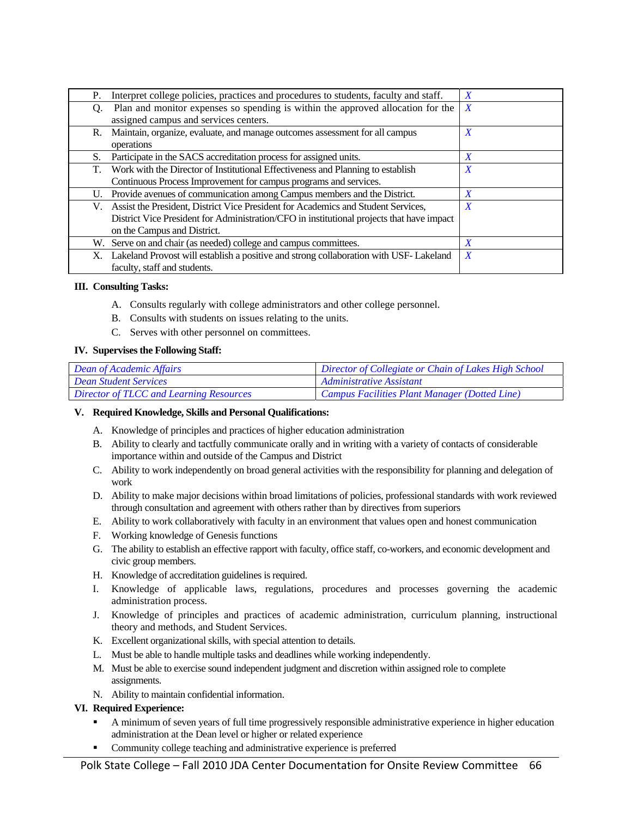| Interpret college policies, practices and procedures to students, faculty and staff.<br>Р.  | X                |
|---------------------------------------------------------------------------------------------|------------------|
| Plan and monitor expenses so spending is within the approved allocation for the<br>O.       | $\boldsymbol{X}$ |
| assigned campus and services centers.                                                       |                  |
| Maintain, organize, evaluate, and manage outcomes assessment for all campus<br>R.           | $\boldsymbol{X}$ |
| operations                                                                                  |                  |
| Participate in the SACS accreditation process for assigned units.<br>S.                     | X                |
| Work with the Director of Institutional Effectiveness and Planning to establish<br>T.       | $\boldsymbol{X}$ |
| Continuous Process Improvement for campus programs and services.                            |                  |
| Provide avenues of communication among Campus members and the District.<br>U.               | X                |
| Assist the President, District Vice President for Academics and Student Services,<br>V.     | $\boldsymbol{X}$ |
| District Vice President for Administration/CFO in institutional projects that have impact   |                  |
| on the Campus and District.                                                                 |                  |
| W. Serve on and chair (as needed) college and campus committees.                            | X                |
| Lakeland Provost will establish a positive and strong collaboration with USF-Lakeland<br>Х. | X                |
| faculty, staff and students.                                                                |                  |

#### **III. Consulting Tasks:**

- A. Consults regularly with college administrators and other college personnel.
- B. Consults with students on issues relating to the units.
- C. Serves with other personnel on committees.

#### **IV. Supervises the Following Staff:**

| <i>Dean of Academic Affairs</i>         | Director of Collegiate or Chain of Lakes High School |
|-----------------------------------------|------------------------------------------------------|
| <b>Dean Student Services</b>            | Administrative Assistant                             |
| Director of TLCC and Learning Resources | Campus Facilities Plant Manager (Dotted Line)        |

#### **V. Required Knowledge, Skills and Personal Qualifications:**

- A. Knowledge of principles and practices of higher education administration
- B. Ability to clearly and tactfully communicate orally and in writing with a variety of contacts of considerable importance within and outside of the Campus and District
- C. Ability to work independently on broad general activities with the responsibility for planning and delegation of work
- D. Ability to make major decisions within broad limitations of policies, professional standards with work reviewed through consultation and agreement with others rather than by directives from superiors
- E. Ability to work collaboratively with faculty in an environment that values open and honest communication
- F. Working knowledge of Genesis functions
- G. The ability to establish an effective rapport with faculty, office staff, co-workers, and economic development and civic group members.
- H. Knowledge of accreditation guidelines is required.
- I. Knowledge of applicable laws, regulations, procedures and processes governing the academic administration process.
- J. Knowledge of principles and practices of academic administration, curriculum planning, instructional theory and methods, and Student Services.
- K. Excellent organizational skills, with special attention to details.
- L. Must be able to handle multiple tasks and deadlines while working independently.
- M. Must be able to exercise sound independent judgment and discretion within assigned role to complete assignments.
- N. Ability to maintain confidential information.

#### **VI. Required Experience:**

- A minimum of seven years of full time progressively responsible administrative experience in higher education administration at the Dean level or higher or related experience
- Community college teaching and administrative experience is preferred

Polk State College – Fall 2010 JDA Center Documentation for Onsite Review Committee 66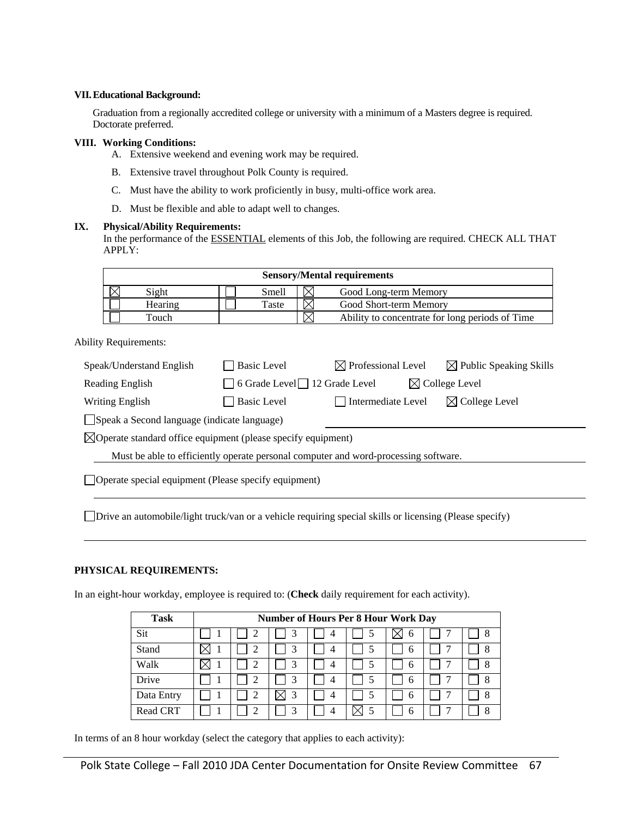#### **VII. Educational Background:**

Graduation from a regionally accredited college or university with a minimum of a Masters degree is required. Doctorate preferred.

#### **VIII. Working Conditions:**

A. Extensive weekend and evening work may be required.

- B. Extensive travel throughout Polk County is required.
- C. Must have the ability to work proficiently in busy, multi-office work area.
- D. Must be flexible and able to adapt well to changes.

#### **IX. Physical/Ability Requirements:**

In the performance of the ESSENTIAL elements of this Job, the following are required. CHECK ALL THAT APPLY:

| <b>Sensory/Mental requirements</b> |         |  |       |  |                                                 |
|------------------------------------|---------|--|-------|--|-------------------------------------------------|
|                                    | Sight   |  | Smell |  | Good Long-term Memory                           |
|                                    | Hearing |  | Taste |  | Good Short-term Memory                          |
|                                    | Touch   |  |       |  | Ability to concentrate for long periods of Time |

Ability Requirements:

| Speak/Understand English                                                            | Basic Level                                                             | $\boxtimes$ Professional Level | $\boxtimes$ Public Speaking Skills |  |  |  |
|-------------------------------------------------------------------------------------|-------------------------------------------------------------------------|--------------------------------|------------------------------------|--|--|--|
| Reading English                                                                     | $\Box$ 6 Grade Level $\Box$ 12 Grade Level<br>$\boxtimes$ College Level |                                |                                    |  |  |  |
| Writing English                                                                     | <b>Basic Level</b>                                                      | Intermediate Level             | $\boxtimes$ College Level          |  |  |  |
| Speak a Second language (indicate language)                                         |                                                                         |                                |                                    |  |  |  |
| $\boxtimes$ Operate standard office equipment (please specify equipment)            |                                                                         |                                |                                    |  |  |  |
| Must be able to efficiently operate personal computer and word-processing software. |                                                                         |                                |                                    |  |  |  |
| <b>Operate special equipment (Please specify equipment)</b>                         |                                                                         |                                |                                    |  |  |  |

Drive an automobile/light truck/van or a vehicle requiring special skills or licensing (Please specify)

#### **PHYSICAL REQUIREMENTS:**

In an eight-hour workday, employee is required to: (**Check** daily requirement for each activity).

| <b>Task</b>     | <b>Number of Hours Per 8 Hour Work Day</b> |   |   |  |   |  |   |
|-----------------|--------------------------------------------|---|---|--|---|--|---|
| Sit             |                                            | 3 | 4 |  | 6 |  | 8 |
| Stand           |                                            | 3 | 4 |  | 6 |  | 8 |
| Walk            |                                            |   | 4 |  | h |  | 8 |
| Drive           |                                            | 3 | 4 |  | 6 |  | 8 |
| Data Entry      | 2                                          | 3 |   |  | 6 |  | 8 |
| <b>Read CRT</b> |                                            | 3 |   |  | h |  | 8 |

In terms of an 8 hour workday (select the category that applies to each activity):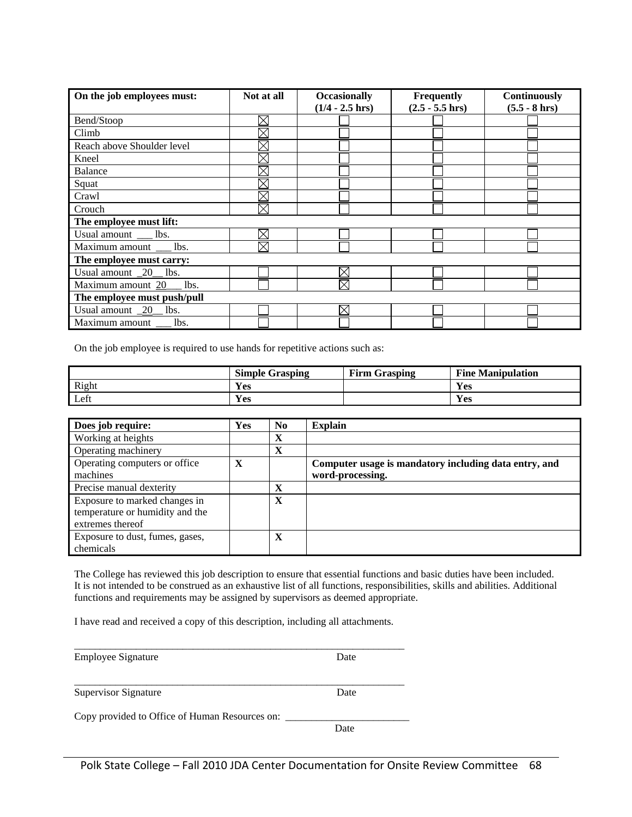| On the job employees must:    | Not at all             | <b>Occasionally</b><br>$(1/4 - 2.5)$ hrs) | Frequently<br>$(2.5 - 5.5)$ hrs) | Continuously<br>$(5.5 - 8)$ hrs) |  |  |  |
|-------------------------------|------------------------|-------------------------------------------|----------------------------------|----------------------------------|--|--|--|
|                               |                        |                                           |                                  |                                  |  |  |  |
| Bend/Stoop                    | $\boxtimes$            |                                           |                                  |                                  |  |  |  |
| Climb                         | $\boxtimes$            |                                           |                                  |                                  |  |  |  |
| Reach above Shoulder level    | $\boxtimes$            |                                           |                                  |                                  |  |  |  |
| Kneel                         | $\boxtimes$            |                                           |                                  |                                  |  |  |  |
| <b>Balance</b>                | $\boxtimes$            |                                           |                                  |                                  |  |  |  |
| Squat                         |                        |                                           |                                  |                                  |  |  |  |
| Crawl                         | $\boxtimes$            |                                           |                                  |                                  |  |  |  |
| Crouch                        | $\overline{\boxtimes}$ |                                           |                                  |                                  |  |  |  |
| The employee must lift:       |                        |                                           |                                  |                                  |  |  |  |
| Usual amount __ lbs.          | $\boxtimes$            |                                           |                                  |                                  |  |  |  |
| Maximum amount __ lbs.        | $\boxtimes$            |                                           |                                  |                                  |  |  |  |
| The employee must carry:      |                        |                                           |                                  |                                  |  |  |  |
| Usual amount _20_ lbs.        |                        | $\times$                                  |                                  |                                  |  |  |  |
| Maximum amount 20___ lbs.     |                        | $\boxtimes$                               |                                  |                                  |  |  |  |
| The employee must push/pull   |                        |                                           |                                  |                                  |  |  |  |
| Usual amount $\sqrt{20}$ lbs. |                        | $\times$                                  |                                  |                                  |  |  |  |
| Maximum amount __ lbs.        |                        |                                           |                                  |                                  |  |  |  |

On the job employee is required to use hands for repetitive actions such as:

|       | <b>Simple Grasping</b> | <b>Firm Grasping</b> | <b>Fine</b><br><b>Manipulation</b> |
|-------|------------------------|----------------------|------------------------------------|
| Right | Yes                    |                      | Yes                                |
| Left  | Yes                    |                      | Yes                                |

| Does job require:                                                                    | <b>Yes</b> | N <sub>0</sub> | <b>Explain</b>                                                            |
|--------------------------------------------------------------------------------------|------------|----------------|---------------------------------------------------------------------------|
| Working at heights                                                                   |            | X              |                                                                           |
| Operating machinery                                                                  |            | X              |                                                                           |
| Operating computers or office<br>machines                                            | X          |                | Computer usage is mandatory including data entry, and<br>word-processing. |
| Precise manual dexterity                                                             |            | $\mathbf X$    |                                                                           |
| Exposure to marked changes in<br>temperature or humidity and the<br>extremes thereof |            | X              |                                                                           |
| Exposure to dust, fumes, gases,<br>chemicals                                         |            | X              |                                                                           |

The College has reviewed this job description to ensure that essential functions and basic duties have been included. It is not intended to be construed as an exhaustive list of all functions, responsibilities, skills and abilities. Additional functions and requirements may be assigned by supervisors as deemed appropriate.

I have read and received a copy of this description, including all attachments.

| Employee Signature                             | Date |
|------------------------------------------------|------|
| <b>Supervisor Signature</b>                    | Date |
| Copy provided to Office of Human Resources on: |      |

**Date**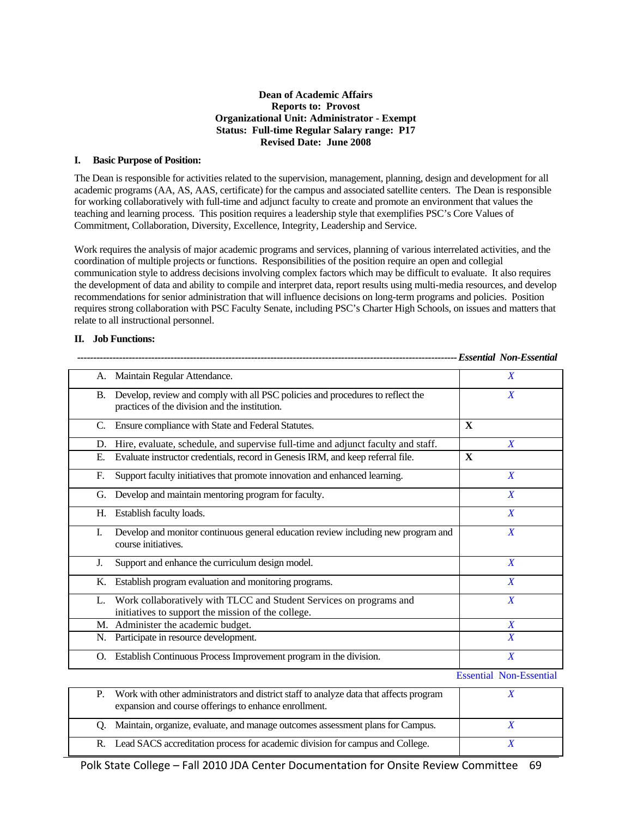#### **Dean of Academic Affairs Reports to: Provost Organizational Unit: Administrator - Exempt Status: Full-time Regular Salary range: P17 Revised Date: June 2008**

#### **I. Basic Purpose of Position:**

The Dean is responsible for activities related to the supervision, management, planning, design and development for all academic programs (AA, AS, AAS, certificate) for the campus and associated satellite centers. The Dean is responsible for working collaboratively with full-time and adjunct faculty to create and promote an environment that values the teaching and learning process. This position requires a leadership style that exemplifies PSC's Core Values of Commitment, Collaboration, Diversity, Excellence, Integrity, Leadership and Service.

Work requires the analysis of major academic programs and services, planning of various interrelated activities, and the coordination of multiple projects or functions. Responsibilities of the position require an open and collegial communication style to address decisions involving complex factors which may be difficult to evaluate. It also requires the development of data and ability to compile and interpret data, report results using multi-media resources, and develop recommendations for senior administration that will influence decisions on long-term programs and policies. Position requires strong collaboration with PSC Faculty Senate, including PSC's Charter High Schools, on issues and matters that relate to all instructional personnel.

#### **II. Job Functions:**

| А. | Maintain Regular Attendance.                                                                                                     | $\boldsymbol{X}$               |
|----|----------------------------------------------------------------------------------------------------------------------------------|--------------------------------|
| В. | Develop, review and comply with all PSC policies and procedures to reflect the<br>practices of the division and the institution. | X                              |
| C. | Ensure compliance with State and Federal Statutes.                                                                               | $\mathbf{x}$                   |
| D. | Hire, evaluate, schedule, and supervise full-time and adjunct faculty and staff.                                                 | $\boldsymbol{X}$               |
| Е. | Evaluate instructor credentials, record in Genesis IRM, and keep referral file.                                                  | X                              |
| F. | Support faculty initiatives that promote innovation and enhanced learning.                                                       | X                              |
| G. | Develop and maintain mentoring program for faculty.                                                                              | $\boldsymbol{X}$               |
| Н. | Establish faculty loads.                                                                                                         | $\boldsymbol{X}$               |
| Ι. | Develop and monitor continuous general education review including new program and<br>course initiatives.                         | $\boldsymbol{X}$               |
| J. | Support and enhance the curriculum design model.                                                                                 | $\boldsymbol{X}$               |
| Κ. | Establish program evaluation and monitoring programs.                                                                            | $\boldsymbol{X}$               |
| L. | Work collaboratively with TLCC and Student Services on programs and<br>initiatives to support the mission of the college.        | $\boldsymbol{X}$               |
|    | M. Administer the academic budget.                                                                                               | X                              |
|    | N. Participate in resource development.                                                                                          | $\boldsymbol{X}$               |
|    | O. Establish Continuous Process Improvement program in the division.                                                             | $\boldsymbol{X}$               |
|    |                                                                                                                                  | <b>Essential Non-Essential</b> |
| D  | Work with other administrators and district staff to analyze data that affects program                                           | V.                             |

 *---------------------------------------------------------------------------------------------------------------------- Essential Non-Essential* 

| Р. | Work with other administrators and district staff to analyze data that affects program<br>expansion and course offerings to enhance enrollment. |  |
|----|-------------------------------------------------------------------------------------------------------------------------------------------------|--|
|    | Q. Maintain, organize, evaluate, and manage outcomes assessment plans for Campus.                                                               |  |
|    | R. Lead SACS accreditation process for academic division for campus and College.                                                                |  |

Polk State College – Fall 2010 JDA Center Documentation for Onsite Review Committee 69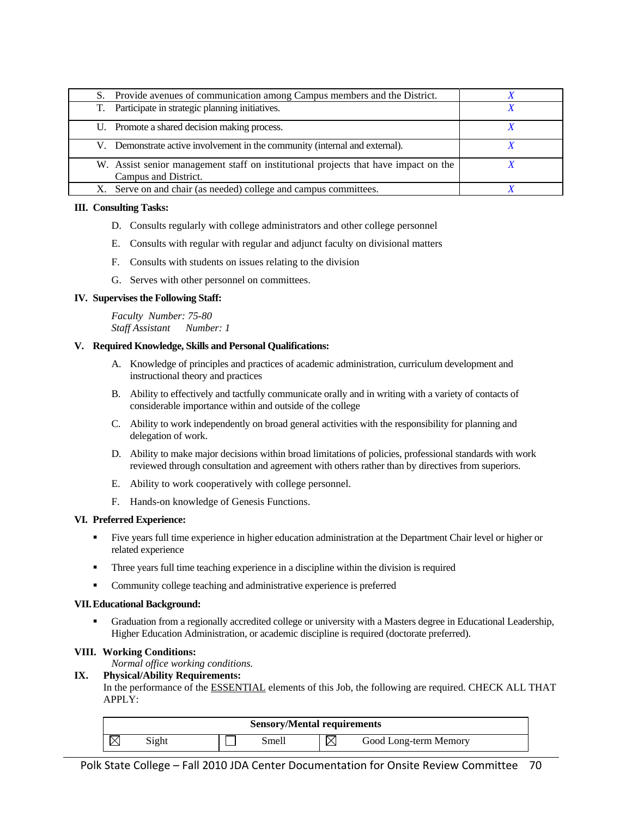| S. Provide avenues of communication among Campus members and the District.          |  |
|-------------------------------------------------------------------------------------|--|
| T. Participate in strategic planning initiatives.                                   |  |
| U. Promote a shared decision making process.                                        |  |
| V. Demonstrate active involvement in the community (internal and external).         |  |
| W. Assist senior management staff on institutional projects that have impact on the |  |
| Campus and District.                                                                |  |
| X. Serve on and chair (as needed) college and campus committees.                    |  |

#### **III. Consulting Tasks:**

- D. Consults regularly with college administrators and other college personnel
- E. Consults with regular with regular and adjunct faculty on divisional matters
- F. Consults with students on issues relating to the division
- G. Serves with other personnel on committees.

#### **IV. Supervises the Following Staff:**

*Faculty Number: 75-80 Staff Assistant Number: 1* 

#### **V. Required Knowledge, Skills and Personal Qualifications:**

- A. Knowledge of principles and practices of academic administration, curriculum development and instructional theory and practices
- B. Ability to effectively and tactfully communicate orally and in writing with a variety of contacts of considerable importance within and outside of the college
- C. Ability to work independently on broad general activities with the responsibility for planning and delegation of work.
- D. Ability to make major decisions within broad limitations of policies, professional standards with work reviewed through consultation and agreement with others rather than by directives from superiors.
- E. Ability to work cooperatively with college personnel.
- F. Hands-on knowledge of Genesis Functions.

#### **VI. Preferred Experience:**

- Five years full time experience in higher education administration at the Department Chair level or higher or related experience
- **Three years full time teaching experience in a discipline within the division is required**
- Community college teaching and administrative experience is preferred

#### **VII. Educational Background:**

 Graduation from a regionally accredited college or university with a Masters degree in Educational Leadership, Higher Education Administration, or academic discipline is required (doctorate preferred).

#### **VIII. Working Conditions:**

*Normal office working conditions.* 

#### **IX. Physical/Ability Requirements:**

In the performance of the ESSENTIAL elements of this Job, the following are required. CHECK ALL THAT APPLY:

| <b>Sensory/Mental requirements</b> |       |  |       |  |                       |  |  |
|------------------------------------|-------|--|-------|--|-----------------------|--|--|
|                                    | Sight |  | Smell |  | Good Long-term Memory |  |  |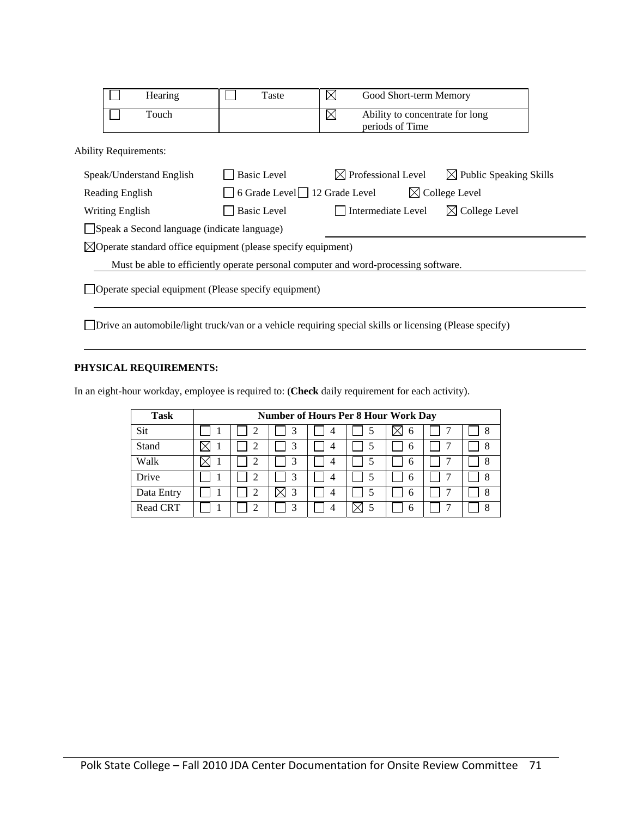|                                                                                     | Hearing                      |                                             | Taste                                                                    | $\boxtimes$                                                       | Good Short-term Memory       |                                    |  |  |
|-------------------------------------------------------------------------------------|------------------------------|---------------------------------------------|--------------------------------------------------------------------------|-------------------------------------------------------------------|------------------------------|------------------------------------|--|--|
|                                                                                     | Touch                        |                                             |                                                                          | $\boxtimes$<br>Ability to concentrate for long<br>periods of Time |                              |                                    |  |  |
|                                                                                     | <b>Ability Requirements:</b> |                                             |                                                                          |                                                                   |                              |                                    |  |  |
|                                                                                     | Speak/Understand English     |                                             | <b>Basic Level</b>                                                       |                                                                   | $\bowtie$ Professional Level | $\boxtimes$ Public Speaking Skills |  |  |
|                                                                                     | Reading English              |                                             | 6 Grade Level $\Box$ 12 Grade Level<br>$\boxtimes$ College Level         |                                                                   |                              |                                    |  |  |
|                                                                                     | Writing English              |                                             | <b>Basic Level</b>                                                       | Intermediate Level                                                |                              | $\boxtimes$ College Level          |  |  |
|                                                                                     |                              | Speak a Second language (indicate language) |                                                                          |                                                                   |                              |                                    |  |  |
|                                                                                     |                              |                                             | $\boxtimes$ Operate standard office equipment (please specify equipment) |                                                                   |                              |                                    |  |  |
| Must be able to efficiently operate personal computer and word-processing software. |                              |                                             |                                                                          |                                                                   |                              |                                    |  |  |
| Operate special equipment (Please specify equipment)                                |                              |                                             |                                                                          |                                                                   |                              |                                    |  |  |

Drive an automobile/light truck/van or a vehicle requiring special skills or licensing (Please specify)

#### **PHYSICAL REQUIREMENTS:**

In an eight-hour workday, employee is required to: (**Check** daily requirement for each activity).

| <b>Task</b>     | <b>Number of Hours Per 8 Hour Work Day</b> |  |   |   |  |              |  |   |
|-----------------|--------------------------------------------|--|---|---|--|--------------|--|---|
| Sit             |                                            |  |   | 4 |  | h            |  | 8 |
| Stand           |                                            |  |   | 4 |  | <sub>0</sub> |  | 8 |
| Walk            |                                            |  | 3 | 4 |  | 6            |  | 8 |
| Drive           |                                            |  | 3 | 4 |  | h            |  | 8 |
| Data Entry      |                                            |  | 3 |   |  | 6            |  | 8 |
| <b>Read CRT</b> |                                            |  | 3 |   |  | n            |  | 8 |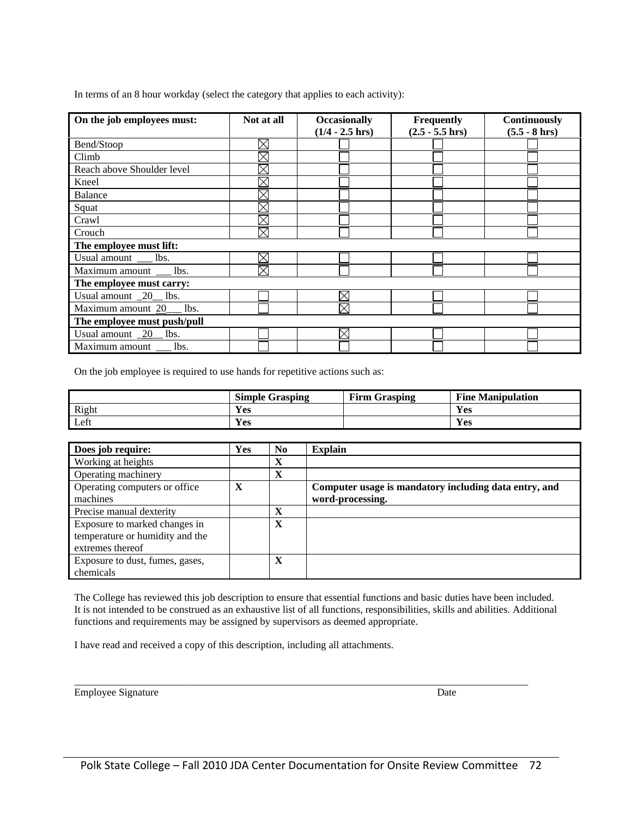In terms of an 8 hour workday (select the category that applies to each activity):

| On the job employees must:          | Not at all  | <b>Occasionally</b> | Frequently         | <b>Continuously</b> |  |  |  |  |  |  |
|-------------------------------------|-------------|---------------------|--------------------|---------------------|--|--|--|--|--|--|
|                                     |             | $(1/4 - 2.5)$ hrs)  | $(2.5 - 5.5)$ hrs) | $(5.5 - 8)$ hrs)    |  |  |  |  |  |  |
| Bend/Stoop                          | $\boxtimes$ |                     |                    |                     |  |  |  |  |  |  |
| Climb                               | ⊠           |                     |                    |                     |  |  |  |  |  |  |
| Reach above Shoulder level          | $\times$    |                     |                    |                     |  |  |  |  |  |  |
| Kneel                               | $\gtrsim$   |                     |                    |                     |  |  |  |  |  |  |
| <b>Balance</b>                      |             |                     |                    |                     |  |  |  |  |  |  |
| Squat                               | $\times$    |                     |                    |                     |  |  |  |  |  |  |
| Crawl                               |             |                     |                    |                     |  |  |  |  |  |  |
| Crouch                              | $\boxtimes$ |                     |                    |                     |  |  |  |  |  |  |
| The employee must lift:             |             |                     |                    |                     |  |  |  |  |  |  |
| Usual amount ____ lbs.              | $\boxtimes$ |                     |                    |                     |  |  |  |  |  |  |
| Maximum amount __ lbs.              | $\times$    |                     |                    |                     |  |  |  |  |  |  |
| The employee must carry:            |             |                     |                    |                     |  |  |  |  |  |  |
| Usual amount $\_\frac{20}{10}$ lbs. |             | $\times$            |                    |                     |  |  |  |  |  |  |
| Maximum amount $20$ lbs.            |             | $\boxtimes$         |                    |                     |  |  |  |  |  |  |
| The employee must push/pull         |             |                     |                    |                     |  |  |  |  |  |  |
| Usual amount $\sqrt{20}$ lbs.       |             | $\times$            |                    |                     |  |  |  |  |  |  |
| Maximum amount lbs.                 |             |                     |                    |                     |  |  |  |  |  |  |

On the job employee is required to use hands for repetitive actions such as:

|       | Simple C<br>Grasping | <b>Firm Grasping</b> | Fine<br><b>Manipulation</b> |
|-------|----------------------|----------------------|-----------------------------|
| Right | Yes                  |                      | Yes                         |
| Left  | Yes                  |                      | Yes                         |

| Does job require:               | Yes | No | <b>Explain</b>                                        |
|---------------------------------|-----|----|-------------------------------------------------------|
| Working at heights              |     | X  |                                                       |
| Operating machinery             |     | X  |                                                       |
| Operating computers or office   | X   |    | Computer usage is mandatory including data entry, and |
| machines                        |     |    | word-processing.                                      |
| Precise manual dexterity        |     | X  |                                                       |
| Exposure to marked changes in   |     | X  |                                                       |
| temperature or humidity and the |     |    |                                                       |
| extremes thereof                |     |    |                                                       |
| Exposure to dust, fumes, gases, |     | X  |                                                       |
| chemicals                       |     |    |                                                       |

The College has reviewed this job description to ensure that essential functions and basic duties have been included. It is not intended to be construed as an exhaustive list of all functions, responsibilities, skills and abilities. Additional functions and requirements may be assigned by supervisors as deemed appropriate.

I have read and received a copy of this description, including all attachments.

Employee Signature Date

\_\_\_\_\_\_\_\_\_\_\_\_\_\_\_\_\_\_\_\_\_\_\_\_\_\_\_\_\_\_\_\_\_\_\_\_\_\_\_\_\_\_\_\_\_\_\_\_\_\_\_\_\_\_\_\_\_\_\_\_\_\_\_\_\_\_\_\_\_\_\_\_\_\_\_\_\_\_\_\_\_\_\_\_\_\_\_\_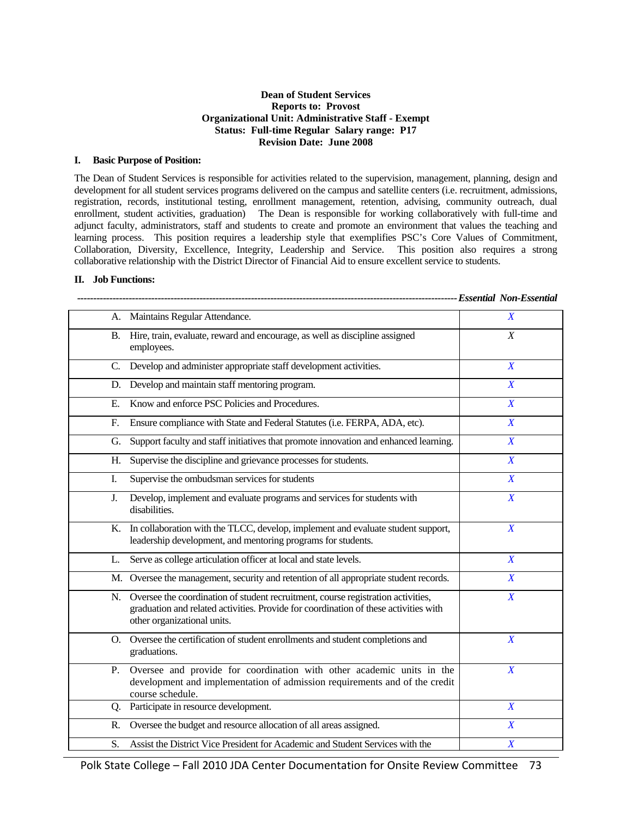#### **Dean of Student Services Reports to: Provost Organizational Unit: Administrative Staff - Exempt Status: Full-time Regular Salary range: P17 Revision Date: June 2008**

#### **I. Basic Purpose of Position:**

The Dean of Student Services is responsible for activities related to the supervision, management, planning, design and development for all student services programs delivered on the campus and satellite centers (i.e. recruitment, admissions, registration, records, institutional testing, enrollment management, retention, advising, community outreach, dual enrollment, student activities, graduation) The Dean is responsible for working collaboratively with full-time and adjunct faculty, administrators, staff and students to create and promote an environment that values the teaching and learning process. This position requires a leadership style that exemplifies PSC's Core Values of Commitment, Collaboration, Diversity, Excellence, Integrity, Leadership and Service. This position also requires a strong collaborative relationship with the District Director of Financial Aid to ensure excellent service to students.

#### **II. Job Functions:**

|    | A. Maintains Regular Attendance.                                                                                                                                                                           | $\boldsymbol{X}$ |
|----|------------------------------------------------------------------------------------------------------------------------------------------------------------------------------------------------------------|------------------|
|    | B. Hire, train, evaluate, reward and encourage, as well as discipline assigned<br>employees.                                                                                                               | $\boldsymbol{X}$ |
|    | C. Develop and administer appropriate staff development activities.                                                                                                                                        | $\boldsymbol{X}$ |
| D. | Develop and maintain staff mentoring program.                                                                                                                                                              | $\overline{X}$   |
| Е. | Know and enforce PSC Policies and Procedures.                                                                                                                                                              | $\boldsymbol{X}$ |
| F. | Ensure compliance with State and Federal Statutes (i.e. FERPA, ADA, etc).                                                                                                                                  | $\boldsymbol{X}$ |
| G. | Support faculty and staff initiatives that promote innovation and enhanced learning.                                                                                                                       | $\boldsymbol{X}$ |
| Н. | Supervise the discipline and grievance processes for students.                                                                                                                                             | $\boldsymbol{X}$ |
| I. | Supervise the ombudsman services for students                                                                                                                                                              | $\boldsymbol{X}$ |
| J. | Develop, implement and evaluate programs and services for students with<br>disabilities.                                                                                                                   | $\boldsymbol{X}$ |
|    | K. In collaboration with the TLCC, develop, implement and evaluate student support,<br>leadership development, and mentoring programs for students.                                                        | $\boldsymbol{X}$ |
| L. | Serve as college articulation officer at local and state levels.                                                                                                                                           | $\boldsymbol{X}$ |
|    | M. Oversee the management, security and retention of all appropriate student records.                                                                                                                      | $\boldsymbol{X}$ |
|    | N. Oversee the coordination of student recruitment, course registration activities,<br>graduation and related activities. Provide for coordination of these activities with<br>other organizational units. | $\boldsymbol{X}$ |
|    | O. Oversee the certification of student enrollments and student completions and<br>graduations.                                                                                                            | $\boldsymbol{X}$ |
|    | P. Oversee and provide for coordination with other academic units in the<br>development and implementation of admission requirements and of the credit<br>course schedule.                                 | $\boldsymbol{X}$ |
|    | Q. Participate in resource development.                                                                                                                                                                    | $\boldsymbol{X}$ |
| R. | Oversee the budget and resource allocation of all areas assigned.                                                                                                                                          | $\boldsymbol{X}$ |
| S. | Assist the District Vice President for Academic and Student Services with the                                                                                                                              | $\boldsymbol{X}$ |

Polk State College – Fall 2010 JDA Center Documentation for Onsite Review Committee 73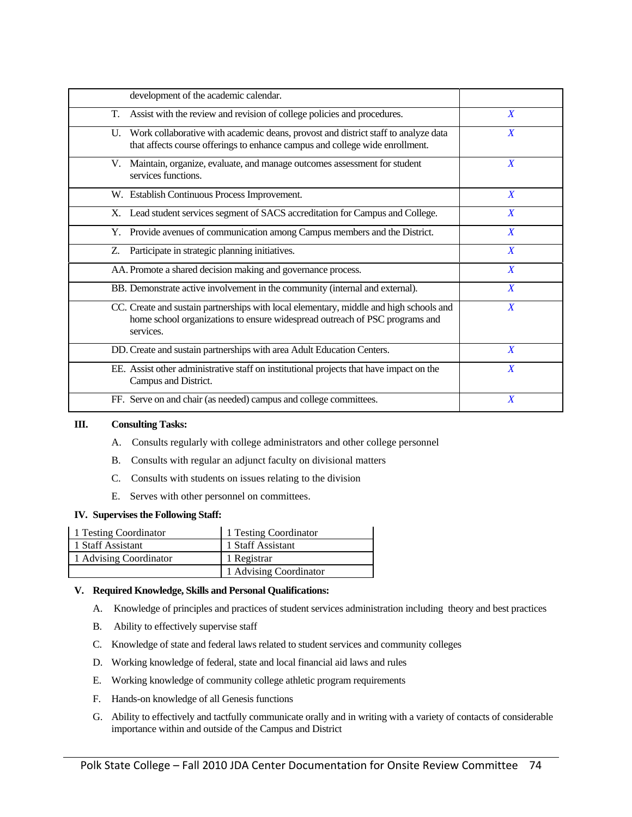| development of the academic calendar.                                                                                                                                              |                  |
|------------------------------------------------------------------------------------------------------------------------------------------------------------------------------------|------------------|
| Assist with the review and revision of college policies and procedures.<br>T.                                                                                                      | X                |
| U. Work collaborative with academic deans, provost and district staff to analyze data<br>that affects course offerings to enhance campus and college wide enrollment.              | $\boldsymbol{X}$ |
| V. Maintain, organize, evaluate, and manage outcomes assessment for student<br>services functions.                                                                                 | $\boldsymbol{X}$ |
| W. Establish Continuous Process Improvement.                                                                                                                                       | $\boldsymbol{X}$ |
| X. Lead student services segment of SACS accreditation for Campus and College.                                                                                                     | X                |
| Y. Provide avenues of communication among Campus members and the District.                                                                                                         | $\boldsymbol{X}$ |
| Participate in strategic planning initiatives.<br>Z.                                                                                                                               | $\boldsymbol{X}$ |
| AA. Promote a shared decision making and governance process.                                                                                                                       | X                |
| BB. Demonstrate active involvement in the community (internal and external).                                                                                                       | $\boldsymbol{X}$ |
| CC. Create and sustain partnerships with local elementary, middle and high schools and<br>home school organizations to ensure widespread outreach of PSC programs and<br>services. | X                |
| DD. Create and sustain partnerships with area Adult Education Centers.                                                                                                             | $\boldsymbol{X}$ |
| EE. Assist other administrative staff on institutional projects that have impact on the<br>Campus and District.                                                                    | X                |
| FF. Serve on and chair (as needed) campus and college committees.                                                                                                                  | $\boldsymbol{X}$ |

#### **III. Consulting Tasks:**

- A. Consults regularly with college administrators and other college personnel
- B. Consults with regular an adjunct faculty on divisional matters
- C. Consults with students on issues relating to the division
- E. Serves with other personnel on committees.

#### **IV. Supervises the Following Staff:**

| 1 Testing Coordinator  | 1 Testing Coordinator  |
|------------------------|------------------------|
| 1 Staff Assistant      | 1 Staff Assistant      |
| 1 Advising Coordinator | 1 Registrar            |
|                        | 1 Advising Coordinator |

#### **V. Required Knowledge, Skills and Personal Qualifications:**

- A. Knowledge of principles and practices of student services administration including theory and best practices
- B. Ability to effectively supervise staff
- C. Knowledge of state and federal laws related to student services and community colleges
- D. Working knowledge of federal, state and local financial aid laws and rules
- E. Working knowledge of community college athletic program requirements
- F. Hands-on knowledge of all Genesis functions
- G. Ability to effectively and tactfully communicate orally and in writing with a variety of contacts of considerable importance within and outside of the Campus and District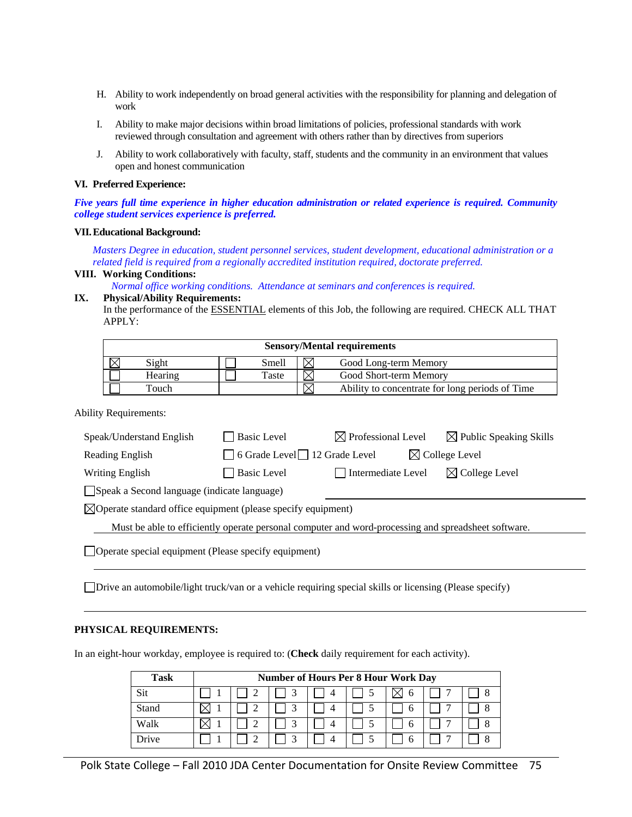- H. Ability to work independently on broad general activities with the responsibility for planning and delegation of work
- I. Ability to make major decisions within broad limitations of policies, professional standards with work reviewed through consultation and agreement with others rather than by directives from superiors
- J. Ability to work collaboratively with faculty, staff, students and the community in an environment that values open and honest communication

#### **VI. Preferred Experience:**

*Five years full time experience in higher education administration or related experience is required. Community college student services experience is preferred.* 

#### **VII. Educational Background:**

*Masters Degree in education, student personnel services, student development, educational administration or a related field is required from a regionally accredited institution required, doctorate preferred.* 

#### **VIII. Working Conditions:**

*Normal office working conditions. Attendance at seminars and conferences is required.* 

#### **IX. Physical/Ability Requirements:**

In the performance of the **ESSENTIAL** elements of this Job, the following are required. CHECK ALL THAT APPLY:

| <b>Sensory/Mental requirements</b>      |         |  |       |  |                                                 |  |  |  |  |
|-----------------------------------------|---------|--|-------|--|-------------------------------------------------|--|--|--|--|
| Sight<br>Smell<br>Good Long-term Memory |         |  |       |  |                                                 |  |  |  |  |
|                                         | Hearing |  | Taste |  | Good Short-term Memory                          |  |  |  |  |
|                                         | Touch   |  |       |  | Ability to concentrate for long periods of Time |  |  |  |  |

Ability Requirements:

| Speak/Understand English                                                                            | <b>Basic Level</b>                                                    | $\boxtimes$ Professional Level | $\boxtimes$ Public Speaking Skills |  |  |  |  |  |
|-----------------------------------------------------------------------------------------------------|-----------------------------------------------------------------------|--------------------------------|------------------------------------|--|--|--|--|--|
| $\Box$ 6 Grade Level $\Box$ 12 Grade Level<br>$\boxtimes$ College Level<br>Reading English          |                                                                       |                                |                                    |  |  |  |  |  |
| <b>Writing English</b>                                                                              | <b>Basic Level</b><br>$\boxtimes$ College Level<br>Intermediate Level |                                |                                    |  |  |  |  |  |
|                                                                                                     | Speak a Second language (indicate language)                           |                                |                                    |  |  |  |  |  |
| $\boxtimes$ Operate standard office equipment (please specify equipment)                            |                                                                       |                                |                                    |  |  |  |  |  |
| Must be able to efficiently operate personal computer and word-processing and spreadsheet software. |                                                                       |                                |                                    |  |  |  |  |  |
| □ Operate special equipment (Please specify equipment)                                              |                                                                       |                                |                                    |  |  |  |  |  |

Drive an automobile/light truck/van or a vehicle requiring special skills or licensing (Please specify)

#### **PHYSICAL REQUIREMENTS:**

In an eight-hour workday, employee is required to: (**Check** daily requirement for each activity).

| Task  | <b>Number of Hours Per 8 Hour Work Day</b> |  |  |  |  |  |  |  |  |
|-------|--------------------------------------------|--|--|--|--|--|--|--|--|
| Sit   |                                            |  |  |  |  |  |  |  |  |
| Stand |                                            |  |  |  |  |  |  |  |  |
| Walk  |                                            |  |  |  |  |  |  |  |  |
| Drive |                                            |  |  |  |  |  |  |  |  |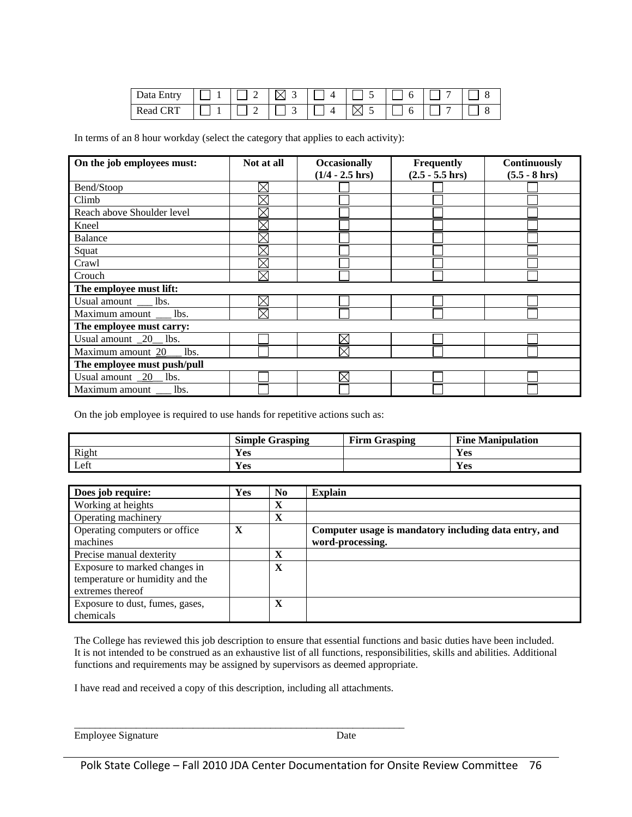| Data Entry                   |  | ΙXΙ           | $\Delta$ |    | <sub>0</sub> | $\overline{ }$ |  |
|------------------------------|--|---------------|----------|----|--------------|----------------|--|
| $\sqrt{\text{RT}}$<br>Read C |  | $\frac{1}{3}$ |          | ۰× | b            | $\overline{ }$ |  |

In terms of an 8 hour workday (select the category that applies to each activity):

| On the job employees must:        | Not at all  | <b>Occasionally</b> | Frequently         | Continuously     |  |  |
|-----------------------------------|-------------|---------------------|--------------------|------------------|--|--|
|                                   |             | $(1/4 - 2.5)$ hrs)  | $(2.5 - 5.5)$ hrs) | $(5.5 - 8)$ hrs) |  |  |
| Bend/Stoop                        | $\boxtimes$ |                     |                    |                  |  |  |
| Climb                             | $\boxtimes$ |                     |                    |                  |  |  |
| Reach above Shoulder level        | $\boxtimes$ |                     |                    |                  |  |  |
| Kneel                             | $\boxtimes$ |                     |                    |                  |  |  |
| <b>Balance</b>                    | $\times$    |                     |                    |                  |  |  |
| Squat                             | $\times$    |                     |                    |                  |  |  |
| Crawl                             | $\boxtimes$ |                     |                    |                  |  |  |
| Crouch                            | $\boxtimes$ |                     |                    |                  |  |  |
| The employee must lift:           |             |                     |                    |                  |  |  |
| Usual amount ___ lbs.             | $\boxtimes$ |                     |                    |                  |  |  |
| Maximum amount __ lbs.            | $\boxtimes$ |                     |                    |                  |  |  |
| The employee must carry:          |             |                     |                    |                  |  |  |
| Usual amount _20_ lbs.            |             | $\times$            |                    |                  |  |  |
| Maximum amount 20 __ lbs.         |             | $\times$            |                    |                  |  |  |
| The employee must push/pull       |             |                     |                    |                  |  |  |
| Usual amount $\frac{20}{10}$ lbs. |             | $\boxtimes$         |                    |                  |  |  |
| Maximum amount lbs.               |             |                     |                    |                  |  |  |

On the job employee is required to use hands for repetitive actions such as:

|       | <b>Simple Grasping</b> | <b>Firm Grasping</b> | <b>Fine Manipulation</b> |
|-------|------------------------|----------------------|--------------------------|
| Right | Yes                    |                      | $\mathbf{v}$<br>Y es     |
| Left  | <b>Yes</b>             |                      | Yes                      |

| Does job require:                                                                    | <b>Yes</b> | N <sub>0</sub> | <b>Explain</b>                                                            |
|--------------------------------------------------------------------------------------|------------|----------------|---------------------------------------------------------------------------|
| Working at heights                                                                   |            | X              |                                                                           |
| Operating machinery                                                                  |            | X              |                                                                           |
| Operating computers or office<br>machines                                            | X          |                | Computer usage is mandatory including data entry, and<br>word-processing. |
| Precise manual dexterity                                                             |            | X              |                                                                           |
| Exposure to marked changes in<br>temperature or humidity and the<br>extremes thereof |            | X              |                                                                           |
| Exposure to dust, fumes, gases,<br>chemicals                                         |            | X              |                                                                           |

The College has reviewed this job description to ensure that essential functions and basic duties have been included. It is not intended to be construed as an exhaustive list of all functions, responsibilities, skills and abilities. Additional functions and requirements may be assigned by supervisors as deemed appropriate.

I have read and received a copy of this description, including all attachments.

\_\_\_\_\_\_\_\_\_\_\_\_\_\_\_\_\_\_\_\_\_\_\_\_\_\_\_\_\_\_\_\_\_\_\_\_\_\_\_\_\_\_\_\_\_\_\_\_\_\_\_\_\_\_\_\_\_\_\_\_\_\_\_\_ Employee Signature Date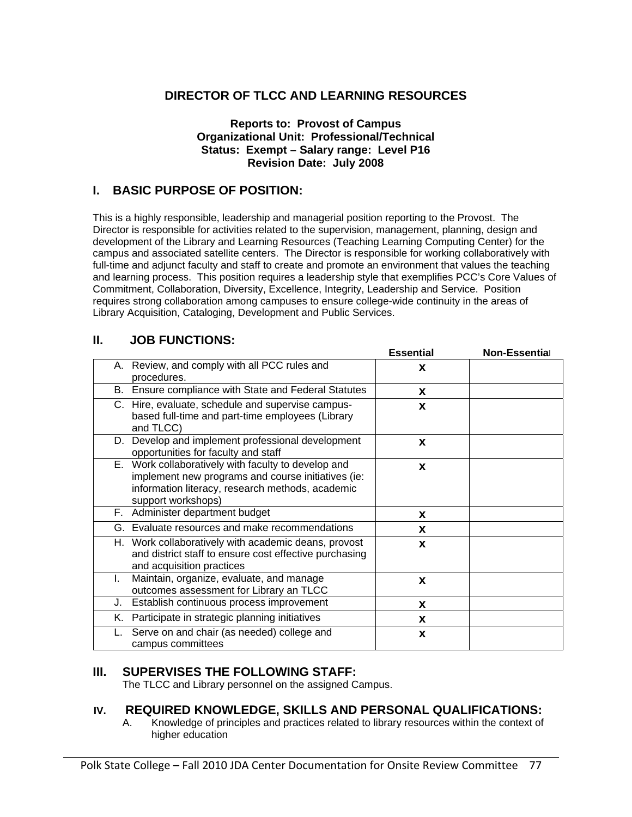### **DIRECTOR OF TLCC AND LEARNING RESOURCES**

#### **Reports to: Provost of Campus Organizational Unit: Professional/Technical Status: Exempt – Salary range: Level P16 Revision Date: July 2008**

#### **I. BASIC PURPOSE OF POSITION:**

This is a highly responsible, leadership and managerial position reporting to the Provost. The Director is responsible for activities related to the supervision, management, planning, design and development of the Library and Learning Resources (Teaching Learning Computing Center) for the campus and associated satellite centers. The Director is responsible for working collaboratively with full-time and adjunct faculty and staff to create and promote an environment that values the teaching and learning process. This position requires a leadership style that exemplifies PCC's Core Values of Commitment, Collaboration, Diversity, Excellence, Integrity, Leadership and Service. Position requires strong collaboration among campuses to ensure college-wide continuity in the areas of Library Acquisition, Cataloging, Development and Public Services.

| Н. |    | <b>JOB FUNCTIONS:</b>                                                                                                                                                               |                  |               |
|----|----|-------------------------------------------------------------------------------------------------------------------------------------------------------------------------------------|------------------|---------------|
|    |    |                                                                                                                                                                                     | <b>Essential</b> | Non-Essential |
|    |    | A. Review, and comply with all PCC rules and<br>procedures.                                                                                                                         | X                |               |
|    |    | B. Ensure compliance with State and Federal Statutes                                                                                                                                | X                |               |
|    |    | C. Hire, evaluate, schedule and supervise campus-<br>based full-time and part-time employees (Library<br>and TLCC)                                                                  | X                |               |
|    |    | D. Develop and implement professional development<br>opportunities for faculty and staff                                                                                            | X                |               |
|    |    | E. Work collaboratively with faculty to develop and<br>implement new programs and course initiatives (ie:<br>information literacy, research methods, academic<br>support workshops) | X                |               |
|    |    | F. Administer department budget                                                                                                                                                     | x                |               |
|    |    | G. Evaluate resources and make recommendations                                                                                                                                      | X                |               |
|    |    | H. Work collaboratively with academic deans, provost<br>and district staff to ensure cost effective purchasing<br>and acquisition practices                                         | X                |               |
|    | L. | Maintain, organize, evaluate, and manage<br>outcomes assessment for Library an TLCC                                                                                                 | X                |               |
|    | J. | Establish continuous process improvement                                                                                                                                            | X                |               |
|    | Κ. | Participate in strategic planning initiatives                                                                                                                                       | X                |               |
|    |    | Serve on and chair (as needed) college and<br>campus committees                                                                                                                     | X                |               |

#### **III. SUPERVISES THE FOLLOWING STAFF:**

The TLCC and Library personnel on the assigned Campus.

#### **IV. REQUIRED KNOWLEDGE, SKILLS AND PERSONAL QUALIFICATIONS:**

A. Knowledge of principles and practices related to library resources within the context of higher education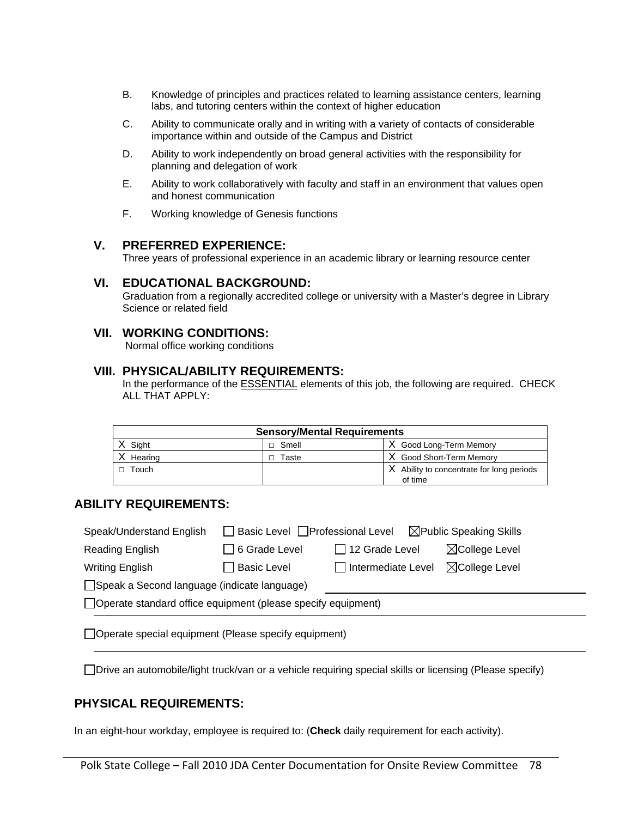- B. Knowledge of principles and practices related to learning assistance centers, learning labs, and tutoring centers within the context of higher education
- C. Ability to communicate orally and in writing with a variety of contacts of considerable importance within and outside of the Campus and District
- D. Ability to work independently on broad general activities with the responsibility for planning and delegation of work
- E. Ability to work collaboratively with faculty and staff in an environment that values open and honest communication
- F. Working knowledge of Genesis functions

#### **V. PREFERRED EXPERIENCE:**

Three years of professional experience in an academic library or learning resource center

#### **VI. EDUCATIONAL BACKGROUND:**

Graduation from a regionally accredited college or university with a Master's degree in Library Science or related field

#### **VII. WORKING CONDITIONS:**

Normal office working conditions

#### **VIII. PHYSICAL/ABILITY REQUIREMENTS:**

In the performance of the ESSENTIAL elements of this job, the following are required. CHECK ALL THAT APPLY:

| <b>Sensory/Mental Requirements</b> |                |                                                      |  |  |  |
|------------------------------------|----------------|------------------------------------------------------|--|--|--|
| Siaht                              | $\sqcap$ Smell | X Good Long-Term Memory                              |  |  |  |
| Hearing                            | Taste          | X Good Short-Term Memory                             |  |  |  |
| Touch                              |                | X Ability to concentrate for long periods<br>of time |  |  |  |

#### **ABILITY REQUIREMENTS:**

| Speak/Understand English                                       | □ Basic Level □ Professional Level |                                                        | $\boxtimes$ Public Speaking Skills |  |  |
|----------------------------------------------------------------|------------------------------------|--------------------------------------------------------|------------------------------------|--|--|
| Reading English                                                | □ 6 Grade Level                    | $\Box$ 12 Grade Level                                  | $\boxtimes$ College Level          |  |  |
| Writing English                                                | $\sqsupset$ Basic Level            | $\boxtimes$ College Level<br>$\Box$ Intermediate Level |                                    |  |  |
| Speak a Second language (indicate language)                    |                                    |                                                        |                                    |  |  |
| □ Operate standard office equipment (please specify equipment) |                                    |                                                        |                                    |  |  |

Operate special equipment (Please specify equipment)

Drive an automobile/light truck/van or a vehicle requiring special skills or licensing (Please specify)

#### **PHYSICAL REQUIREMENTS:**

In an eight-hour workday, employee is required to: (**Check** daily requirement for each activity).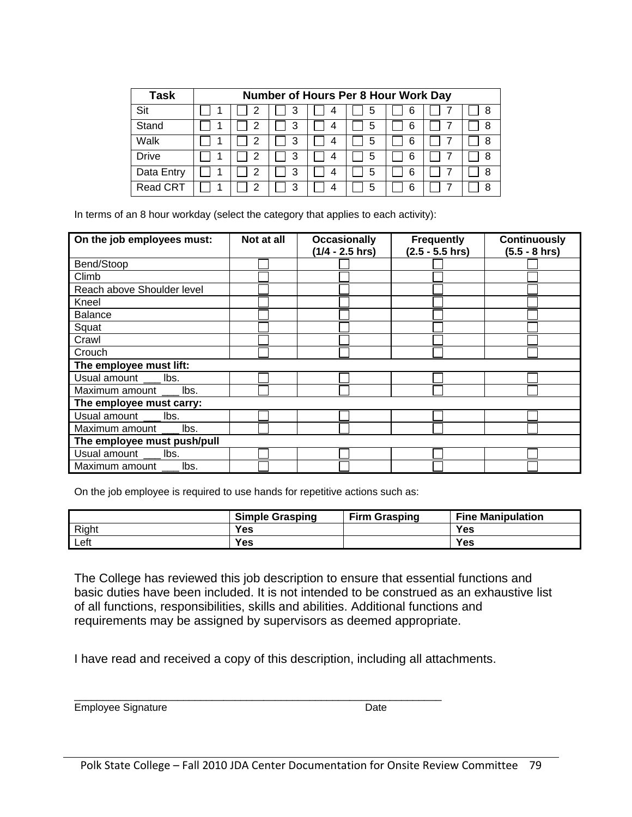| Task            | Number of Hours Per 8 Hour Work Day |   |   |   |   |  |   |
|-----------------|-------------------------------------|---|---|---|---|--|---|
| Sit             | 2                                   | 3 | 4 | 5 | 6 |  | 8 |
| Stand           | 2                                   | 3 | 4 | 5 | 6 |  | 8 |
| Walk            | 2                                   | 3 | 4 | 5 | 6 |  | 8 |
| <b>Drive</b>    | 2                                   | 3 | 4 | 5 | 6 |  | 8 |
| Data Entry      | 2                                   | 3 | 4 | 5 | 6 |  | 8 |
| <b>Read CRT</b> | 2                                   | 3 |   | 5 |   |  | 8 |

In terms of an 8 hour workday (select the category that applies to each activity):

| On the job employees must:  | Not at all | <b>Occasionally</b><br>$(1/4 - 2.5)$ hrs) | <b>Frequently</b><br>$(2.5 - 5.5)$ hrs) | <b>Continuously</b><br>$(5.5 - 8)$ hrs) |  |  |
|-----------------------------|------------|-------------------------------------------|-----------------------------------------|-----------------------------------------|--|--|
| Bend/Stoop                  |            |                                           |                                         |                                         |  |  |
| Climb                       |            |                                           |                                         |                                         |  |  |
| Reach above Shoulder level  |            |                                           |                                         |                                         |  |  |
| Kneel                       |            |                                           |                                         |                                         |  |  |
| <b>Balance</b>              |            |                                           |                                         |                                         |  |  |
| Squat                       |            |                                           |                                         |                                         |  |  |
| Crawl                       |            |                                           |                                         |                                         |  |  |
| Crouch                      |            |                                           |                                         |                                         |  |  |
| The employee must lift:     |            |                                           |                                         |                                         |  |  |
| Usual amount ___ lbs.       |            |                                           |                                         |                                         |  |  |
| Maximum amount lbs.         |            |                                           |                                         |                                         |  |  |
| The employee must carry:    |            |                                           |                                         |                                         |  |  |
| Usual amount ___ lbs.       |            |                                           |                                         |                                         |  |  |
| Maximum amount lbs.         |            |                                           |                                         |                                         |  |  |
| The employee must push/pull |            |                                           |                                         |                                         |  |  |
| Usual amount ___ lbs.       |            |                                           |                                         |                                         |  |  |
| Maximum amount lbs.         |            |                                           |                                         |                                         |  |  |

On the job employee is required to use hands for repetitive actions such as:

|       | <b>Simple Grasping</b> | <b>Firm Grasping</b> | <b>Fine Manipulation</b> |
|-------|------------------------|----------------------|--------------------------|
| Right | <b>Yes</b>             |                      | Yes                      |
| Left  | Yes                    |                      | Yes                      |

The College has reviewed this job description to ensure that essential functions and basic duties have been included. It is not intended to be construed as an exhaustive list of all functions, responsibilities, skills and abilities. Additional functions and requirements may be assigned by supervisors as deemed appropriate.

I have read and received a copy of this description, including all attachments.

\_\_\_\_\_\_\_\_\_\_\_\_\_\_\_\_\_\_\_\_\_\_\_\_\_\_\_\_\_\_\_\_\_\_\_\_\_\_\_\_\_\_\_\_\_\_\_\_\_\_\_\_\_\_\_\_\_\_\_\_\_\_\_\_ Employee Signature **Date**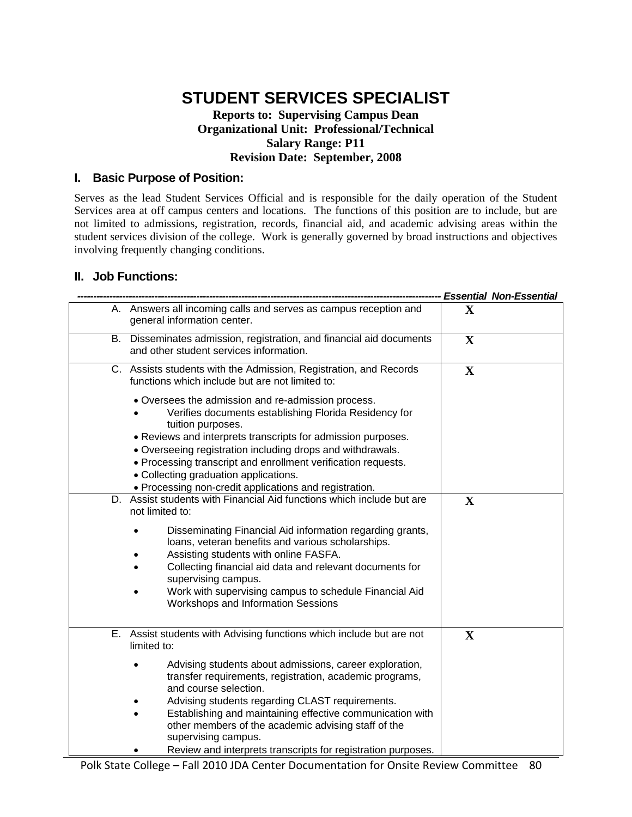### **STUDENT SERVICES SPECIALIST**

#### **Reports to: Supervising Campus Dean Organizational Unit: Professional/Technical Salary Range: P11 Revision Date: September, 2008**

#### **I. Basic Purpose of Position:**

Serves as the lead Student Services Official and is responsible for the daily operation of the Student Services area at off campus centers and locations. The functions of this position are to include, but are not limited to admissions, registration, records, financial aid, and academic advising areas within the student services division of the college. Work is generally governed by broad instructions and objectives involving frequently changing conditions.

#### **II. Job Functions:**

|                                                                                                                                                                                                                                                                                                                                                                          |              | <b>Essential Non-Essential</b> |
|--------------------------------------------------------------------------------------------------------------------------------------------------------------------------------------------------------------------------------------------------------------------------------------------------------------------------------------------------------------------------|--------------|--------------------------------|
| A. Answers all incoming calls and serves as campus reception and<br>general information center.                                                                                                                                                                                                                                                                          | $\mathbf X$  |                                |
| B. Disseminates admission, registration, and financial aid documents<br>and other student services information.                                                                                                                                                                                                                                                          | $\mathbf{X}$ |                                |
| C. Assists students with the Admission, Registration, and Records<br>functions which include but are not limited to:                                                                                                                                                                                                                                                     | $\mathbf X$  |                                |
| • Oversees the admission and re-admission process.<br>Verifies documents establishing Florida Residency for<br>tuition purposes.<br>• Reviews and interprets transcripts for admission purposes.<br>. Overseeing registration including drops and withdrawals.<br>• Processing transcript and enrollment verification requests.<br>• Collecting graduation applications. |              |                                |
| • Processing non-credit applications and registration.<br>D. Assist students with Financial Aid functions which include but are<br>not limited to:                                                                                                                                                                                                                       | X            |                                |
| Disseminating Financial Aid information regarding grants,<br>loans, veteran benefits and various scholarships.<br>Assisting students with online FASFA.<br>Collecting financial aid data and relevant documents for<br>supervising campus.<br>Work with supervising campus to schedule Financial Aid<br><b>Workshops and Information Sessions</b>                        |              |                                |
| E. Assist students with Advising functions which include but are not<br>limited to:                                                                                                                                                                                                                                                                                      | $\mathbf X$  |                                |
| Advising students about admissions, career exploration,<br>transfer requirements, registration, academic programs,<br>and course selection.                                                                                                                                                                                                                              |              |                                |
| Advising students regarding CLAST requirements.<br>Establishing and maintaining effective communication with<br>other members of the academic advising staff of the<br>supervising campus.                                                                                                                                                                               |              |                                |
| Review and interprets transcripts for registration purposes.                                                                                                                                                                                                                                                                                                             |              |                                |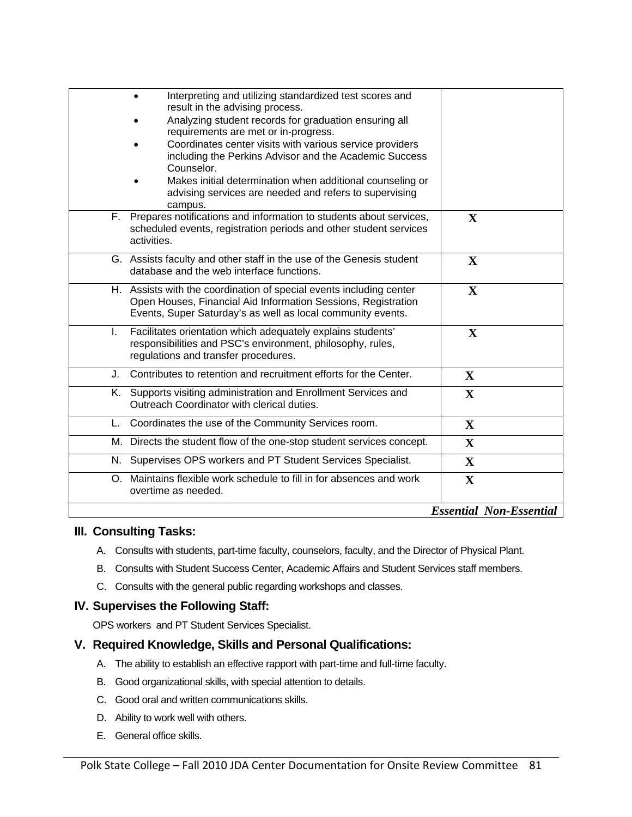|    | Interpreting and utilizing standardized test scores and<br>result in the advising process.                                                                                                                          |                                |  |  |  |
|----|---------------------------------------------------------------------------------------------------------------------------------------------------------------------------------------------------------------------|--------------------------------|--|--|--|
|    | Analyzing student records for graduation ensuring all<br>requirements are met or in-progress.                                                                                                                       |                                |  |  |  |
|    | Coordinates center visits with various service providers<br>including the Perkins Advisor and the Academic Success<br>Counselor.                                                                                    |                                |  |  |  |
|    | Makes initial determination when additional counseling or<br>advising services are needed and refers to supervising<br>campus.                                                                                      |                                |  |  |  |
|    | F. Prepares notifications and information to students about services,<br>scheduled events, registration periods and other student services<br>activities.                                                           | $\mathbf{X}$                   |  |  |  |
|    | G. Assists faculty and other staff in the use of the Genesis student<br>database and the web interface functions.                                                                                                   | $\mathbf X$                    |  |  |  |
|    | H. Assists with the coordination of special events including center<br>$\mathbf{X}$<br>Open Houses, Financial Aid Information Sessions, Registration<br>Events, Super Saturday's as well as local community events. |                                |  |  |  |
| L. | Facilitates orientation which adequately explains students'<br>responsibilities and PSC's environment, philosophy, rules,<br>regulations and transfer procedures.                                                   | $\mathbf X$                    |  |  |  |
| J. | Contributes to retention and recruitment efforts for the Center.                                                                                                                                                    | $\mathbf{X}$                   |  |  |  |
|    | K. Supports visiting administration and Enrollment Services and<br>Outreach Coordinator with clerical duties.                                                                                                       | $\mathbf{X}$                   |  |  |  |
| L. | Coordinates the use of the Community Services room.                                                                                                                                                                 | $\mathbf X$                    |  |  |  |
|    | M. Directs the student flow of the one-stop student services concept.                                                                                                                                               | X                              |  |  |  |
|    | N. Supervises OPS workers and PT Student Services Specialist.                                                                                                                                                       | $\mathbf{X}$                   |  |  |  |
|    | O. Maintains flexible work schedule to fill in for absences and work<br>overtime as needed.                                                                                                                         | $\mathbf X$                    |  |  |  |
|    |                                                                                                                                                                                                                     | <b>Essential Non-Essential</b> |  |  |  |

#### **III. Consulting Tasks:**

- A. Consults with students, part-time faculty, counselors, faculty, and the Director of Physical Plant.
- B. Consults with Student Success Center, Academic Affairs and Student Services staff members.
- C. Consults with the general public regarding workshops and classes.

#### **IV. Supervises the Following Staff:**

OPS workers and PT Student Services Specialist.

#### **V. Required Knowledge, Skills and Personal Qualifications:**

- A. The ability to establish an effective rapport with part-time and full-time faculty.
- B. Good organizational skills, with special attention to details.
- C. Good oral and written communications skills.
- D. Ability to work well with others.
- E. General office skills.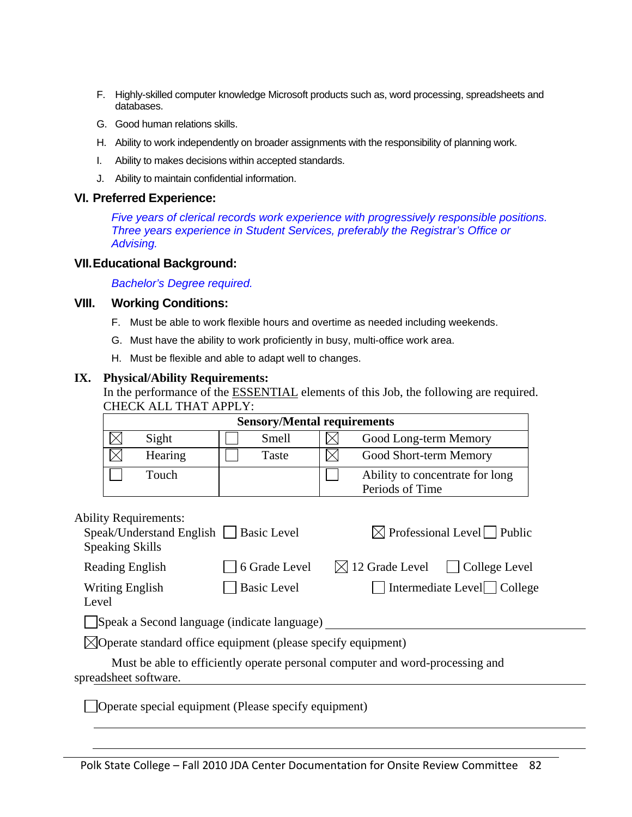- F. Highly-skilled computer knowledge Microsoft products such as, word processing, spreadsheets and databases.
- G. Good human relations skills.
- H. Ability to work independently on broader assignments with the responsibility of planning work.
- I. Ability to makes decisions within accepted standards.
- J. Ability to maintain confidential information.

#### **VI. Preferred Experience:**

*Five years of clerical records work experience with progressively responsible positions. Three years experience in Student Services, preferably the Registrar's Office or Advising.* 

#### **VII. Educational Background:**

*Bachelor's Degree required.* 

#### **VIII. Working Conditions:**

Ability Requirements:

- F. Must be able to work flexible hours and overtime as needed including weekends.
- G. Must have the ability to work proficiently in busy, multi-office work area.
- H. Must be flexible and able to adapt well to changes.

#### **IX. Physical/Ability Requirements:**

In the performance of the ESSENTIAL elements of this Job, the following are required. CHECK ALL THAT APPLY:

|       | <b>Sensory/Mental requirements</b> |       |                                                    |                        |  |  |
|-------|------------------------------------|-------|----------------------------------------------------|------------------------|--|--|
|       | Sight                              | Smell |                                                    | Good Long-term Memory  |  |  |
|       | Hearing                            | Taste |                                                    | Good Short-term Memory |  |  |
| Touch |                                    |       | Ability to concentrate for long<br>Periods of Time |                        |  |  |

| AUITHY INCURRENT CHILD.<br>Speak/Understand English    <br><b>Speaking Skills</b> | <b>Basic Level</b>                                                            | $\boxtimes$ Professional Level Public           |  |  |  |  |  |  |
|-----------------------------------------------------------------------------------|-------------------------------------------------------------------------------|-------------------------------------------------|--|--|--|--|--|--|
| Reading English                                                                   | 6 Grade Level                                                                 | $\boxtimes$ 12 Grade Level $\Box$ College Level |  |  |  |  |  |  |
| <b>Writing English</b><br>Level                                                   | <b>Basic Level</b>                                                            | Intermediate Level College                      |  |  |  |  |  |  |
|                                                                                   | Speak a Second language (indicate language)                                   |                                                 |  |  |  |  |  |  |
| $\boxtimes$ Operate standard office equipment (please specify equipment)          |                                                                               |                                                 |  |  |  |  |  |  |
| spreadsheet software.                                                             | Must be able to efficiently operate personal computer and word-processing and |                                                 |  |  |  |  |  |  |

Operate special equipment (Please specify equipment)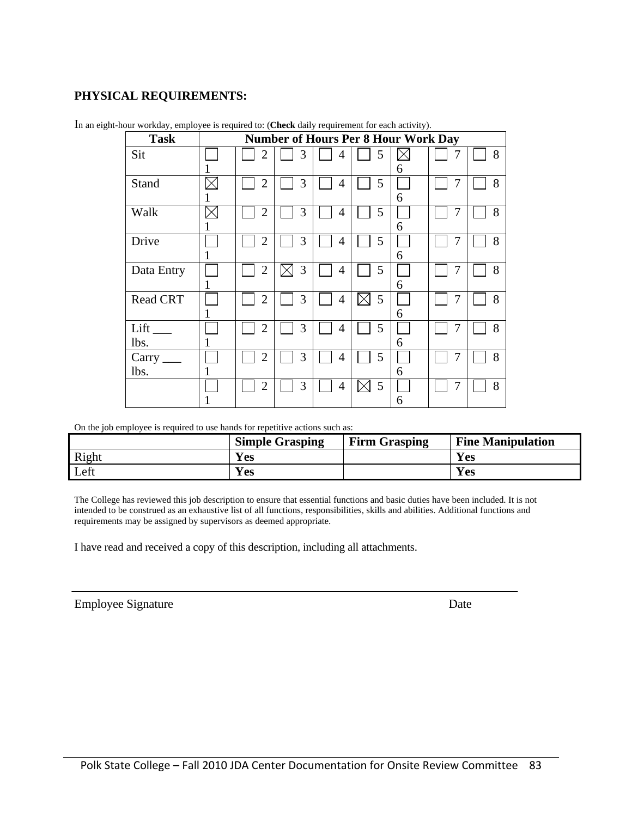### **PHYSICAL REQUIREMENTS:**

| <b>Task</b>                  | <b>Number of Hours Per 8 Hour Work Day</b> |                |   |                |   |   |   |   |
|------------------------------|--------------------------------------------|----------------|---|----------------|---|---|---|---|
| Sit                          |                                            | $\overline{2}$ | 3 | 4              | 5 | 6 |   | 8 |
| <b>Stand</b>                 |                                            | $\overline{2}$ | 3 | 4              | 5 | 6 | 7 | 8 |
| Walk                         |                                            | $\overline{2}$ | 3 | $\overline{4}$ | 5 | 6 | 7 | 8 |
| Drive                        |                                            | $\overline{2}$ | 3 | 4              | 5 | 6 | 7 | 8 |
| Data Entry                   | 1                                          | $\overline{2}$ | 3 | 4              | 5 | 6 |   | 8 |
| <b>Read CRT</b>              |                                            | $\overline{2}$ | 3 | 4              | 5 | 6 |   | 8 |
| $Lift$ <sub>__</sub><br>lbs. |                                            | $\overline{2}$ | 3 | 4              | 5 | 6 | 7 | 8 |
| Carry<br>lbs.                |                                            | $\overline{2}$ | 3 | $\overline{4}$ | 5 | 6 | 7 | 8 |
|                              |                                            | $\overline{2}$ | 3 | 4              | 5 | 6 | 7 | 8 |

In an eight-hour workday, employee is required to: (**Check** daily requirement for each activity).

On the job employee is required to use hands for repetitive actions such as:

|       | <b>Simple Grasping</b> | <b>Firm Grasping</b> | <b>Fine Manipulation</b> |
|-------|------------------------|----------------------|--------------------------|
| Right | Yes                    |                      | <b>Yes</b>               |
| Left  | Yes                    |                      | <b>Yes</b>               |

The College has reviewed this job description to ensure that essential functions and basic duties have been included. It is not intended to be construed as an exhaustive list of all functions, responsibilities, skills and abilities. Additional functions and requirements may be assigned by supervisors as deemed appropriate.

I have read and received a copy of this description, including all attachments.

| <b>Employee Signature</b> | Date |
|---------------------------|------|
|---------------------------|------|

l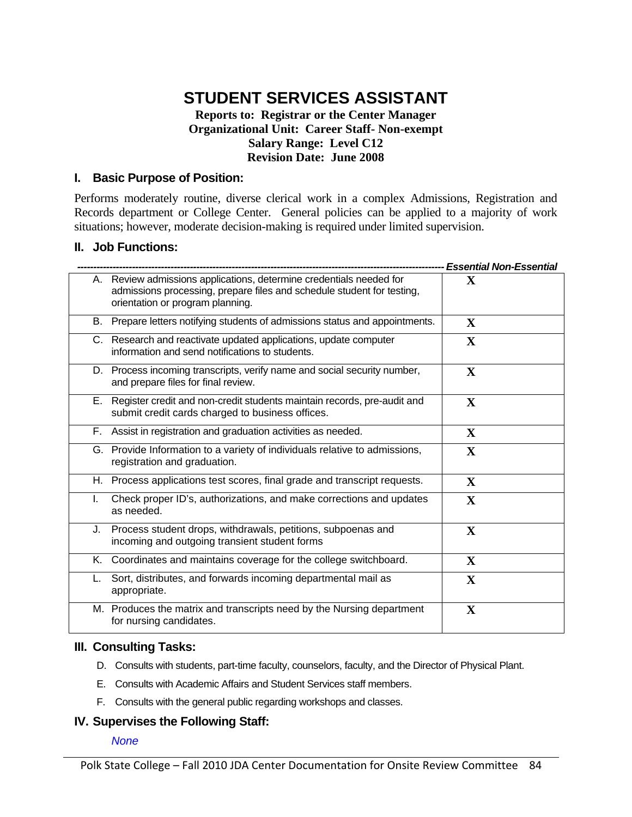# **STUDENT SERVICES ASSISTANT**

#### **Reports to: Registrar or the Center Manager Organizational Unit: Career Staff- Non-exempt Salary Range: Level C12 Revision Date: June 2008**

#### **I. Basic Purpose of Position:**

Performs moderately routine, diverse clerical work in a complex Admissions, Registration and Records department or College Center. General policies can be applied to a majority of work situations; however, moderate decision-making is required under limited supervision.

#### **II. Job Functions:**

|    |                                                                                                                                                                                   | <b>Essential Non-Essential</b> |
|----|-----------------------------------------------------------------------------------------------------------------------------------------------------------------------------------|--------------------------------|
|    | A. Review admissions applications, determine credentials needed for<br>admissions processing, prepare files and schedule student for testing,<br>orientation or program planning. | X                              |
|    | B. Prepare letters notifying students of admissions status and appointments.                                                                                                      | X                              |
|    | C. Research and reactivate updated applications, update computer<br>information and send notifications to students.                                                               | X                              |
|    | D. Process incoming transcripts, verify name and social security number,<br>and prepare files for final review.                                                                   | X                              |
|    | E. Register credit and non-credit students maintain records, pre-audit and<br>submit credit cards charged to business offices.                                                    | $\mathbf X$                    |
|    | F. Assist in registration and graduation activities as needed.                                                                                                                    | X                              |
|    | G. Provide Information to a variety of individuals relative to admissions,<br>registration and graduation.                                                                        | X                              |
|    | H. Process applications test scores, final grade and transcript requests.                                                                                                         | $\mathbf{X}$                   |
| I. | Check proper ID's, authorizations, and make corrections and updates<br>as needed.                                                                                                 | X                              |
| J. | Process student drops, withdrawals, petitions, subpoenas and<br>incoming and outgoing transient student forms                                                                     | $\mathbf{X}$                   |
|    | K. Coordinates and maintains coverage for the college switchboard.                                                                                                                | $\mathbf{X}$                   |
|    | Sort, distributes, and forwards incoming departmental mail as<br>appropriate.                                                                                                     | X                              |
|    | M. Produces the matrix and transcripts need by the Nursing department<br>for nursing candidates.                                                                                  | $\mathbf X$                    |

#### **III. Consulting Tasks:**

- D. Consults with students, part-time faculty, counselors, faculty, and the Director of Physical Plant.
- E. Consults with Academic Affairs and Student Services staff members.
- F. Consults with the general public regarding workshops and classes.

#### **IV. Supervises the Following Staff:**

#### *None*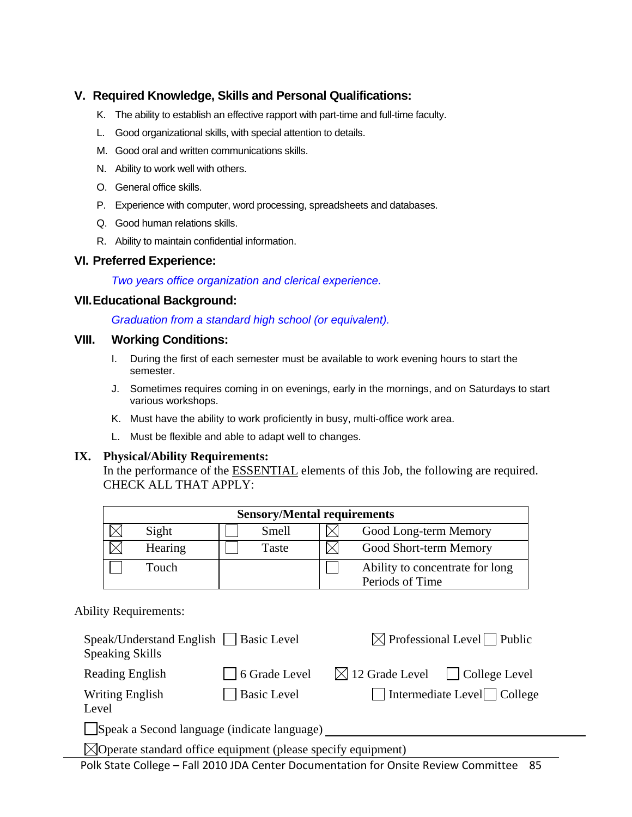#### **V. Required Knowledge, Skills and Personal Qualifications:**

- K. The ability to establish an effective rapport with part-time and full-time faculty.
- L. Good organizational skills, with special attention to details.
- M. Good oral and written communications skills.
- N. Ability to work well with others.
- O. General office skills.
- P. Experience with computer, word processing, spreadsheets and databases.
- Q. Good human relations skills.
- R. Ability to maintain confidential information.

#### **VI. Preferred Experience:**

*Two years office organization and clerical experience.* 

#### **VII. Educational Background:**

*Graduation from a standard high school (or equivalent).* 

#### **VIII. Working Conditions:**

- I. During the first of each semester must be available to work evening hours to start the semester.
- J. Sometimes requires coming in on evenings, early in the mornings, and on Saturdays to start various workshops.
- K. Must have the ability to work proficiently in busy, multi-office work area.
- L. Must be flexible and able to adapt well to changes.

#### **IX. Physical/Ability Requirements:**

In the performance of the **ESSENTIAL** elements of this Job, the following are required. CHECK ALL THAT APPLY:

| <b>Sensory/Mental requirements</b> |       |                                                    |  |  |  |  |  |
|------------------------------------|-------|----------------------------------------------------|--|--|--|--|--|
| Sight                              | Smell | Good Long-term Memory                              |  |  |  |  |  |
| Hearing                            | Taste | Good Short-term Memory                             |  |  |  |  |  |
| Touch                              |       | Ability to concentrate for long<br>Periods of Time |  |  |  |  |  |

#### Ability Requirements:

| Speak/Understand English Basic Level<br><b>Speaking Skills</b>          |                    |                                                 | $\boxtimes$ Professional Level Public |  |  |  |
|-------------------------------------------------------------------------|--------------------|-------------------------------------------------|---------------------------------------|--|--|--|
| Reading English                                                         | 6 Grade Level      | $\boxtimes$ 12 Grade Level $\Box$ College Level |                                       |  |  |  |
| Writing English<br>Level                                                | <b>Basic Level</b> |                                                 | Intermediate Level College            |  |  |  |
| Speak a Second language (indicate language)                             |                    |                                                 |                                       |  |  |  |
| $\Diamond$ Operate standard office equipment (please specify equipment) |                    |                                                 |                                       |  |  |  |

Polk State College – Fall 2010 JDA Center Documentation for Onsite Review Committee 85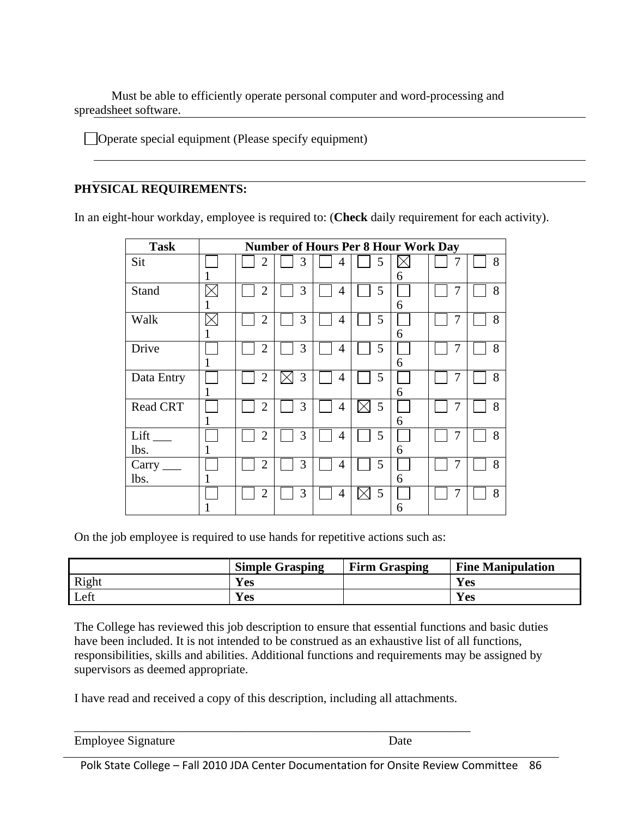Must be able to efficiently operate personal computer and word-processing and spreadsheet software.

Operate special equipment (Please specify equipment)

#### **PHYSICAL REQUIREMENTS:**

In an eight-hour workday, employee is required to: (**Check** daily requirement for each activity).

| <b>Task</b>                 | <b>Number of Hours Per 8 Hour Work Day</b> |                |   |                |               |   |   |   |
|-----------------------------|--------------------------------------------|----------------|---|----------------|---------------|---|---|---|
| Sit                         |                                            | $\overline{2}$ | 3 | $\overline{4}$ | 5             | 6 |   | 8 |
| Stand                       |                                            | $\overline{2}$ | 3 | 4              | 5             | 6 |   | 8 |
| Walk                        |                                            | $\overline{2}$ | 3 | $\overline{4}$ | 5             | 6 | 7 | 8 |
| Drive                       |                                            | $\overline{2}$ | 3 | $\overline{4}$ | 5             | 6 | 7 | 8 |
| Data Entry                  | п                                          | $\overline{2}$ | 3 | 4              | 5             | 6 | 7 | 8 |
| <b>Read CRT</b>             |                                            | $\overline{2}$ | 3 | $\overline{4}$ | 5<br>$\times$ | 6 |   | 8 |
| Lift<br>lbs.                |                                            | $\overline{2}$ | 3 | $\overline{4}$ | 5             | 6 |   | 8 |
| Carry $\frac{ }{ }$<br>lbs. |                                            | $\overline{2}$ | 3 | $\overline{4}$ | 5             | 6 | 7 | 8 |
|                             |                                            | $\overline{2}$ | 3 | 4              | 5             | 6 | 7 | 8 |

On the job employee is required to use hands for repetitive actions such as:

|       | <b>Simple Grasping</b> | <b>Firm Grasping</b> | <b>Fine Manipulation</b> |
|-------|------------------------|----------------------|--------------------------|
| Right | Yes                    |                      | <b>Yes</b>               |
| Left  | Yes                    |                      | Yes                      |

The College has reviewed this job description to ensure that essential functions and basic duties have been included. It is not intended to be construed as an exhaustive list of all functions, responsibilities, skills and abilities. Additional functions and requirements may be assigned by supervisors as deemed appropriate.

I have read and received a copy of this description, including all attachments.

\_\_\_\_\_\_\_\_\_\_\_\_\_\_\_\_\_\_\_\_\_\_\_\_\_\_\_\_\_\_\_\_\_\_\_\_\_\_\_\_\_\_\_\_\_\_\_\_\_\_\_\_\_\_\_\_\_\_\_\_\_\_\_\_

| <b>Employee Signature</b> | Date |
|---------------------------|------|
|---------------------------|------|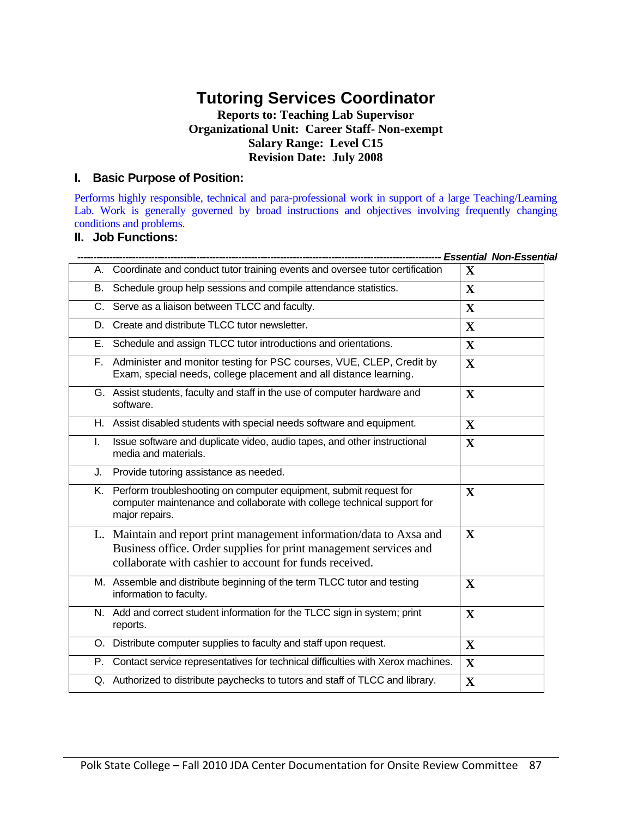# **Tutoring Services Coordinator**

#### **Reports to: Teaching Lab Supervisor Organizational Unit: Career Staff- Non-exempt Salary Range: Level C15 Revision Date: July 2008**

#### **I. Basic Purpose of Position:**

Performs highly responsible, technical and para-professional work in support of a large Teaching/Learning Lab. Work is generally governed by broad instructions and objectives involving frequently changing conditions and problems.

#### **II. Job Functions:**

|    |                                                                                                                                                                                                      | -- Essential Non-Essential |
|----|------------------------------------------------------------------------------------------------------------------------------------------------------------------------------------------------------|----------------------------|
|    | A. Coordinate and conduct tutor training events and oversee tutor certification                                                                                                                      | $\mathbf X$                |
| В. | Schedule group help sessions and compile attendance statistics.                                                                                                                                      | $\mathbf{X}$               |
|    | C. Serve as a liaison between TLCC and faculty.                                                                                                                                                      | $\mathbf X$                |
| D. | Create and distribute TLCC tutor newsletter.                                                                                                                                                         | $\mathbf{X}$               |
| Е. | Schedule and assign TLCC tutor introductions and orientations.                                                                                                                                       | $\mathbf{X}$               |
|    | F. Administer and monitor testing for PSC courses, VUE, CLEP, Credit by<br>Exam, special needs, college placement and all distance learning.                                                         | $\mathbf{X}$               |
|    | G. Assist students, faculty and staff in the use of computer hardware and<br>software.                                                                                                               | $\mathbf X$                |
|    | H. Assist disabled students with special needs software and equipment.                                                                                                                               | $\mathbf{X}$               |
| L. | Issue software and duplicate video, audio tapes, and other instructional<br>media and materials.                                                                                                     | $\mathbf{X}$               |
| J. | Provide tutoring assistance as needed.                                                                                                                                                               |                            |
|    | K. Perform troubleshooting on computer equipment, submit request for<br>computer maintenance and collaborate with college technical support for<br>major repairs.                                    | $\mathbf{X}$               |
|    | L. Maintain and report print management information/data to Axsa and<br>Business office. Order supplies for print management services and<br>collaborate with cashier to account for funds received. | $\mathbf X$                |
|    | M. Assemble and distribute beginning of the term TLCC tutor and testing<br>information to faculty.                                                                                                   | $\mathbf X$                |
|    | N. Add and correct student information for the TLCC sign in system; print<br>reports.                                                                                                                | $\mathbf{X}$               |
|    | O. Distribute computer supplies to faculty and staff upon request.                                                                                                                                   | $\mathbf{X}$               |
|    | P. Contact service representatives for technical difficulties with Xerox machines.                                                                                                                   | $\mathbf{X}$               |
|    | Q. Authorized to distribute paychecks to tutors and staff of TLCC and library.                                                                                                                       | $\mathbf X$                |
|    |                                                                                                                                                                                                      |                            |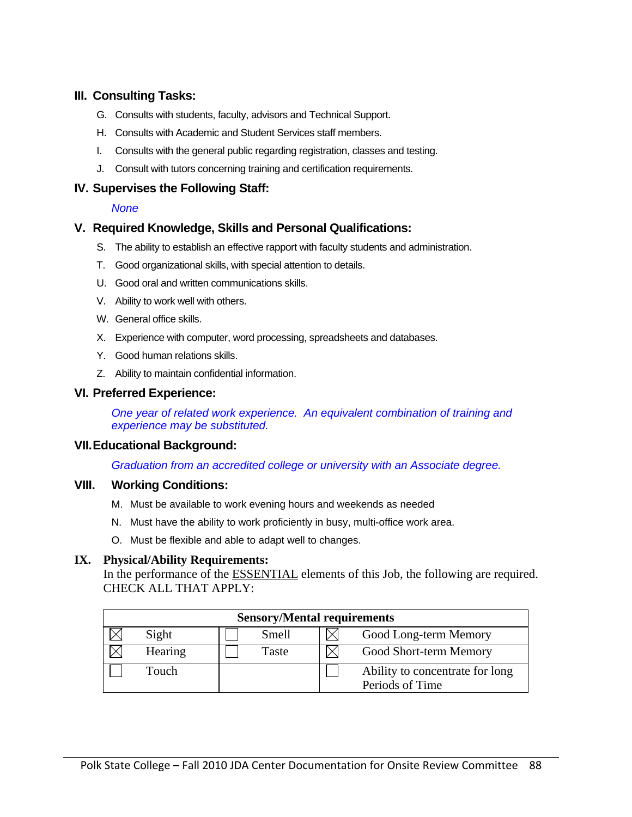#### **III. Consulting Tasks:**

- G. Consults with students, faculty, advisors and Technical Support.
- H. Consults with Academic and Student Services staff members.
- I. Consults with the general public regarding registration, classes and testing.
- J. Consult with tutors concerning training and certification requirements.

#### **IV. Supervises the Following Staff:**

#### *None*

#### **V. Required Knowledge, Skills and Personal Qualifications:**

- S. The ability to establish an effective rapport with faculty students and administration.
- T. Good organizational skills, with special attention to details.
- U. Good oral and written communications skills.
- V. Ability to work well with others.
- W. General office skills.
- X. Experience with computer, word processing, spreadsheets and databases.
- Y. Good human relations skills.
- Z. Ability to maintain confidential information.

#### **VI. Preferred Experience:**

*One year of related work experience. An equivalent combination of training and experience may be substituted.* 

#### **VII. Educational Background:**

*Graduation from an accredited college or university with an Associate degree.* 

#### **VIII. Working Conditions:**

- M. Must be available to work evening hours and weekends as needed
- N. Must have the ability to work proficiently in busy, multi-office work area.
- O. Must be flexible and able to adapt well to changes.

#### **IX. Physical/Ability Requirements:**

In the performance of the ESSENTIAL elements of this Job, the following are required. CHECK ALL THAT APPLY:

| <b>Sensory/Mental requirements</b> |         |       |  |                                 |  |  |  |  |
|------------------------------------|---------|-------|--|---------------------------------|--|--|--|--|
|                                    | Sight   | Smell |  | Good Long-term Memory           |  |  |  |  |
|                                    | Hearing | Taste |  | Good Short-term Memory          |  |  |  |  |
|                                    | Touch   |       |  | Ability to concentrate for long |  |  |  |  |
|                                    |         |       |  | Periods of Time                 |  |  |  |  |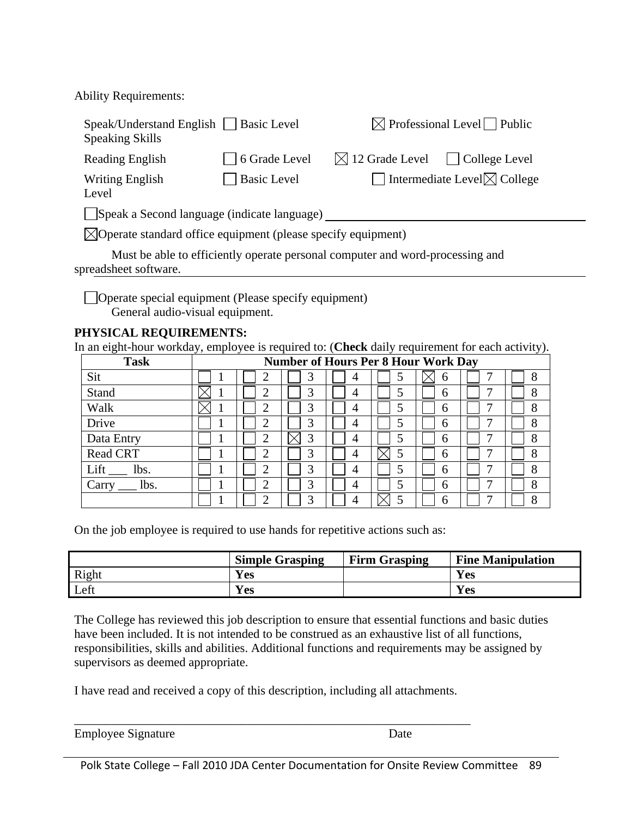Ability Requirements:

| Speak/Understand English   Basic Level<br><b>Speaking Skills</b>         |                                                                               | $\boxtimes$ Professional Level Public                       |  |  |  |  |  |  |
|--------------------------------------------------------------------------|-------------------------------------------------------------------------------|-------------------------------------------------------------|--|--|--|--|--|--|
| Reading English                                                          | 6 Grade Level                                                                 | $\boxtimes$ 12 Grade Level<br>College Level<br>$\mathbf{1}$ |  |  |  |  |  |  |
| <b>Writing English</b><br>Level                                          | <b>Basic Level</b>                                                            | Intermediate Level $\boxtimes$ College                      |  |  |  |  |  |  |
| $\Box$ Speak a Second language (indicate language)                       |                                                                               |                                                             |  |  |  |  |  |  |
| $\boxtimes$ Operate standard office equipment (please specify equipment) |                                                                               |                                                             |  |  |  |  |  |  |
| spreadsheet software.                                                    | Must be able to efficiently operate personal computer and word-processing and |                                                             |  |  |  |  |  |  |

Operate special equipment (Please specify equipment) General audio-visual equipment.

#### **PHYSICAL REQUIREMENTS:**

In an eight-hour workday, employee is required to: (**Check** daily requirement for each activity).

| <b>Task</b>     | <b>Number of Hours Per 8 Hour Work Day</b> |   |   |   |   |   |   |   |
|-----------------|--------------------------------------------|---|---|---|---|---|---|---|
| Sit             |                                            |   |   | 4 |   | n |   | 8 |
| Stand           |                                            | ◠ | 3 | 4 |   | 6 | ⇁ | 8 |
| Walk            |                                            | റ | 3 | 4 |   | 6 | ⇁ | 8 |
| Drive           |                                            | ◠ | 3 | 4 |   | 6 | ⇁ | δ |
| Data Entry      |                                            | ↑ | 3 | 4 |   | 6 |   |   |
| <b>Read CRT</b> |                                            | ◠ | 2 | 4 |   | 6 | ⇁ | 8 |
| Lift<br>lbs.    |                                            | ◠ | 3 |   | 5 | 6 | ⇁ | 8 |
| lbs.<br>Carry   |                                            | ◠ | 3 | 4 |   | 6 | ⇁ | 8 |
|                 |                                            | ◠ | っ |   |   | 6 |   | Ω |

On the job employee is required to use hands for repetitive actions such as:

|       | <b>Simple Grasping</b> | <b>Firm Grasping</b> | <b>Fine Manipulation</b> |
|-------|------------------------|----------------------|--------------------------|
| Right | Yes                    |                      | Yes                      |
| Left  | Yes                    |                      | <b>Yes</b>               |

The College has reviewed this job description to ensure that essential functions and basic duties have been included. It is not intended to be construed as an exhaustive list of all functions, responsibilities, skills and abilities. Additional functions and requirements may be assigned by supervisors as deemed appropriate.

I have read and received a copy of this description, including all attachments.

\_\_\_\_\_\_\_\_\_\_\_\_\_\_\_\_\_\_\_\_\_\_\_\_\_\_\_\_\_\_\_\_\_\_\_\_\_\_\_\_\_\_\_\_\_\_\_\_\_\_\_\_\_\_\_\_\_\_\_\_\_\_\_\_

| <b>Employee Signature</b> | Date |
|---------------------------|------|
|                           |      |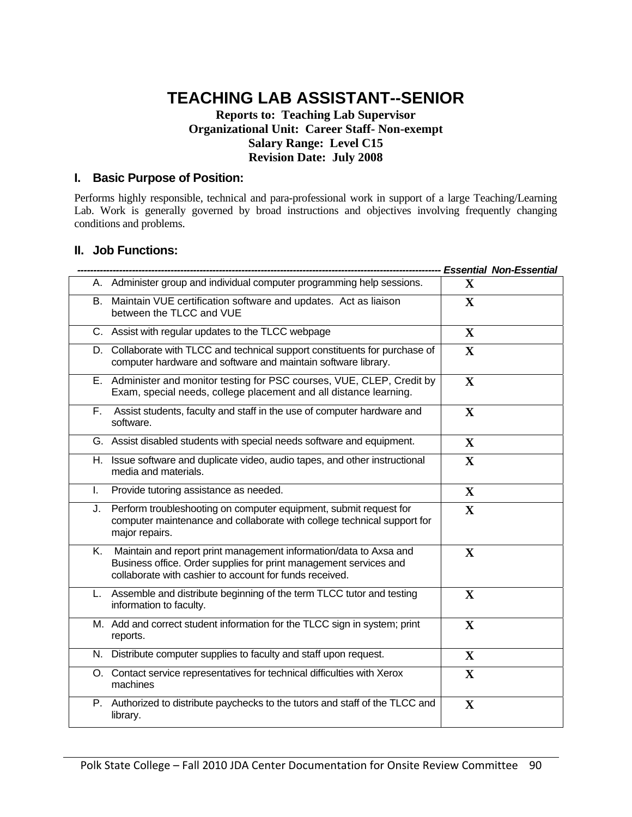# **TEACHING LAB ASSISTANT--SENIOR**

#### **Reports to: Teaching Lab Supervisor Organizational Unit: Career Staff- Non-exempt Salary Range: Level C15 Revision Date: July 2008**

#### **I. Basic Purpose of Position:**

Performs highly responsible, technical and para-professional work in support of a large Teaching/Learning Lab. Work is generally governed by broad instructions and objectives involving frequently changing conditions and problems.

#### **II. Job Functions:**

|    |                                                                                                                                                                                                   |              | <b>Essential Non-Essential</b> |
|----|---------------------------------------------------------------------------------------------------------------------------------------------------------------------------------------------------|--------------|--------------------------------|
|    | A. Administer group and individual computer programming help sessions.                                                                                                                            | $\mathbf x$  |                                |
| B. | Maintain VUE certification software and updates. Act as liaison<br>between the TLCC and VUE                                                                                                       | $\mathbf{X}$ |                                |
|    | C. Assist with regular updates to the TLCC webpage                                                                                                                                                | $\mathbf X$  |                                |
| D. | Collaborate with TLCC and technical support constituents for purchase of<br>computer hardware and software and maintain software library.                                                         | $\mathbf X$  |                                |
|    | E. Administer and monitor testing for PSC courses, VUE, CLEP, Credit by<br>Exam, special needs, college placement and all distance learning.                                                      | $\mathbf{X}$ |                                |
| F. | Assist students, faculty and staff in the use of computer hardware and<br>software.                                                                                                               | X            |                                |
|    | G. Assist disabled students with special needs software and equipment.                                                                                                                            | X            |                                |
| Η. | Issue software and duplicate video, audio tapes, and other instructional<br>media and materials.                                                                                                  | $\mathbf{X}$ |                                |
| L. | Provide tutoring assistance as needed.                                                                                                                                                            | $\mathbf{X}$ |                                |
| J. | Perform troubleshooting on computer equipment, submit request for<br>computer maintenance and collaborate with college technical support for<br>major repairs.                                    | $\mathbf X$  |                                |
| Κ. | Maintain and report print management information/data to Axsa and<br>Business office. Order supplies for print management services and<br>collaborate with cashier to account for funds received. | $\mathbf{X}$ |                                |
| L. | Assemble and distribute beginning of the term TLCC tutor and testing<br>information to faculty.                                                                                                   | X            |                                |
|    | M. Add and correct student information for the TLCC sign in system; print<br>reports.                                                                                                             | $\mathbf X$  |                                |
|    | N. Distribute computer supplies to faculty and staff upon request.                                                                                                                                | $\mathbf X$  |                                |
|    | O. Contact service representatives for technical difficulties with Xerox<br>machines                                                                                                              | $\mathbf X$  |                                |
|    | P. Authorized to distribute paychecks to the tutors and staff of the TLCC and<br>library.                                                                                                         | $\mathbf X$  |                                |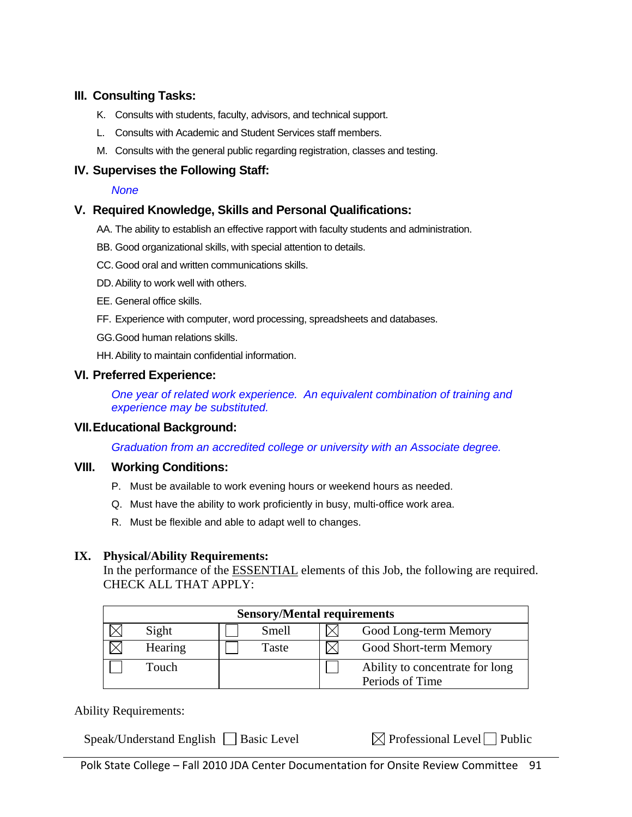#### **III. Consulting Tasks:**

- K. Consults with students, faculty, advisors, and technical support.
- L. Consults with Academic and Student Services staff members.
- M. Consults with the general public regarding registration, classes and testing.

#### **IV. Supervises the Following Staff:**

#### *None*

#### **V. Required Knowledge, Skills and Personal Qualifications:**

- AA. The ability to establish an effective rapport with faculty students and administration.
- BB. Good organizational skills, with special attention to details.
- CC. Good oral and written communications skills.
- DD. Ability to work well with others.
- EE. General office skills.
- FF. Experience with computer, word processing, spreadsheets and databases.
- GG. Good human relations skills.
- HH. Ability to maintain confidential information.

#### **VI. Preferred Experience:**

*One year of related work experience. An equivalent combination of training and experience may be substituted.* 

#### **VII. Educational Background:**

*Graduation from an accredited college or university with an Associate degree.* 

#### **VIII. Working Conditions:**

- P. Must be available to work evening hours or weekend hours as needed.
- Q. Must have the ability to work proficiently in busy, multi-office work area.
- R. Must be flexible and able to adapt well to changes.

#### **IX. Physical/Ability Requirements:**

In the performance of the ESSENTIAL elements of this Job, the following are required. CHECK ALL THAT APPLY:

| <b>Sensory/Mental requirements</b> |         |       |  |                                                    |  |  |  |  |
|------------------------------------|---------|-------|--|----------------------------------------------------|--|--|--|--|
|                                    | Sight   | Smell |  | Good Long-term Memory                              |  |  |  |  |
|                                    | Hearing | Taste |  | Good Short-term Memory                             |  |  |  |  |
|                                    | Touch   |       |  | Ability to concentrate for long<br>Periods of Time |  |  |  |  |

Ability Requirements:

Speak/Understand English  $\Box$  Basic Level  $\Box$  Professional Level  $\Box$  Public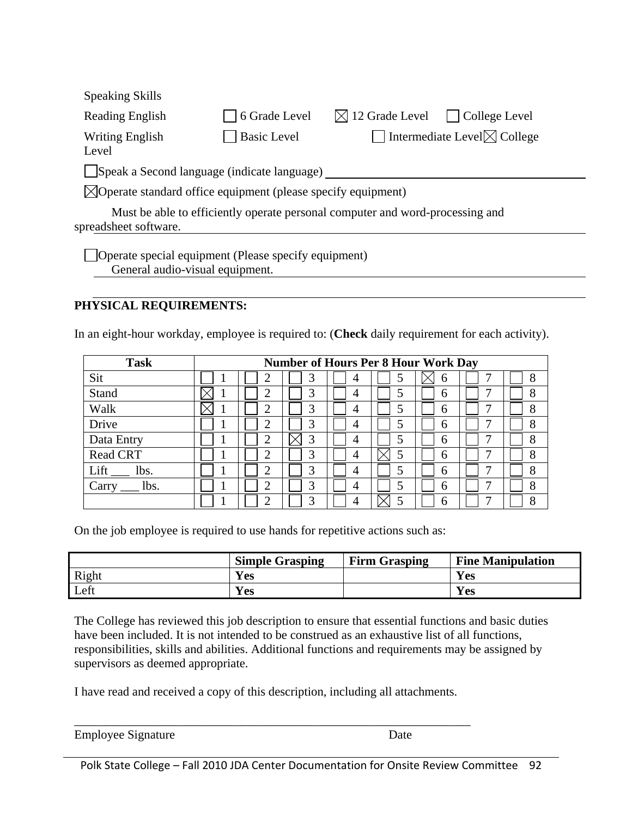| <b>Speaking Skills</b>                                                                                                                                                                                   |                    |                                               |  |  |  |  |
|----------------------------------------------------------------------------------------------------------------------------------------------------------------------------------------------------------|--------------------|-----------------------------------------------|--|--|--|--|
| <b>Reading English</b>                                                                                                                                                                                   | 6 Grade Level      | $\boxtimes$ 12 Grade Level<br>College Level   |  |  |  |  |
| <b>Writing English</b><br>Level                                                                                                                                                                          | <b>Basic Level</b> | $\Box$ Intermediate Level $\boxtimes$ College |  |  |  |  |
|                                                                                                                                                                                                          |                    |                                               |  |  |  |  |
|                                                                                                                                                                                                          |                    |                                               |  |  |  |  |
| spreadsheet software.                                                                                                                                                                                    |                    |                                               |  |  |  |  |
| Speak a Second language (indicate language)<br>$\boxtimes$ Operate standard office equipment (please specify equipment)<br>Must be able to efficiently operate personal computer and word-processing and |                    |                                               |  |  |  |  |

Operate special equipment (Please specify equipment) General audio-visual equipment.

#### **PHYSICAL REQUIREMENTS:**

In an eight-hour workday, employee is required to: (**Check** daily requirement for each activity).

| <b>Task</b>     | <b>Number of Hours Per 8 Hour Work Day</b> |   |   |   |   |   |   |   |
|-----------------|--------------------------------------------|---|---|---|---|---|---|---|
| Sit             |                                            |   |   | 4 |   | b |   | 8 |
| Stand           |                                            |   | 3 | 4 |   | 6 |   | 8 |
| Walk            |                                            | ◠ | 3 | 4 | 5 | 6 |   | 8 |
| Drive           |                                            |   | 3 | 4 | 5 | 6 |   | 8 |
| Data Entry      |                                            | ∠ | 3 | 4 | 5 | 6 |   | 8 |
| <b>Read CRT</b> |                                            | ⌒ | 3 | 4 |   | 6 | − | 8 |
| Lift<br>lbs.    |                                            | ◠ | 3 | 4 | 5 | 6 |   | 8 |
| lbs.<br>Carry   |                                            | ◠ | 3 | 4 | 5 | 6 | − | 8 |
|                 |                                            |   |   | 4 |   | 6 |   | 8 |

On the job employee is required to use hands for repetitive actions such as:

|       | <b>Simple Grasping</b> | <b>Firm Grasping</b> | <b>Fine Manipulation</b> |
|-------|------------------------|----------------------|--------------------------|
| Right | Yes                    |                      | <b>Yes</b>               |
| Left  | Yes                    |                      | Yes                      |

The College has reviewed this job description to ensure that essential functions and basic duties have been included. It is not intended to be construed as an exhaustive list of all functions, responsibilities, skills and abilities. Additional functions and requirements may be assigned by supervisors as deemed appropriate.

I have read and received a copy of this description, including all attachments.

| <b>Employee Signature</b> | Jate |
|---------------------------|------|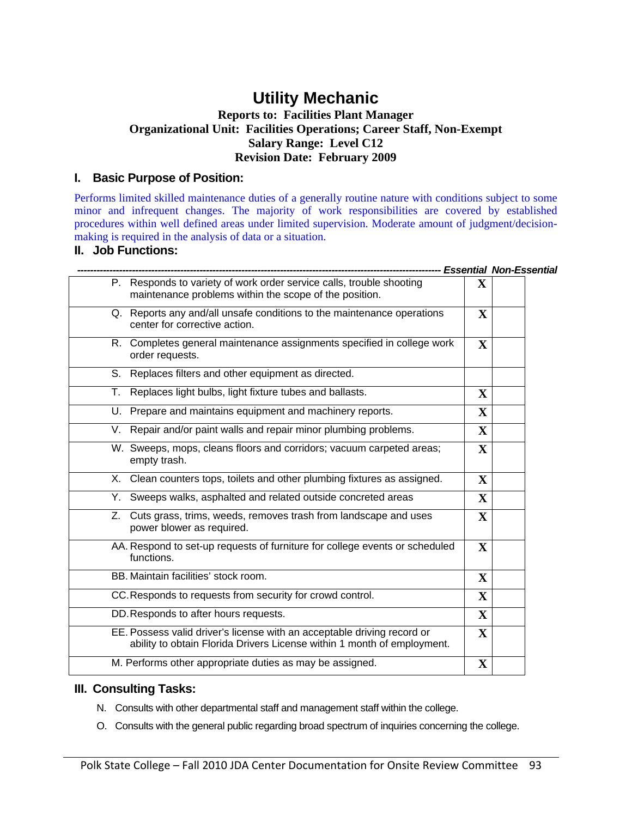### **Utility Mechanic**

#### **Reports to: Facilities Plant Manager Organizational Unit: Facilities Operations; Career Staff, Non-Exempt Salary Range: Level C12 Revision Date: February 2009**

#### **I. Basic Purpose of Position:**

Performs limited skilled maintenance duties of a generally routine nature with conditions subject to some minor and infrequent changes. The majority of work responsibilities are covered by established procedures within well defined areas under limited supervision. Moderate amount of judgment/decisionmaking is required in the analysis of data or a situation.

#### **II. Job Functions:**

| P. Responds to variety of work order service calls, trouble shooting<br>maintenance problems within the scope of the position.<br>Q. Reports any and/all unsafe conditions to the maintenance operations | X            |  |
|----------------------------------------------------------------------------------------------------------------------------------------------------------------------------------------------------------|--------------|--|
|                                                                                                                                                                                                          |              |  |
| center for corrective action.                                                                                                                                                                            | $\mathbf{X}$ |  |
| R. Completes general maintenance assignments specified in college work<br>order requests.                                                                                                                | $\mathbf X$  |  |
| S. Replaces filters and other equipment as directed.                                                                                                                                                     |              |  |
| T. Replaces light bulbs, light fixture tubes and ballasts.                                                                                                                                               | $\mathbf{X}$ |  |
| U. Prepare and maintains equipment and machinery reports.                                                                                                                                                | $\mathbf{X}$ |  |
| V. Repair and/or paint walls and repair minor plumbing problems.                                                                                                                                         | $\mathbf X$  |  |
| W. Sweeps, mops, cleans floors and corridors; vacuum carpeted areas;<br>empty trash.                                                                                                                     | $\mathbf X$  |  |
| X. Clean counters tops, toilets and other plumbing fixtures as assigned.                                                                                                                                 | $\mathbf X$  |  |
| Y. Sweeps walks, asphalted and related outside concreted areas                                                                                                                                           | $\mathbf{X}$ |  |
| Z. Cuts grass, trims, weeds, removes trash from landscape and uses<br>power blower as required.                                                                                                          | $\mathbf{X}$ |  |
| AA. Respond to set-up requests of furniture for college events or scheduled<br>functions.                                                                                                                | $\mathbf{X}$ |  |
| BB. Maintain facilities' stock room.                                                                                                                                                                     | $\mathbf X$  |  |
| CC. Responds to requests from security for crowd control.                                                                                                                                                | $\mathbf{X}$ |  |
| DD. Responds to after hours requests.                                                                                                                                                                    | $\mathbf X$  |  |
| EE. Possess valid driver's license with an acceptable driving record or<br>ability to obtain Florida Drivers License within 1 month of employment.                                                       | $\mathbf X$  |  |
| M. Performs other appropriate duties as may be assigned.                                                                                                                                                 | $\mathbf{X}$ |  |

#### **III. Consulting Tasks:**

- N. Consults with other departmental staff and management staff within the college.
- O. Consults with the general public regarding broad spectrum of inquiries concerning the college.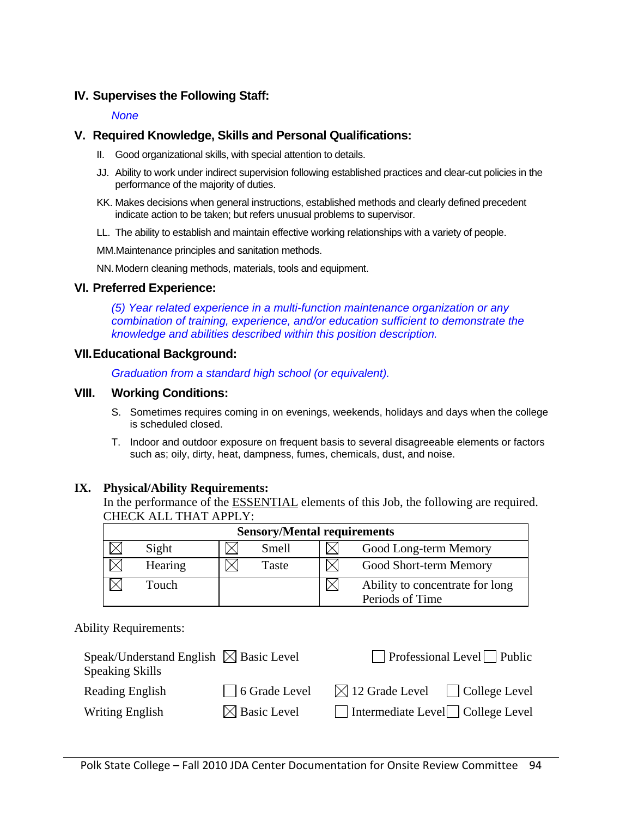### **IV. Supervises the Following Staff:**

#### *None*

#### **V. Required Knowledge, Skills and Personal Qualifications:**

- II. Good organizational skills, with special attention to details.
- JJ. Ability to work under indirect supervision following established practices and clear-cut policies in the performance of the majority of duties.
- KK. Makes decisions when general instructions, established methods and clearly defined precedent indicate action to be taken; but refers unusual problems to supervisor.
- LL. The ability to establish and maintain effective working relationships with a variety of people.

MM.Maintenance principles and sanitation methods.

NN. Modern cleaning methods, materials, tools and equipment.

#### **VI. Preferred Experience:**

*(5) Year related experience in a multi-function maintenance organization or any combination of training, experience, and/or education sufficient to demonstrate the knowledge and abilities described within this position description.* 

#### **VII. Educational Background:**

*Graduation from a standard high school (or equivalent).* 

#### **VIII. Working Conditions:**

- S. Sometimes requires coming in on evenings, weekends, holidays and days when the college is scheduled closed.
- T. Indoor and outdoor exposure on frequent basis to several disagreeable elements or factors such as; oily, dirty, heat, dampness, fumes, chemicals, dust, and noise.

#### **IX. Physical/Ability Requirements:**

In the performance of the ESSENTIAL elements of this Job, the following are required. CHECK ALL THAT APPLY:

| <b>Sensory/Mental requirements</b> |  |       |              |                                                    |  |  |  |  |  |
|------------------------------------|--|-------|--------------|----------------------------------------------------|--|--|--|--|--|
| Sight                              |  | Smell |              | Good Long-term Memory                              |  |  |  |  |  |
| Hearing                            |  | Taste | $\checkmark$ | Good Short-term Memory                             |  |  |  |  |  |
| Touch                              |  |       |              | Ability to concentrate for long<br>Periods of Time |  |  |  |  |  |

#### Ability Requirements:

| Speak/Understand English $\boxtimes$ Basic Level<br><b>Speaking Skills</b> |                         | $\Box$ Professional Level $\Box$ Public         |
|----------------------------------------------------------------------------|-------------------------|-------------------------------------------------|
| Reading English                                                            | 6 Grade Level           | $\boxtimes$ 12 Grade Level $\Box$ College Level |
| Writing English                                                            | $\boxtimes$ Basic Level | $\Box$ Intermediate Level $\Box$ College Level  |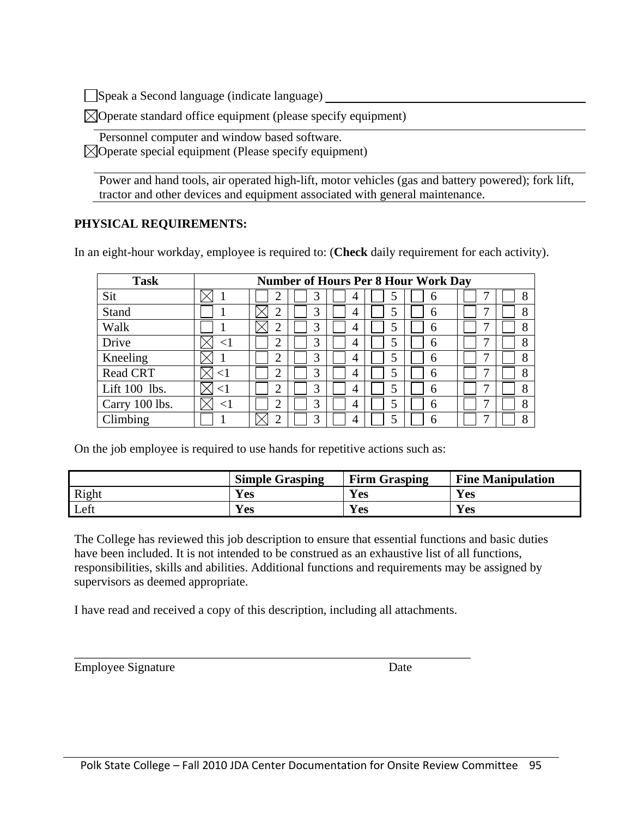Speak a Second language (indicate language)

 $\boxtimes$ Operate standard office equipment (please specify equipment)

Personnel computer and window based software.

 $\boxtimes$ Operate special equipment (Please specify equipment)

Power and hand tools, air operated high-lift, motor vehicles (gas and battery powered); fork lift, tractor and other devices and equipment associated with general maintenance.

### **PHYSICAL REQUIREMENTS:**

In an eight-hour workday, employee is required to: (**Check** daily requirement for each activity).

| <b>Task</b>     |        |   |   |   |   | <b>Number of Hours Per 8 Hour Work Day</b> |   |   |
|-----------------|--------|---|---|---|---|--------------------------------------------|---|---|
| Sit             |        |   |   | 4 |   | 6                                          |   | 8 |
| Stand           |        |   | 3 | 4 |   | 6                                          | ┑ | 8 |
| Walk            |        | ⌒ | 3 | 4 | 5 | 6                                          | − | 8 |
| Drive           | ${<}1$ | ⌒ | 3 | 4 | 5 | 6                                          | ┑ | 8 |
| Kneeling        |        | ⌒ | 3 | 4 |   | 6                                          | − | 8 |
| <b>Read CRT</b> | ${<}1$ | ⌒ | 3 | 4 |   | 6                                          | ┑ | 8 |
| Lift 100 lbs.   |        | ◠ | 3 | 4 | 5 | 6                                          | ┑ | 8 |
| Carry 100 lbs.  | ${<}1$ | ◠ | 3 | 4 | 5 | 6                                          | ┑ | 8 |
| Climbing        |        | ⌒ | 3 | 4 |   | 6                                          | − | 8 |

On the job employee is required to use hands for repetitive actions such as:

|       | <b>Simple Grasping</b> | <b>Firm Grasping</b> | <b>Fine Manipulation</b> |
|-------|------------------------|----------------------|--------------------------|
| Right | Yes                    | Yes                  | Yes                      |
| Left  | <b>Ves</b>             | Yes                  | <b>Yes</b>               |

The College has reviewed this job description to ensure that essential functions and basic duties have been included. It is not intended to be construed as an exhaustive list of all functions, responsibilities, skills and abilities. Additional functions and requirements may be assigned by supervisors as deemed appropriate.

I have read and received a copy of this description, including all attachments.

\_\_\_\_\_\_\_\_\_\_\_\_\_\_\_\_\_\_\_\_\_\_\_\_\_\_\_\_\_\_\_\_\_\_\_\_\_\_\_\_\_\_\_\_\_\_\_\_\_\_\_\_\_\_\_\_\_\_\_\_\_\_\_\_

Employee Signature Date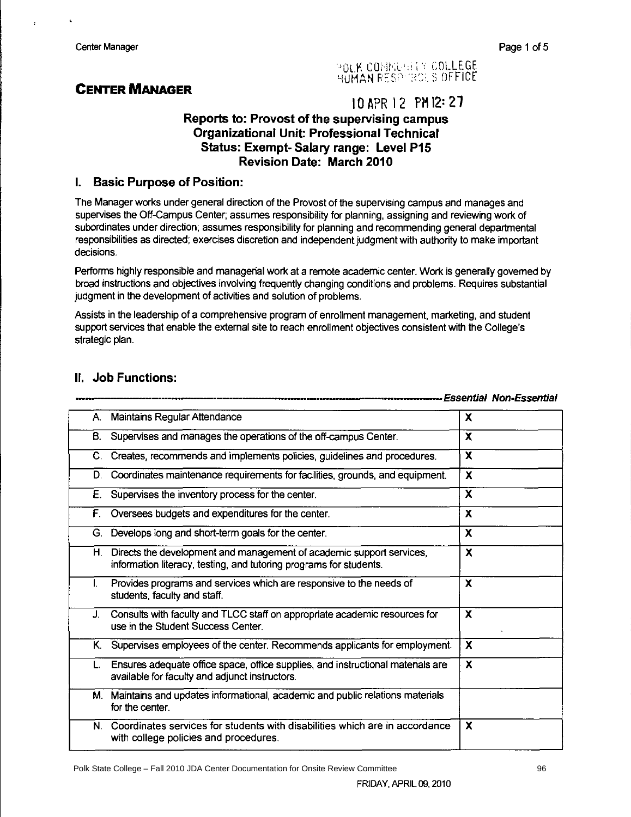### **CENTER MANAGER**

# POLK CONNUMER COLLEGE

### 10 APR 12 PM 12: 27

#### Reports to: Provost of the supervising campus **Organizational Unit: Professional Technical Status: Exempt- Salary range: Level P15 Revision Date: March 2010**

#### **Basic Purpose of Position:**  $\mathbf{L}$

The Manager works under general direction of the Provost of the supervising campus and manages and supervises the Off-Campus Center; assumes responsibility for planning, assigning and reviewing work of subordinates under direction; assumes responsibility for planning and recommending general departmental responsibilities as directed; exercises discretion and independent judgment with authority to make important decisions.

Performs highly responsible and managerial work at a remote academic center. Work is generally govemed by broad instructions and objectives involving frequently changing conditions and problems. Requires substantial judgment in the development of activities and solution of problems.

Assists in the leadership of a comprehensive program of enrollment management, marketing, and student support services that enable the external site to reach enrollment objectives consistent with the College's strategic plan.

#### II. Job Functions:

|    |                                                                                                                                               | <b>Essential Non-Essential</b> |
|----|-----------------------------------------------------------------------------------------------------------------------------------------------|--------------------------------|
| А. | Maintains Regular Attendance                                                                                                                  | X                              |
| В. | Supervises and manages the operations of the off-campus Center.                                                                               | x                              |
| C. | Creates, recommends and implements policies, guidelines and procedures.                                                                       | x                              |
| D. | Coordinates maintenance requirements for facilities, grounds, and equipment.                                                                  | X                              |
| Е. | Supervises the inventory process for the center.                                                                                              | X                              |
| F. | Oversees budgets and expenditures for the center.                                                                                             | X                              |
| G. | Develops long and short-term goals for the center.                                                                                            | X                              |
|    | H. Directs the development and management of academic support services,<br>information literacy, testing, and tutoring programs for students. | X                              |
| L. | Provides programs and services which are responsive to the needs of<br>students, faculty and staff.                                           | x                              |
| J. | Consults with faculty and TLCC staff on appropriate academic resources for<br>use in the Student Success Center.                              | $\boldsymbol{\mathsf{x}}$      |
| Κ. | Supervises employees of the center. Recommends applicants for employment.                                                                     | X                              |
| L. | Ensures adequate office space, office supplies, and instructional materials are<br>available for faculty and adjunct instructors.             | X                              |
|    | M. Maintains and updates informational, academic and public relations materials<br>for the center.                                            |                                |
| N. | Coordinates services for students with disabilities which are in accordance<br>with college policies and procedures.                          | X                              |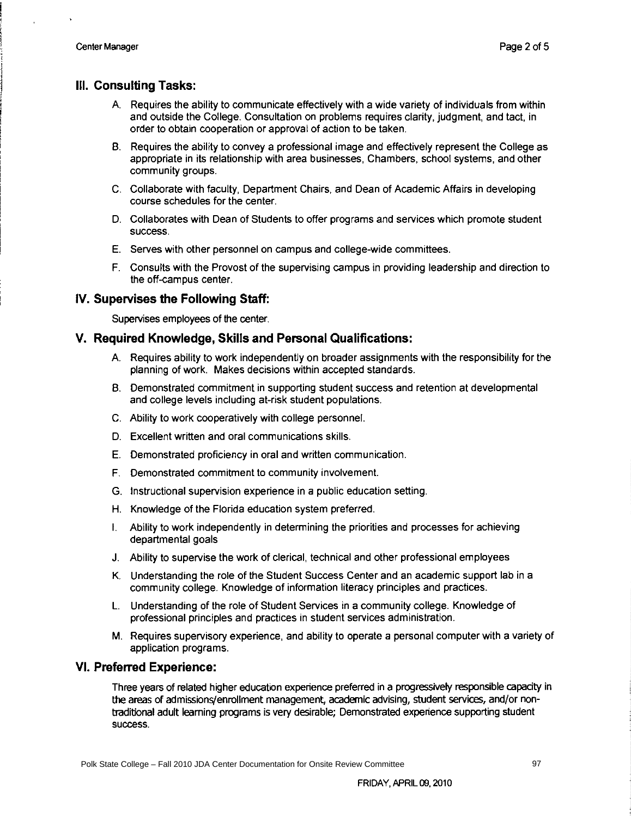#### III. Consulting Tasks:

- A. Requires the ability to communicate effectively with a wide variety of individuals from within and outside the College. Consultation on problems requires clarity, judgment, and tact, in order to obtain cooperation or approval of action to be taken.
- B. Requires the ability to convey a professional image and effectively represent the College as appropriate in its relationship with area businesses, Chambers, school systems, and other community groups.
- C. Collaborate with faculty, Department Chairs, and Dean of Academic Affairs in developing course schedules for the center.
- D. Collaborates with Dean of Students to offer programs and services which promote student success.
- E. Serves with other personnel on campus and college-wide committees.
- F. Consults with the Provost of the supervising campus in providing leadership and direction to the off-campus center.

#### IV. Supervises the Following Staff:

Supervises employees of the center.

#### V. Required Knowledge, Skills and Personal Qualifications:

- A. Requires ability to work independently on broader assignments with the responsibility for the planning of work. Makes decisions within accepted standards.
- B. Demonstrated commitment in supporting student success and retention at developmental and college levels including at-risk student populations.
- C. Ability to work cooperatively with college personnel.
- D. Excellent written and oral communications skills.
- E. Demonstrated proficiency in oral and written communication.
- F. Demonstrated commitment to community involvement.
- G. Instructional supervision experience in a public education setting.
- H. Knowledge of the Florida education system preferred.
- I. Ability to work independently in determining the priorities and processes for achieving departmental goals
- J. Ability to supervise the work of clerical, technical and other professional employees
- K. Understanding the role of the Student Success Center and an academic support lab in a community college. Knowledge of information literacy principles and practices.
- L. Understanding of the role of Student Services in a community college. Knowledge of professional principles and practices in student services administration.
- M. Requires supervisory experience, and ability to operate a personal computer with a variety of application programs.

#### **VI. Preferred Experience:**

Three years of related higher education experience preferred in a progressively responsible capacity in the areas of admissions/enrollment management, academic advising, student services, and/or nontraditional adult learning programs is very desirable; Demonstrated experience supporting student success.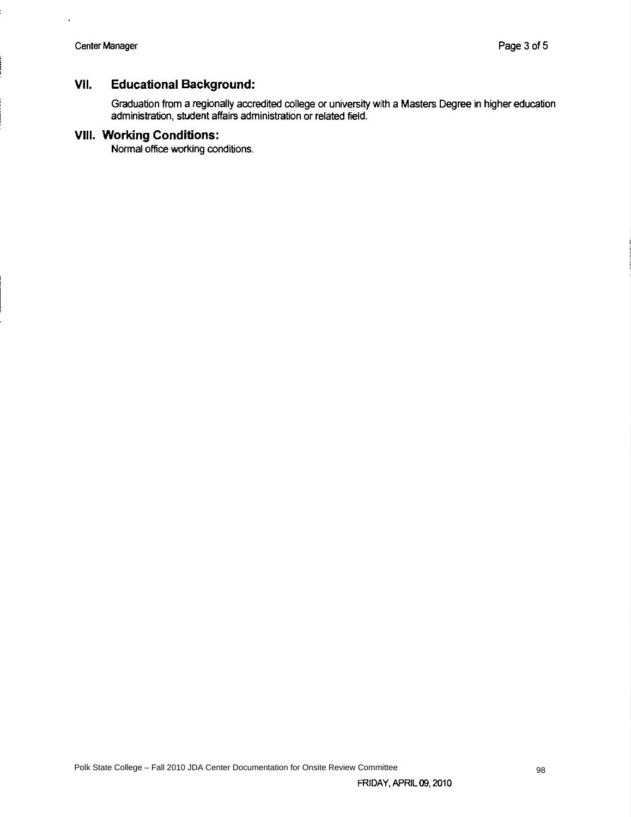#### VII. **Educational Background:**

Graduation from a regionally accredited college or university with a Masters Degree in higher education administration, student affairs administration or related field.

#### **VIII. Working Conditions:**

Normal office working conditions.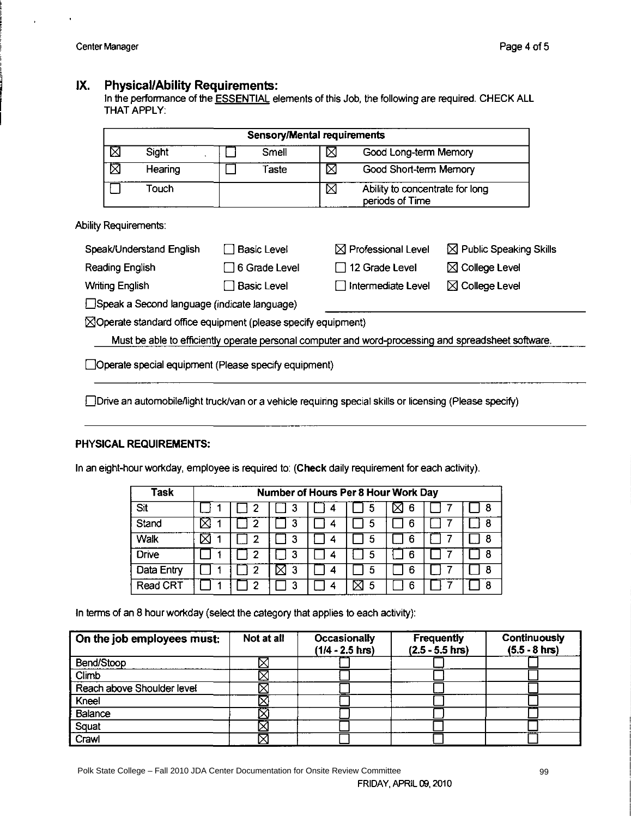#### **Physical/Ability Requirements:** IX.

In the performance of the **ESSENTIAL** elements of this Job, the following are required. CHECK ALL THAT APPLY:

| <b>Sensory/Mental requirements</b> |             |                                                         |  |  |  |
|------------------------------------|-------------|---------------------------------------------------------|--|--|--|
| ⊠<br>Sight                         | Smell       | Good Long-term Memory<br>⊠                              |  |  |  |
| ⊠<br>Hearing                       | Taste       | Χ<br>Good Short-term Memory                             |  |  |  |
| Touch                              |             | ⊠<br>Ability to concentrate for long<br>periods of Time |  |  |  |
| <b>Ability Requirements:</b>       |             |                                                         |  |  |  |
| Sneak/Linderstand English          | Rasic Level | M Public Speaking Skills<br>N Professional Level        |  |  |  |

| Speak/Understand English                                  | Basic Level          | $\boxtimes$ Professional Level | $\boxtimes$ Public Speaking Skills |  |  |
|-----------------------------------------------------------|----------------------|--------------------------------|------------------------------------|--|--|
| Reading English                                           | $\Box$ 6 Grade Level | $\Box$ 12 Grade Level          | $\boxtimes$ College Level          |  |  |
| <b>Writing English</b>                                    | $\Box$ Basic Level   | $\Box$ Intermediate Level      | $\boxtimes$ College Level          |  |  |
| $\Box$ Coech o Coocod Innounce <i>lindicate</i> Innounce) |                      |                                |                                    |  |  |

Speak a Second language (indicate language)

 $\boxtimes$ Operate standard office equipment (please specify equipment)

Must be able to efficiently operate personal computer and word-processing and spreadsheet software.

□ Operate special equipment (Please specify equipment)

Drive an automobile/light truck/van or a vehicle requiring special skills or licensing (Please specify)

#### PHYSICAL REQUIREMENTS:

In an eight-hour workday, employee is required to: (Check daily requirement for each activity).

| Task         | Number of Hours Per 8 Hour Work Day |   |   |   |   |  |   |
|--------------|-------------------------------------|---|---|---|---|--|---|
| Sit          | 2                                   | 3 |   | 5 | 6 |  | 8 |
| Stand        |                                     | З | 4 | 5 | 6 |  | 8 |
| Walk         | າ                                   | З | 4 | 5 | 6 |  | 8 |
| <b>Drive</b> | າ                                   | 3 |   | 5 | 6 |  | 8 |
| Data Entry   | 2                                   | 3 |   | 5 | 6 |  | 8 |
| Read CRT     |                                     |   |   | 5 | 6 |  | 8 |

In terms of an 8 hour workday (select the category that applies to each activity):

| On the job employees must: | Not at all | Occasionally<br>$(1/4 - 2.5)$ hrs) | Frequently<br>$(2.5 - 5.5)$ hrs) | Continuously<br>$(5.5 - 8)$ hrs) |
|----------------------------|------------|------------------------------------|----------------------------------|----------------------------------|
| Bend/Stoop                 |            |                                    |                                  |                                  |
| <b>Climb</b>               |            |                                    |                                  |                                  |
| Reach above Shoulder level |            |                                    |                                  |                                  |
| Kneel                      |            |                                    |                                  |                                  |
| Balance                    |            |                                    |                                  |                                  |
| Squat                      |            |                                    |                                  |                                  |
| Crawl                      |            |                                    |                                  |                                  |